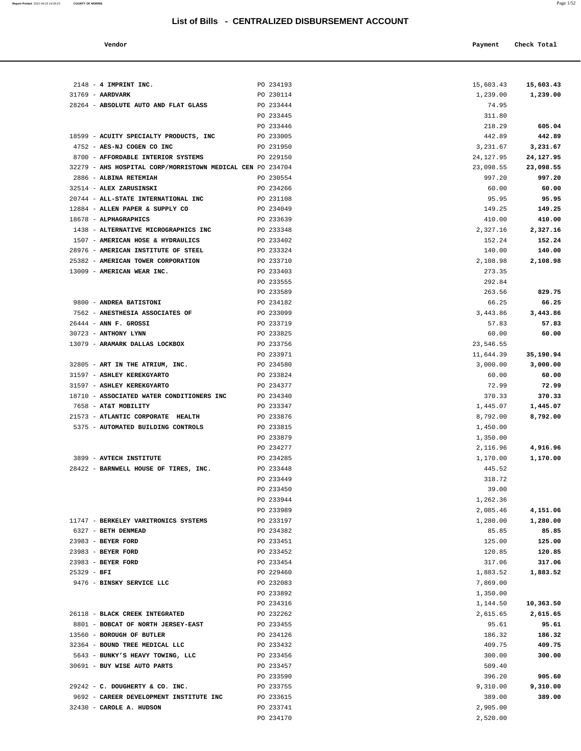| Vendor | Payment Check Total<br>. |
|--------|--------------------------|
|        |                          |

|               | $2148 - 4$ IMPRINT INC.                                              | PO 234193              | 15,603.43          | 15,603.43         |
|---------------|----------------------------------------------------------------------|------------------------|--------------------|-------------------|
|               | 31769 - AARDVARK                                                     | PO 230114              | 1,239.00           | 1,239.00          |
|               | 28264 - ABSOLUTE AUTO AND FLAT GLASS                                 | PO 233444              | 74.95              |                   |
|               |                                                                      | PO 233445              | 311.80             |                   |
|               |                                                                      | PO 233446              | 218.29             | 605.04            |
|               | 18599 - ACUITY SPECIALTY PRODUCTS, INC                               | PO 233005              | 442.89             | 442.89            |
|               | 4752 - AES-NJ COGEN CO INC                                           | PO 231950              | 3,231.67           | 3,231.67          |
|               | 8700 - AFFORDABLE INTERIOR SYSTEMS                                   | PO 229150              | 24, 127, 95        | 24,127.95         |
|               | 32279 - AHS HOSPITAL CORP/MORRISTOWN MEDICAL CEN PO 234704           |                        | 23,098.55          | 23,098.55         |
|               | 2886 - ALBINA RETEMIAH                                               | PO 230554              | 997.20             | 997.20            |
|               | 32514 - ALEX ZARUSINSKI                                              | PO 234266              | 60.00              | 60.00             |
|               | 20744 - ALL-STATE INTERNATIONAL INC                                  | PO 231108              | 95.95              | 95.95             |
|               | 12884 - ALLEN PAPER & SUPPLY CO                                      | PO 234049              | 149.25             | 149.25            |
|               | 18678 - ALPHAGRAPHICS                                                | PO 233639              | 410.00             | 410.00            |
|               | 1438 - ALTERNATIVE MICROGRAPHICS INC                                 | PO 233348              | 2,327.16           | 2,327.16          |
|               | 1507 - AMERICAN HOSE & HYDRAULICS                                    | PO 233402              | 152.24             | 152.24            |
|               | 28976 - AMERICAN INSTITUTE OF STEEL                                  | PO 233324              | 140.00             | 140.00            |
|               | 25382 - AMERICAN TOWER CORPORATION                                   | PO 233710              | 2,108.98           | 2,108.98          |
|               | 13009 - AMERICAN WEAR INC.                                           | PO 233403              | 273.35             |                   |
|               |                                                                      | PO 233555              | 292.84             |                   |
|               |                                                                      | PO 233589              | 263.56             | 829.75            |
|               | 9800 - ANDREA BATISTONI                                              | PO 234182              | 66.25              | 66.25             |
|               | 7562 - ANESTHESIA ASSOCIATES OF                                      | PO 233099              | 3,443.86           | 3,443.86          |
|               | $26444$ - ANN F. GROSSI                                              | PO 233719<br>PO 233825 | 57.83              | 57.83             |
|               | 30723 - ANTHONY LYNN                                                 | PO 233756              | 60.00<br>23,546.55 | 60.00             |
|               | 13079 - ARAMARK DALLAS LOCKBOX                                       | PO 233971              | 11,644.39          | 35,190.94         |
|               | 32805 - ART IN THE ATRIUM, INC.                                      | PO 234580              | 3,000.00           | 3,000.00          |
|               | 31597 - ASHLEY KEREKGYARTO                                           | PO 233824              | 60.00              | 60.00             |
|               | 31597 - ASHLEY KEREKGYARTO                                           | PO 234377              | 72.99              | 72.99             |
|               | 18710 - ASSOCIATED WATER CONDITIONERS INC                            | PO 234340              | 370.33             | 370.33            |
|               | 7658 - AT&T MOBILITY                                                 | PO 233347              | 1,445.07           | 1,445.07          |
|               | 21573 - ATLANTIC CORPORATE HEALTH                                    | PO 233876              | 8,792.00           | 8,792.00          |
|               | 5375 - AUTOMATED BUILDING CONTROLS                                   | PO 233815              | 1,450.00           |                   |
|               |                                                                      | PO 233879              | 1,350.00           |                   |
|               |                                                                      | PO 234277              | 2,116.96           | 4,916.96          |
|               | 3899 - AVTECH INSTITUTE                                              | PO 234285              | 1,170.00           | 1,170.00          |
|               | 28422 - BARNWELL HOUSE OF TIRES, INC.                                | PO 233448              | 445.52             |                   |
|               |                                                                      | PO 233449              | 318.72             |                   |
|               |                                                                      | PO 233450              | 39.00              |                   |
|               |                                                                      | PO 233944              | 1,262.36           |                   |
|               |                                                                      | PO 233989              | 2,085.46           | 4,151.06          |
|               | 11747 - BERKELEY VARITRONICS SYSTEMS                                 | PO 233197              | 1,280.00           | 1,280.00          |
|               | 6327 - BETH DENMEAD                                                  | PO 234382              | 85.85              | 85.85             |
|               | 23983 - BEYER FORD                                                   | PO 233451              | 125.00             | 125.00            |
|               | 23983 - BEYER FORD                                                   | PO 233452              | 120.85             | 120.85            |
|               | 23983 - BEYER FORD                                                   | PO 233454              | 317.06             | 317.06            |
| $25329 - BFI$ |                                                                      | PO 229460              | 1,883.52           | 1,883.52          |
|               | 9476 - BINSKY SERVICE LLC                                            | PO 232083              | 7,869.00           |                   |
|               |                                                                      | PO 233892              | 1,350.00           |                   |
|               |                                                                      | PO 234316              | 1,144.50           | 10,363.50         |
|               | 26118 - BLACK CREEK INTEGRATED<br>8801 - BOBCAT OF NORTH JERSEY-EAST | PO 232262<br>PO 233455 | 2,615.65<br>95.61  | 2,615.65<br>95.61 |
|               | 13560 - BOROUGH OF BUTLER                                            | PO 234126              | 186.32             | 186.32            |
|               | 32364 - BOUND TREE MEDICAL LLC                                       | PO 233432              | 409.75             | 409.75            |
|               | 5643 - BUNKY'S HEAVY TOWING, LLC                                     | PO 233456              | 300.00             | 300.00            |
|               | 30691 - BUY WISE AUTO PARTS                                          | PO 233457              | 509.40             |                   |
|               |                                                                      | PO 233590              | 396.20             | 905.60            |
|               | 29242 - C. DOUGHERTY & CO. INC.                                      | PO 233755              | 9,310.00           | 9,310.00          |
|               | 9692 - CAREER DEVELOPMENT INSTITUTE INC                              | PO 233615              | 389.00             | 389.00            |
|               | 32430 - CAROLE A. HUDSON                                             | PO 233741              | 2,905.00           |                   |
|               |                                                                      | PO 234170              | 2,520.00           |                   |

**Report Printed** 2021-04-23 14:29:23 **COUNTY OF MORRIS** Page 1/52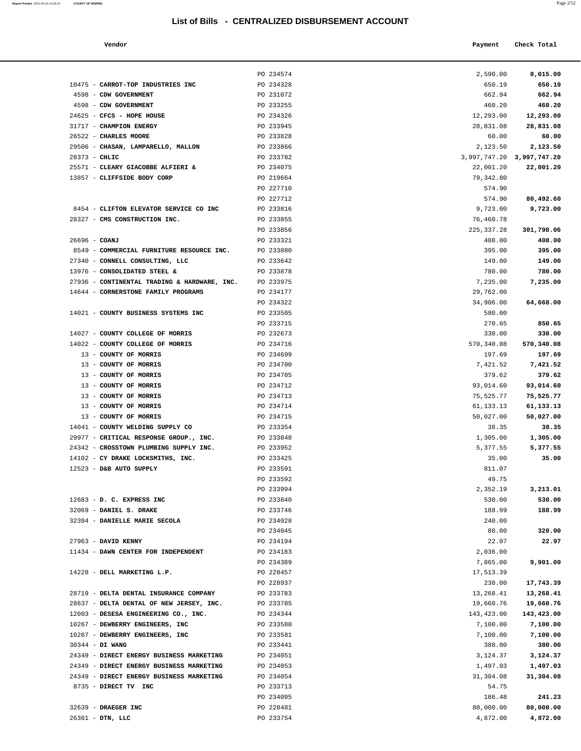| Report Printed 2021-04-23 14:29:23 | <b>COUNTY OF MORRIS</b>                      |                                                  |              | Page 2/52                 |  |
|------------------------------------|----------------------------------------------|--------------------------------------------------|--------------|---------------------------|--|
|                                    |                                              | List of Bills - CENTRALIZED DISBURSEMENT ACCOUNT |              |                           |  |
|                                    | Vendor                                       |                                                  | Payment      | Check Total               |  |
|                                    |                                              | PO 234574                                        | 2,590.00     | 8,015.00                  |  |
|                                    | 10475 - CARROT-TOP INDUSTRIES INC            | PO 234328                                        | 650.19       | 650.19                    |  |
|                                    | 4598 - CDW GOVERNMENT                        | PO 231072                                        | 662.94       | 662.94                    |  |
|                                    | 4598 - CDW GOVERNMENT                        | PO 233255                                        | 460.20       | 460.20                    |  |
|                                    | 24625 - CFCS - HOPE HOUSE                    | PO 234326                                        | 12,293.00    | 12,293.00                 |  |
|                                    | 31717 - CHAMPION ENERGY                      | PO 233945                                        | 28,831.08    | 28,831.08                 |  |
|                                    | 26522 - CHARLES MOORE                        | PO 233828                                        | 60.00        | 60.00                     |  |
|                                    | 29506 - CHASAN, LAMPARELLO, MALLON           | PO 233866                                        | 2,123.50     | 2,123.50                  |  |
|                                    | $28373 - CHLIC$                              | PO 233782                                        |              | 3,997,747.20 3,997,747.20 |  |
|                                    | 25571 - CLEARY GIACOBBE ALFIERI &            | PO 234075                                        | 22,001.20    | 22,001.20                 |  |
|                                    | 13857 - CLIFFSIDE BODY CORP                  | PO 219664                                        | 79,342.80    |                           |  |
|                                    |                                              | PO 227710                                        | 574.90       |                           |  |
|                                    |                                              | PO 227712                                        | 574.90       | 80,492.60                 |  |
|                                    | 8454 - CLIFTON ELEVATOR SERVICE CO INC       | PO 233816                                        | 9,723.00     | 9,723.00                  |  |
|                                    | 28327 - CMS CONSTRUCTION INC.                | PO 233855                                        | 76,460.78    |                           |  |
|                                    |                                              | PO 233856                                        | 225, 337. 28 | 301,798.06                |  |
|                                    | $26696 - COANJ$                              | PO 233321                                        | 408.00       | 408.00                    |  |
|                                    | 8549 - COMMERCIAL FURNITURE RESOURCE INC.    | PO 233880                                        | 395.00       | 395.00                    |  |
|                                    | 27340 - CONNELL CONSULTING, LLC              | PO 233642                                        | 149.00       | 149.00                    |  |
|                                    | 13976 - CONSOLIDATED STEEL &                 | PO 233878                                        | 780.00       | 780.00                    |  |
|                                    | 27936 - CONTINENTAL TRADING & HARDWARE, INC. | PO 233975                                        | 7,235.00     | 7,235.00                  |  |
|                                    | 14644 - CORNERSTONE FAMILY PROGRAMS          | PO 234177                                        | 29,762.00    |                           |  |
|                                    |                                              | PO 234322                                        | 34,906.00    | 64,668.00                 |  |
|                                    | 14021 - COUNTY BUSINESS SYSTEMS INC          | PO 233505                                        | 580.00       |                           |  |
|                                    |                                              | PO 233715                                        | 270.65       | 850.65                    |  |
|                                    | 14027 - COUNTY COLLEGE OF MORRIS             | PO 232673                                        | 330.00       | 330.00                    |  |
|                                    | 14022 - COUNTY COLLEGE OF MORRIS             | PO 234716                                        | 570,340.08   | 570,340.08                |  |
|                                    | 13 - COUNTY OF MORRIS                        | PO 234699                                        | 197.69       | 197.69                    |  |
|                                    | 13 - COUNTY OF MORRIS                        | PO 234700                                        | 7,421.52     | 7,421.52                  |  |
|                                    | 13 - COUNTY OF MORRIS                        | PO 234705                                        | 379.62       | 379.62                    |  |
|                                    | 13 - COUNTY OF MORRIS                        | PO 234712                                        | 93,014.60    | 93,014.60                 |  |
|                                    | 13 - COUNTY OF MORRIS                        | PO 234713                                        | 75,525.77    | 75,525.77                 |  |
|                                    | 13 - COUNTY OF MORRIS                        | PO 234714                                        | 61, 133. 13  | 61,133.13                 |  |
|                                    |                                              |                                                  |              |                           |  |

|                 | 4598 - CDW GOVERNMENT                        | PO 233255 | 460.20                    | 460.20     |
|-----------------|----------------------------------------------|-----------|---------------------------|------------|
|                 | 24625 - CFCS - HOPE HOUSE                    | PO 234326 | 12,293.00                 | 12,293.00  |
|                 | 31717 - CHAMPION ENERGY                      | PO 233945 | 28,831.08                 | 28,831.08  |
|                 | 26522 - CHARLES MOORE                        | PO 233828 | 60.00                     | 60.00      |
|                 | 29506 - CHASAN, LAMPARELLO, MALLON           | PO 233866 | 2,123.50                  | 2,123.50   |
|                 | $28373 - CHLIC$                              | PO 233782 | 3,997,747.20 3,997,747.20 |            |
|                 | 25571 - CLEARY GIACOBBE ALFIERI &            | PO 234075 | 22,001.20                 | 22,001.20  |
|                 | 13857 - CLIFFSIDE BODY CORP                  | PO 219664 | 79,342.80                 |            |
|                 |                                              | PO 227710 | 574.90                    |            |
|                 |                                              | PO 227712 | 574.90                    | 80,492.60  |
|                 | 8454 - CLIFTON ELEVATOR SERVICE CO INC       | PO 233816 | 9,723.00                  | 9,723.00   |
|                 | 28327 - CMS CONSTRUCTION INC.                | PO 233855 | 76,460.78                 |            |
|                 |                                              | PO 233856 | 225, 337. 28              | 301,798.06 |
| $26696 - COANJ$ |                                              | PO 233321 | 408.00                    | 408.00     |
|                 | 8549 - COMMERCIAL FURNITURE RESOURCE INC.    | PO 233880 | 395.00                    | 395.00     |
|                 | 27340 - CONNELL CONSULTING, LLC              | PO 233642 | 149.00                    | 149.00     |
|                 | 13976 - CONSOLIDATED STEEL &                 | PO 233878 | 780.00                    | 780.00     |
|                 | 27936 - CONTINENTAL TRADING & HARDWARE, INC. | PO 233975 | 7,235.00                  | 7,235.00   |
|                 | 14644 - CORNERSTONE FAMILY PROGRAMS          | PO 234177 | 29,762.00                 |            |
|                 |                                              | PO 234322 | 34,906.00                 | 64,668.00  |
|                 | 14021 - COUNTY BUSINESS SYSTEMS INC          | PO 233505 | 580.00                    |            |
|                 |                                              | PO 233715 | 270.65                    | 850.65     |
|                 | 14027 - COUNTY COLLEGE OF MORRIS             | PO 232673 | 330.00                    | 330.00     |
|                 | 14022 - COUNTY COLLEGE OF MORRIS             | PO 234716 | 570,340.08                | 570,340.08 |
|                 | 13 - COUNTY OF MORRIS                        | PO 234699 | 197.69                    | 197.69     |
|                 | 13 - COUNTY OF MORRIS                        | PO 234700 | 7,421.52                  | 7,421.52   |
|                 | 13 - COUNTY OF MORRIS                        | PO 234705 | 379.62                    | 379.62     |
|                 | 13 - COUNTY OF MORRIS                        | PO 234712 | 93,014.60                 | 93,014.60  |
|                 | 13 - COUNTY OF MORRIS                        | PO 234713 | 75,525.77                 | 75,525.77  |
|                 | 13 - COUNTY OF MORRIS                        | PO 234714 | 61, 133. 13               | 61,133.13  |
|                 | 13 - COUNTY OF MORRIS                        | PO 234715 | 50,027.00                 | 50,027.00  |
|                 | 14041 - COUNTY WELDING SUPPLY CO             | PO 233354 | 38.35                     | 38.35      |
|                 | 29977 - CRITICAL RESPONSE GROUP., INC.       | PO 233848 | 1,305.00                  | 1,305.00   |
|                 | 24342 - CROSSTOWN PLUMBING SUPPLY INC.       | PO 233952 | 5,377.55                  | 5,377.55   |
|                 | 14102 - CY DRAKE LOCKSMITHS, INC.            | PO 233425 | 35.00                     | 35.00      |
|                 | 12523 - D&B AUTO SUPPLY                      | PO 233591 | 811.07                    |            |
|                 |                                              | PO 233592 | 49.75                     |            |
|                 |                                              | PO 233994 | 2,352.19                  | 3,213.01   |
|                 | 12683 - D. C. EXPRESS INC                    | PO 233840 | 530.00                    | 530.00     |
|                 | 32069 - DANIEL S. DRAKE                      | PO 233746 | 188.99                    | 188.99     |
|                 | 32394 - DANIELLE MARIE SECOLA                | PO 234028 | 240.00                    |            |
|                 |                                              | PO 234045 | 80.00                     | 320.00     |
|                 | 27963 - DAVID KENNY                          | PO 234194 | 22.97                     | 22.97      |
|                 | 11434 - DAWN CENTER FOR INDEPENDENT          | PO 234183 | 2,036.00                  |            |
|                 |                                              | PO 234389 | 7,865.00                  | 9,901.00   |
|                 | 14228 - DELL MARKETING L.P.                  | PO 228457 | 17,513.39                 |            |
|                 |                                              | PO 228937 | 230.00                    | 17,743.39  |
|                 | 28719 - DELTA DENTAL INSURANCE COMPANY       | PO 233783 | 13,268.41                 | 13,268.41  |
|                 | 28637 - DELTA DENTAL OF NEW JERSEY, INC.     | PO 233785 | 19,660.76                 | 19,660.76  |
|                 | 12003 - DESESA ENGINEERING CO., INC.         | PO 234344 | 143,423.00                | 143,423.00 |
|                 | 10267 - DEWBERRY ENGINEERS, INC              | PO 233580 | 7,100.00                  | 7,100.00   |
|                 | 10267 - DEWBERRY ENGINEERS, INC              | PO 233581 | 7,100.00                  | 7,100.00   |
|                 | 30344 - DI WANG                              | PO 233441 | 380.00                    | 380.00     |
|                 | 24349 - DIRECT ENERGY BUSINESS MARKETING     | PO 234051 | 3,124.37                  | 3,124.37   |
|                 | 24349 - DIRECT ENERGY BUSINESS MARKETING     | PO 234053 | 1,497.03                  | 1,497.03   |
|                 | 24349 - DIRECT ENERGY BUSINESS MARKETING     | PO 234054 | 31,304.08                 | 31,304.08  |
|                 | 8735 - DIRECT TV INC                         | PO 233713 | 54.75                     |            |
|                 |                                              | PO 234095 | 186.48                    | 241.23     |
|                 | 32639 - DRAEGER INC                          | PO 228481 | 80,000.00                 | 80,000.00  |
|                 | $26361$ - DTN, LLC                           | PO 233754 | 4,872.00                  | 4,872.00   |
|                 |                                              |           |                           |            |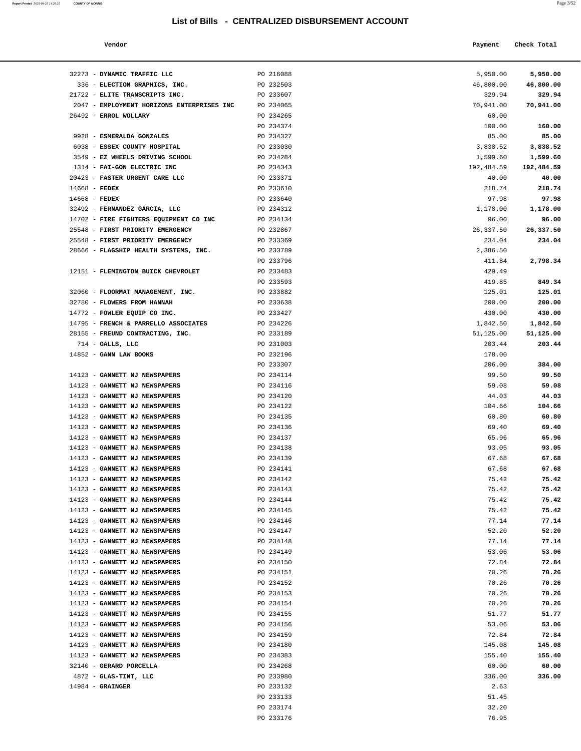32273 - **DYNAMIC TRAFFIC LLC** PO 216088 336 - **ELECTION GRAPHICS, INC.** PO 232503

**Report Printed 2021-04-23 14:29:23** COUNTY OF MORRIS

| a. | I<br>٧ | and the con- |  |
|----|--------|--------------|--|
|    |        |              |  |

|                                     |           | List of Bills - CENTRALIZED DISBURSEMENT ACCOUNT | Page 3/52    |  |
|-------------------------------------|-----------|--------------------------------------------------|--------------|--|
| Vendor                              |           | Payment                                          | Check Total  |  |
| DYNAMIC TRAFFIC LLC                 | PO 216088 | 5,950.00                                         | 5,950.00     |  |
| ELECTION GRAPHICS, INC.             | PO 232503 | 46,800.00                                        | 46,800.00    |  |
| ELITE TRANSCRIPTS INC.              | PO 233607 | 329.94                                           | 329.94       |  |
| EMPLOYMENT HORIZONS ENTERPRISES INC | PO 234065 | 70,941.00                                        | 70,941.00    |  |
| ERROL WOLLARY                       | PO 234265 | 60.00                                            |              |  |
|                                     | PO 234374 | 100.00                                           | 160.00       |  |
| ESMERALDA GONZALES                  | PO 234327 | 85.00                                            | 85.00        |  |
| ESSEX COUNTY HOSPITAL               | PO 233030 | 3,838.52                                         | 3,838.52     |  |
| EZ WHEELS DRIVING SCHOOL            | PO 234284 | 1,599.60                                         | 1,599.60     |  |
| FAI-GON ELECTRIC INC                | PO 234343 | 192,484.59                                       | 192,484.59   |  |
| <b>FASTER URGENT CARE LLC</b>       | PO 233371 | 40.00                                            | 40.00        |  |
| FEDEX                               | PO 233610 | 218.74                                           | 218.74       |  |
| <b>FEDEX</b>                        | PO 233640 | 97.98                                            | 97.98        |  |
| FERNANDEZ GARCIA, LLC               | PO 234312 | 1,178.00                                         | 1,178.00     |  |
| FIRE FIGHTERS EQUIPMENT CO INC      | PO 234134 | 96.00                                            | 96.00        |  |
| FIRST PRIORITY EMERGENCY            | PO 232867 | 26,337.50                                        | 26,337.50    |  |
| FIRST PRIORITY EMERGENCY            | PO 233369 | 234.04                                           | 234.04       |  |
| FLAGSHIP HEALTH SYSTEMS, INC.       | PO 233789 | 2,386.50                                         |              |  |
|                                     | PO 233796 | 411.84                                           | 2,798.34     |  |
| FLEMINGTON BUICK CHEVROLET          | PO 233483 | 429.49                                           |              |  |
|                                     | PO 233593 | 419.85                                           | 849.34       |  |
| FLOORMAT MANAGEMENT, INC.           | PO 233882 | 125.01                                           | 125.01       |  |
| <b>FLOWERS FROM HANNAH</b>          | PO 233638 | 200.00                                           | 200.00       |  |
| FOWLER EQUIP CO INC.                | PO 233427 | 430.00                                           | 430.00       |  |
| FRENCH & PARRELLO ASSOCIATES        | PO 234226 | 1,842.50                                         | 1,842.50     |  |
| FREUND CONTRACTING, INC.            | PO 233189 | 51,125.00                                        | 51,125.00    |  |
| GALLS, LLC                          | PO 231003 | 203.44                                           | 203.44       |  |
| <b>GANN LAW BOOKS</b>               | PO 232196 | 178.00                                           |              |  |
|                                     | PO 233307 | 206.00                                           | 384.00       |  |
| <b>GANNETT NJ NEWSPAPERS</b>        | PO 234114 | 99.50                                            | 99.50        |  |
| <b>GANNETT NJ NEWSPAPERS</b>        | PO 234116 | 59.08                                            | 59.08        |  |
| <b>GANNETT NJ NEWSPAPERS</b>        | PO 234120 | 44.03                                            | 44.03        |  |
| <b>GANNETT NJ NEWSPAPERS</b>        | PO 234122 | 104.66                                           | 104.66       |  |
| <b>GANNETT NJ NEWSPAPERS</b>        | PO 234135 | 60.80                                            | 60.80        |  |
| <b>GANNETT NJ NEWSPAPERS</b>        | PO 234136 | 69.40                                            | 69.40        |  |
| CANNETT NJ NEWCDADFDC               | DO 234137 | 6505                                             | <b>GE QE</b> |  |

| 21722 - ELITE TRANSCRIPTS INC.             | PO 233607 | 329.94     | 329.94     |
|--------------------------------------------|-----------|------------|------------|
| 2047 - EMPLOYMENT HORIZONS ENTERPRISES INC | PO 234065 | 70,941.00  | 70,941.00  |
| 26492 - ERROL WOLLARY                      | PO 234265 | 60.00      |            |
|                                            | PO 234374 | 100.00     | 160.00     |
| 9928 - ESMERALDA GONZALES                  | PO 234327 | 85.00      | 85.00      |
| 6038 - ESSEX COUNTY HOSPITAL               | PO 233030 | 3,838.52   | 3,838.52   |
| 3549 - EZ WHEELS DRIVING SCHOOL            | PO 234284 | 1,599.60   | 1,599.60   |
| 1314 - FAI-GON ELECTRIC INC                | PO 234343 | 192,484.59 | 192,484.59 |
| 20423 - FASTER URGENT CARE LLC             | PO 233371 | 40.00      | 40.00      |
| $14668$ - FEDEX                            | PO 233610 | 218.74     | 218.74     |
| 14668 - FEDEX                              | PO 233640 | 97.98      | 97.98      |
| 32492 - FERNANDEZ GARCIA, LLC              | PO 234312 | 1,178.00   | 1,178.00   |
| 14702 - FIRE FIGHTERS EQUIPMENT CO INC     | PO 234134 | 96.00      | 96.00      |
| 25548 - FIRST PRIORITY EMERGENCY           | PO 232867 | 26,337.50  | 26,337.50  |
| 25548 - FIRST PRIORITY EMERGENCY           | PO 233369 | 234.04     | 234.04     |
| 28666 - FLAGSHIP HEALTH SYSTEMS, INC.      | PO 233789 | 2,386.50   |            |
|                                            | PO 233796 | 411.84     | 2,798.34   |
| 12151 - FLEMINGTON BUICK CHEVROLET         | PO 233483 | 429.49     |            |
|                                            | PO 233593 | 419.85     | 849.34     |
| 32060 - FLOORMAT MANAGEMENT, INC.          | PO 233882 | 125.01     | 125.01     |
| 32780 - FLOWERS FROM HANNAH                | PO 233638 | 200.00     | 200.00     |
| 14772 - FOWLER EQUIP CO INC.               | PO 233427 | 430.00     | 430.00     |
| 14795 - FRENCH & PARRELLO ASSOCIATES       | PO 234226 | 1,842.50   | 1,842.50   |
| 28155 - FREUND CONTRACTING, INC.           | PO 233189 | 51,125.00  | 51,125.00  |
| $714$ - GALLS, LLC                         | PO 231003 | 203.44     | 203.44     |
| 14852 - GANN LAW BOOKS                     | PO 232196 | 178.00     |            |
|                                            | PO 233307 | 206.00     | 384.00     |
| 14123 - GANNETT NJ NEWSPAPERS              | PO 234114 | 99.50      | 99.50      |
| 14123 - GANNETT NJ NEWSPAPERS              | PO 234116 | 59.08      | 59.08      |
| 14123 - GANNETT NJ NEWSPAPERS              | PO 234120 | 44.03      | 44.03      |
| 14123 - GANNETT NJ NEWSPAPERS              | PO 234122 | 104.66     | 104.66     |
| 14123 - GANNETT NJ NEWSPAPERS              | PO 234135 | 60.80      | 60.80      |
| 14123 - GANNETT NJ NEWSPAPERS              | PO 234136 | 69.40      | 69.40      |
| 14123 - GANNETT NJ NEWSPAPERS              | PO 234137 | 65.96      | 65.96      |
| 14123 - GANNETT NJ NEWSPAPERS              | PO 234138 | 93.05      | 93.05      |
| 14123 - GANNETT NJ NEWSPAPERS              | PO 234139 | 67.68      | 67.68      |
| 14123 - GANNETT NJ NEWSPAPERS              | PO 234141 | 67.68      | 67.68      |
| 14123 - GANNETT NJ NEWSPAPERS              | PO 234142 | 75.42      | 75.42      |
| 14123 - GANNETT NJ NEWSPAPERS              | PO 234143 | 75.42      | 75.42      |
| 14123 - GANNETT NJ NEWSPAPERS              | PO 234144 | 75.42      | 75.42      |
| 14123 - GANNETT NJ NEWSPAPERS              | PO 234145 | 75.42      | 75.42      |
| 14123 - GANNETT NJ NEWSPAPERS              | PO 234146 | 77.14      | 77.14      |
| 14123 - GANNETT NJ NEWSPAPERS              | PO 234147 | 52.20      | 52.20      |
| 14123 - GANNETT NJ NEWSPAPERS              | PO 234148 | 77.14      | 77.14      |
| 14123 - GANNETT NJ NEWSPAPERS              | PO 234149 | 53.06      | 53.06      |
| 14123 - GANNETT NJ NEWSPAPERS              | PO 234150 | 72.84      | 72.84      |
| 14123 - GANNETT NJ NEWSPAPERS              | PO 234151 | 70.26      | 70.26      |
| 14123 - GANNETT NJ NEWSPAPERS              | PO 234152 | 70.26      | 70.26      |
| 14123 - GANNETT NJ NEWSPAPERS              | PO 234153 | 70.26      | 70.26      |
| 14123 - GANNETT NJ NEWSPAPERS              | PO 234154 | 70.26      | 70.26      |
| 14123 - GANNETT NJ NEWSPAPERS              | PO 234155 | 51.77      | 51.77      |
| 14123 - GANNETT NJ NEWSPAPERS              | PO 234156 | 53.06      | 53.06      |
| 14123 - GANNETT NJ NEWSPAPERS              | PO 234159 | 72.84      | 72.84      |
| 14123 - GANNETT NJ NEWSPAPERS              | PO 234180 | 145.08     | 145.08     |
| 14123 - GANNETT NJ NEWSPAPERS              | PO 234383 | 155.40     | 155.40     |
| 32140 - GERARD PORCELLA                    | PO 234268 | 60.00      | 60.00      |
| 4872 - GLAS-TINT, LLC                      | PO 233980 | 336.00     | 336.00     |
| $14984 -$ GRAINGER                         | PO 233132 | 2.63       |            |
|                                            | PO 233133 | 51.45      |            |
|                                            | PO 233174 | 32.20      |            |
|                                            | PO 233176 | 76.95      |            |
|                                            |           |            |            |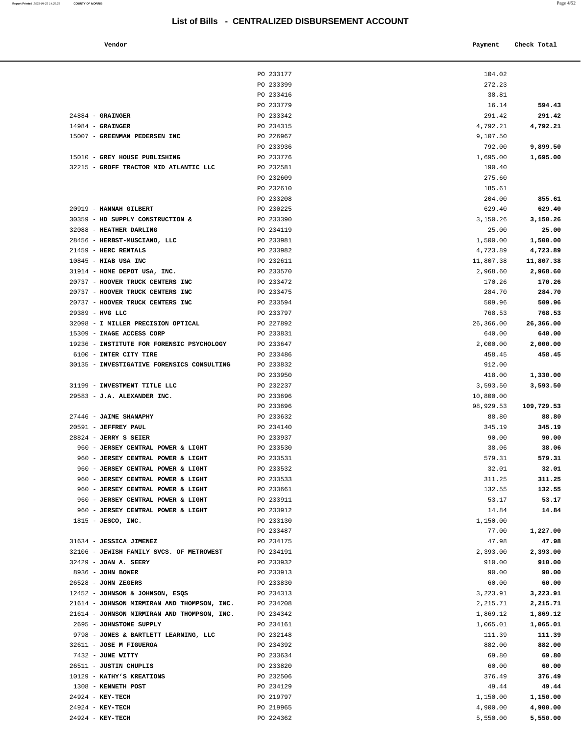| Vendor | Payment | Check Total |
|--------|---------|-------------|
|        |         |             |

|                                                                     | PO 233177              | 104.02            |                   |
|---------------------------------------------------------------------|------------------------|-------------------|-------------------|
|                                                                     | PO 233399              | 272.23            |                   |
|                                                                     | PO 233416              | 38.81             |                   |
|                                                                     | PO 233779              | 16.14             | 594.43            |
| $24884$ - GRAINGER                                                  | PO 233342              | 291.42            | 291.42            |
| $14984$ - GRAINGER                                                  | PO 234315              | 4,792.21          | 4,792.21          |
| 15007 - GREENMAN PEDERSEN INC                                       | PO 226967              | 9,107.50          |                   |
|                                                                     | PO 233936              | 792.00            | 9,899.50          |
| 15010 - GREY HOUSE PUBLISHING                                       | PO 233776              | 1,695.00          | 1,695.00          |
| 32215 - GROFF TRACTOR MID ATLANTIC LLC                              | PO 232581              | 190.40            |                   |
|                                                                     | PO 232609              | 275.60            |                   |
|                                                                     | PO 232610<br>PO 233208 | 185.61<br>204.00  | 855.61            |
| 20919 - HANNAH GILBERT                                              | PO 230225              | 629.40            | 629.40            |
| 30359 - HD SUPPLY CONSTRUCTION &                                    | PO 233390              | 3,150.26          | 3,150.26          |
| 32088 - HEATHER DARLING                                             | PO 234119              | 25.00             | 25.00             |
| 28456 - HERBST-MUSCIANO, LLC                                        | PO 233981              | 1,500.00          | 1,500.00          |
| 21459 - HERC RENTALS                                                | PO 233982              | 4,723.89          | 4,723.89          |
| $10845$ - HIAB USA INC                                              | PO 232611              | 11,807.38         | 11,807.38         |
| 31914 - HOME DEPOT USA, INC.                                        | PO 233570              | 2,968.60          | 2,968.60          |
| 20737 - HOOVER TRUCK CENTERS INC                                    | PO 233472              | 170.26            | 170.26            |
| 20737 - HOOVER TRUCK CENTERS INC                                    | PO 233475              | 284.70            | 284.70            |
| 20737 - HOOVER TRUCK CENTERS INC                                    | PO 233594              | 509.96            | 509.96            |
| 29389 - HVG LLC                                                     | PO 233797              | 768.53            | 768.53            |
| 32098 - I MILLER PRECISION OPTICAL                                  | PO 227892              | 26,366.00         | 26,366.00         |
| 15309 - IMAGE ACCESS CORP                                           | PO 233831              | 640.00            | 640.00            |
| 19236 - INSTITUTE FOR FORENSIC PSYCHOLOGY                           | PO 233647              | 2,000.00          | 2,000.00          |
| 6100 - INTER CITY TIRE                                              | PO 233486              | 458.45            | 458.45            |
| 30135 - INVESTIGATIVE FORENSICS CONSULTING                          | PO 233832<br>PO 233950 | 912.00<br>418.00  | 1,330.00          |
| 31199 - INVESTMENT TITLE LLC                                        | PO 232237              | 3,593.50          | 3,593.50          |
| 29583 - J.A. ALEXANDER INC.                                         | PO 233696              | 10,800.00         |                   |
|                                                                     | PO 233696              | 98,929.53         | 109,729.53        |
| 27446 - JAIME SHANAPHY                                              | PO 233632              | 88.80             | 88.80             |
| 20591 - JEFFREY PAUL                                                | PO 234140              | 345.19            | 345.19            |
| $28824$ - JERRY S SEIER                                             | PO 233937              | 90.00             | 90.00             |
| 960 - JERSEY CENTRAL POWER & LIGHT                                  | PO 233530              | 38.06             | 38.06             |
| 960 - JERSEY CENTRAL POWER & LIGHT                                  | PO 233531              | 579.31            | 579.31            |
| 960 - JERSEY CENTRAL POWER & LIGHT                                  | PO 233532              | 32.01             | 32.01             |
| 960 - JERSEY CENTRAL POWER & LIGHT                                  | PO 233533              | 311.25            | 311.25            |
| 960 - JERSEY CENTRAL POWER & LIGHT                                  | PO 233661              | 132.55            | 132.55            |
| 960 - JERSEY CENTRAL POWER & LIGHT                                  | PO 233911              | 53.17             | 53.17             |
| 960 - JERSEY CENTRAL POWER & LIGHT                                  | PO 233912              | 14.84             | 14.84             |
| $1815$ - JESCO, INC.                                                | PO 233130              | 1,150.00          |                   |
|                                                                     | PO 233487              | 77.00             | 1,227.00          |
| 31634 - JESSICA JIMENEZ<br>32106 - JEWISH FAMILY SVCS. OF METROWEST | PO 234175<br>PO 234191 | 47.98<br>2,393.00 | 47.98<br>2,393.00 |
| 32429 - JOAN A. SEERY                                               | PO 233932              | 910.00            | 910.00            |
| 8936 - JOHN BOWER                                                   | PO 233913              | 90.00             | 90.00             |
| 26528 - JOHN ZEGERS                                                 | PO 233830              | 60.00             | 60.00             |
| 12452 - JOHNSON & JOHNSON, ESQS                                     | PO 234313              | 3,223.91          | 3,223.91          |
| 21614 - JOHNSON MIRMIRAN AND THOMPSON, INC.                         | PO 234208              | 2,215.71          | 2,215.71          |
| 21614 - JOHNSON MIRMIRAN AND THOMPSON, INC.                         | PO 234342              | 1,869.12          | 1,869.12          |
| 2695 - JOHNSTONE SUPPLY                                             | PO 234161              | 1,065.01          | 1,065.01          |
| 9798 - JONES & BARTLETT LEARNING, LLC                               | PO 232148              | 111.39            | 111.39            |
| 32611 - JOSE M FIGUEROA                                             | PO 234392              | 882.00            | 882.00            |
| 7432 - JUNE WITTY                                                   | PO 233634              | 69.80             | 69.80             |
| 26511 - JUSTIN CHUPLIS                                              | PO 233820              | 60.00             | 60.00             |
| 10129 - KATHY'S KREATIONS                                           | PO 232506              | 376.49            | 376.49            |
| 1308 - KENNETH POST                                                 | PO 234129              | 49.44             | 49.44             |
| $24924 - KEY-TECH$                                                  | PO 219797              | 1,150.00          | 1,150.00          |
| 24924 - KEY-TECH                                                    | PO 219965              | 4,900.00          | 4,900.00          |
| 24924 - КЕҮ-ТЕСН                                                    | PO 224362              | 5,550.00          | 5,550.00          |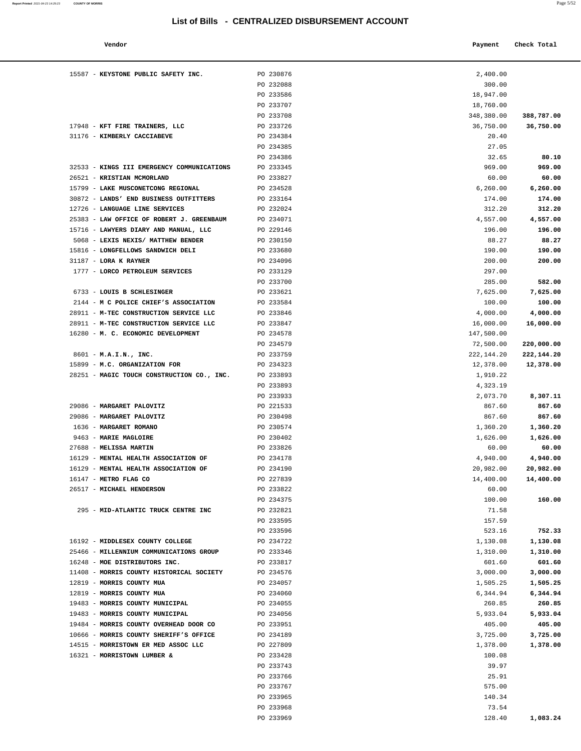#### **Vendor Check Total Payment Check Total**

**Report Printed** 2021-04-23 14:29:23 **COUNTY OF MORRIS** 

| × |  |
|---|--|
|---|--|

| PO 230876              | 2,400.00             |                    |
|------------------------|----------------------|--------------------|
| PO 232088              | 300.00               |                    |
| PO 233586              | 18,947.00            |                    |
| PO 233707              | 18,760.00            |                    |
| PO 233708              | 348,380.00           | 388,787.00         |
| PO 233726              | 36,750.00            | 36,750.00          |
| PO 234384              | 20.40                |                    |
| PO 234385              | 27.05                |                    |
| PO 234386              | 32.65                | 80.10              |
| PO 233345              | 969.00               | 969.00             |
| PO 233827              | 60.00                | 60.00              |
| PO 234528              | 6, 260.00            | 6,260.00           |
| PO 233164              | 174.00               | 174.00             |
| PO 232024<br>PO 234071 | 312.20<br>4,557.00   | 312.20<br>4,557.00 |
| PO 229146              | 196.00               | 196.00             |
| PO 230150              | 88.27                | 88.27              |
| PO 233680              | 190.00               | 190.00             |
| PO 234096              | 200.00               | 200.00             |
| PO 233129              | 297.00               |                    |
| PO 233700              | 285.00               | 582.00             |
| PO 233621              | 7,625.00             | 7,625.00           |
| PO 233584              | 100.00               | 100.00             |
| PO 233846              | 4,000.00             | 4,000.00           |
| PO 233847              | 16,000.00            | 16,000.00          |
| PO 234578              | 147,500.00           |                    |
| PO 234579              | 72,500.00            | 220,000.00         |
| PO 233759              | 222,144.20           | 222,144.20         |
| PO 234323              | 12,378.00            | 12,378.00          |
| PO 233893<br>PO 233893 | 1,910.22<br>4,323.19 |                    |
| PO 233933              | 2,073.70             | 8,307.11           |
| PO 221533              | 867.60               | 867.60             |
| PO 230498              | 867.60               | 867.60             |
| PO 230574              | 1,360.20             | 1,360.20           |
| PO 230402              | 1,626.00             | 1,626.00           |
| PO 233826              | 60.00                | 60.00              |
| PO 234178              | 4,940.00             | 4,940.00           |
| PO 234190              | 20,982.00            | 20,982.00          |
| PO 227839              | 14,400.00            | 14,400.00          |
| PO 233822              | 60.00                |                    |
| PO 234375              | 100.00               | 160.00             |
| PO 232821              | 71.58                |                    |
| PO 233595              | 157.59               |                    |
| PO 233596<br>PO 234722 | 523.16<br>1,130.08   | 752.33<br>1,130.08 |
| PO 233346              | 1,310.00             | 1,310.00           |
| PO 233817              | 601.60               | 601.60             |
| PO 234576              | 3,000.00             | 3,000.00           |
| PO 234057              | 1,505.25             | 1,505.25           |
| PO 234060              | 6,344.94             | 6,344.94           |
| PO 234055              | 260.85               | 260.85             |
| PO 234056              | 5,933.04             | 5,933.04           |
| PO 233951              | 405.00               | 405.00             |
| PO 234189              | 3,725.00             | 3,725.00           |
| PO 227809              | 1,378.00             | 1,378.00           |
| PO 233428              | 100.08               |                    |
| PO 233743              | 39.97                |                    |
| PO 233766              | 25.91                |                    |
| PO 233767              | 575.00               |                    |
| PO 233965              | 140.34               |                    |
| PO 233968              | 73.54                |                    |

| 15587 - KEYSTONE PUBLIC SAFETY INC.        | PO 230876 | 2,400.00   |            |
|--------------------------------------------|-----------|------------|------------|
|                                            | PO 232088 | 300.00     |            |
|                                            | PO 233586 | 18,947.00  |            |
|                                            | PO 233707 | 18,760.00  |            |
|                                            | PO 233708 | 348,380.00 | 388,787.00 |
| 17948 - KFT FIRE TRAINERS, LLC             | PO 233726 | 36,750.00  | 36,750.00  |
| 31176 - KIMBERLY CACCIABEVE                | PO 234384 | 20.40      |            |
|                                            | PO 234385 | 27.05      |            |
|                                            | PO 234386 | 32.65      | 80.10      |
| 32533 - KINGS III EMERGENCY COMMUNICATIONS | PO 233345 | 969.00     | 969.00     |
| 26521 - KRISTIAN MCMORLAND                 | PO 233827 | 60.00      | 60.00      |
| 15799 - LAKE MUSCONETCONG REGIONAL         | PO 234528 | 6, 260.00  | 6,260.00   |
| 30872 - LANDS' END BUSINESS OUTFITTERS     | PO 233164 | 174.00     | 174.00     |
| 12726 - LANGUAGE LINE SERVICES             | PO 232024 | 312.20     | 312.20     |
| 25383 - LAW OFFICE OF ROBERT J. GREENBAUM  | PO 234071 | 4,557.00   | 4,557.00   |
| 15716 - LAWYERS DIARY AND MANUAL, LLC      | PO 229146 | 196.00     | 196.00     |
| 5068 - LEXIS NEXIS/ MATTHEW BENDER         | PO 230150 | 88.27      | 88.27      |
| 15816 - LONGFELLOWS SANDWICH DELI          | PO 233680 | 190.00     | 190.00     |
| 31187 - LORA K RAYNER                      | PO 234096 | 200.00     | 200.00     |
| 1777 - LORCO PETROLEUM SERVICES            | PO 233129 | 297.00     |            |
|                                            | PO 233700 | 285.00     | 582.00     |
| 6733 - LOUIS B SCHLESINGER                 | PO 233621 | 7,625.00   | 7,625.00   |
| 2144 - M C POLICE CHIEF'S ASSOCIATION      | PO 233584 | 100.00     | 100.00     |
| 28911 - M-TEC CONSTRUCTION SERVICE LLC     | PO 233846 | 4,000.00   | 4,000.00   |
| 28911 - M-TEC CONSTRUCTION SERVICE LLC     | PO 233847 | 16,000.00  | 16,000.00  |
| 16280 - M. C. ECONOMIC DEVELOPMENT         | PO 234578 | 147,500.00 |            |
|                                            | PO 234579 | 72,500.00  | 220,000.00 |
| 8601 - M.A.I.N., INC.                      | PO 233759 | 222,144.20 | 222,144.20 |
| 15899 - M.C. ORGANIZATION FOR              | PO 234323 | 12,378.00  | 12,378.00  |
| 28251 - MAGIC TOUCH CONSTRUCTION CO., INC. | PO 233893 | 1,910.22   |            |
|                                            | PO 233893 | 4,323.19   |            |
|                                            | PO 233933 | 2,073.70   | 8,307.11   |
| 29086 - MARGARET PALOVITZ                  | PO 221533 | 867.60     | 867.60     |
| 29086 - MARGARET PALOVITZ                  | PO 230498 | 867.60     | 867.60     |
| 1636 - MARGARET ROMANO                     | PO 230574 | 1,360.20   | 1,360.20   |
| 9463 - MARIE MAGLOIRE                      | PO 230402 | 1,626.00   | 1,626.00   |
| 27688 - MELISSA MARTIN                     | PO 233826 | 60.00      | 60.00      |
| 16129 - MENTAL HEALTH ASSOCIATION OF       | PO 234178 | 4,940.00   | 4,940.00   |
| 16129 - MENTAL HEALTH ASSOCIATION OF       | PO 234190 | 20,982.00  | 20,982.00  |
| 16147 - METRO FLAG CO                      | PO 227839 | 14,400.00  | 14,400.00  |
| 26517 - MICHAEL HENDERSON                  | PO 233822 | 60.00      |            |
|                                            | PO 234375 | 100.00     | 160.00     |
| 295 - MID-ATLANTIC TRUCK CENTRE INC        | PO 232821 | 71.58      |            |
|                                            | PO 233595 | 157.59     |            |
|                                            | PO 233596 | 523.16     | 752.33     |
| 16192 - MIDDLESEX COUNTY COLLEGE           | PO 234722 | 1,130.08   | 1,130.08   |
| 25466 - MILLENNIUM COMMUNICATIONS GROUP    | PO 233346 | 1,310.00   | 1,310.00   |
| 16248 - MOE DISTRIBUTORS INC.              | PO 233817 | 601.60     | 601.60     |
| 11408 - MORRIS COUNTY HISTORICAL SOCIETY   | PO 234576 | 3,000.00   | 3,000.00   |
| 12819 - MORRIS COUNTY MUA                  | PO 234057 | 1,505.25   | 1,505.25   |
| 12819 - MORRIS COUNTY MUA                  | PO 234060 | 6,344.94   | 6,344.94   |
| 19483 - MORRIS COUNTY MUNICIPAL            | PO 234055 | 260.85     | 260.85     |
| 19483 - MORRIS COUNTY MUNICIPAL            | PO 234056 | 5,933.04   | 5,933.04   |
| 19484 - MORRIS COUNTY OVERHEAD DOOR CO     | PO 233951 | 405.00     | 405.00     |
| 10666 - MORRIS COUNTY SHERIFF'S OFFICE     | PO 234189 | 3,725.00   | 3,725.00   |
| 14515 - MORRISTOWN ER MED ASSOC LLC        | PO 227809 | 1,378.00   | 1,378.00   |
| 16321 - MORRISTOWN LUMBER &                |           |            |            |
|                                            | PO 233428 | 100.08     |            |
|                                            | PO 233743 | 39.97      |            |
|                                            | PO 233766 | 25.91      |            |
|                                            | PO 233767 | 575.00     |            |
|                                            | PO 233965 | 140.34     |            |

PO 233969 128.40 **1,083.24**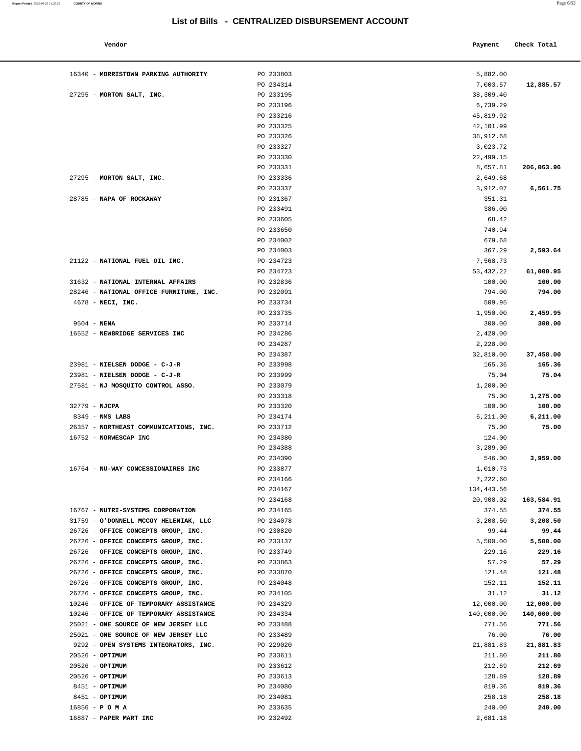| Vendor                                  |                        | Payment            | Check Total |
|-----------------------------------------|------------------------|--------------------|-------------|
| 16340 - MORRISTOWN PARKING AUTHORITY    | PO 233803              | 5,882.00           |             |
|                                         | PO 234314              | 7,003.57           | 12,885.57   |
| 27295 - MORTON SALT, INC.               | PO 233195              | 38,309.40          |             |
|                                         | PO 233196              | 6,739.29           |             |
|                                         | PO 233216              | 45,819.92          |             |
|                                         | PO 233325              | 42,101.99          |             |
|                                         | PO 233326              | 38,912.68          |             |
|                                         | PO 233327              | 3,023.72           |             |
|                                         | PO 233330              | 22,499.15          |             |
|                                         | PO 233331              | 8,657.81           | 206,063.96  |
| 27295 - MORTON SALT, INC.               | PO 233336              | 2,649.68           |             |
|                                         | PO 233337              | 3,912.07           | 6,561.75    |
| 28785 - NAPA OF ROCKAWAY                | PO 231367              | 351.31             |             |
|                                         | PO 233491              | 386.00             |             |
|                                         | PO 233605              | 68.42              |             |
|                                         | PO 233650              | 740.94             |             |
|                                         | PO 234002              | 679.68             |             |
|                                         | PO 234003              | 367.29             | 2,593.64    |
| 21122 - NATIONAL FUEL OIL INC.          | PO 234723              | 7,568.73           |             |
|                                         | PO 234723              | 53, 432. 22        | 61,000.95   |
| 31632 - NATIONAL INTERNAL AFFAIRS       | PO 232836              | 100.00             | 100.00      |
| 28246 - NATIONAL OFFICE FURNITURE, INC. | PO 232091              | 794.00             | 794.00      |
| 4678 - NECI, INC.                       | PO 233734              | 509.95             |             |
|                                         | PO 233735              | 1,950.00           | 2,459.95    |
| $9504 - NENA$                           | PO 233714              | 300.00             | 300.00      |
| 16552 - NEWBRIDGE SERVICES INC          | PO 234286              | 2,420.00           |             |
|                                         | PO 234287              | 2,228.00           |             |
|                                         | PO 234387              | 32,810.00          | 37,458.00   |
| 23981 - NIELSEN DODGE - C-J-R           | PO 233998              | 165.36             | 165.36      |
| 23981 - NIELSEN DODGE - C-J-R           | PO 233999              | 75.04              | 75.04       |
| 27581 - NJ MOSQUITO CONTROL ASSO.       | PO 233079              | 1,200.00           |             |
|                                         | PO 233318              | 75.00              | 1,275.00    |
| 32779 - NJCPA                           | PO 233320              | 100.00             | 100.00      |
| $8349$ - NMS LABS                       | PO 234174              | 6,211.00           | 6, 211.00   |
| 26357 - NORTHEAST COMMUNICATIONS, INC.  | PO 233712              | 75.00<br>124.00    | 75.00       |
| 16752 - NORWESCAP INC                   | PO 234380<br>PO 234388 |                    |             |
|                                         | PO 234390              | 3,289.00<br>546.00 | 3,959.00    |
| 16764 - NU-WAY CONCESSIONAIRES INC      | PO 233877              | 1,010.73           |             |
|                                         | PO 234166              | 7,222.60           |             |
|                                         | PO 234167              | 134,443.56         |             |
|                                         | PO 234168              | 20,908.02          | 163,584.91  |
| 16767 - NUTRI-SYSTEMS CORPORATION       | PO 234165              | 374.55             | 374.55      |
| 31759 - O'DONNELL MCCOY HELENIAK, LLC   | PO 234078              | 3,208.50           | 3,208.50    |
| 26726 - OFFICE CONCEPTS GROUP, INC.     | PO 230820              | 99.44              | 99.44       |
| 26726 - OFFICE CONCEPTS GROUP, INC.     | PO 233137              | 5,500.00           | 5,500.00    |
| 26726 - OFFICE CONCEPTS GROUP, INC.     | PO 233749              | 229.16             | 229.16      |
| 26726 - OFFICE CONCEPTS GROUP, INC.     | PO 233863              | 57.29              | 57.29       |
| 26726 - OFFICE CONCEPTS GROUP, INC.     | PO 233870              | 121.48             | 121.48      |
| 26726 - OFFICE CONCEPTS GROUP, INC.     | PO 234048              | 152.11             | 152.11      |
| 26726 - OFFICE CONCEPTS GROUP, INC.     | PO 234105              | 31.12              | 31.12       |
| 10246 - OFFICE OF TEMPORARY ASSISTANCE  | PO 234329              | 12,000.00          | 12,000.00   |
| 10246 - OFFICE OF TEMPORARY ASSISTANCE  | PO 234334              | 140,000.00         | 140,000.00  |
| 25021 - ONE SOURCE OF NEW JERSEY LLC    | PO 233488              | 771.56             | 771.56      |
| 25021 - ONE SOURCE OF NEW JERSEY LLC    | PO 233489              | 76.00              | 76.00       |
| 9292 - OPEN SYSTEMS INTEGRATORS, INC.   | PO 229020              | 21,881.83          | 21,881.83   |
| 20526 - OPTIMUM                         | PO 233611              | 211.80             | 211.80      |
| 20526 - OPTIMUM                         | PO 233612              | 212.69             | 212.69      |
| 20526 - OPTIMUM                         | PO 233613              | 128.89             | 128.89      |
| 8451 - OPTIMUM                          | PO 234080              | 819.36             | 819.36      |
| 8451 - OPTIMUM                          | PO 234081              | 258.18             | 258.18      |
| $16856 - P$ O M A                       | PO 233635              | 240.00             | 240.00      |
| 16887 - PAPER MART INC                  | PO 232492              | 2,681.18           |             |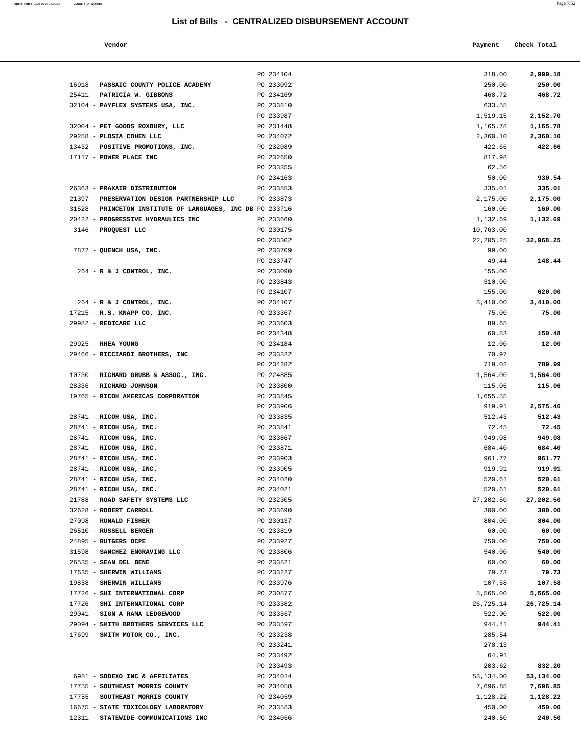#### **Vendor Payment** Check Total **Payment** Check Total **Payment**

| Report Printed 2021-04-23 14:29:23 COUNTY OF MORRIS |  |  | $  -$<br>Page 7/52 |
|-----------------------------------------------------|--|--|--------------------|
|                                                     |  |  |                    |

|                                                                 | PO 234104              | 318.00              | 2,999.18            |
|-----------------------------------------------------------------|------------------------|---------------------|---------------------|
| 16918 - PASSAIC COUNTY POLICE ACADEMY                           | PO 233092              | 250.00              | 250.00              |
| 25411 - PATRICIA W. GIBBONS                                     | PO 234169              | 468.72              | 468.72              |
| 32104 - PAYFLEX SYSTEMS USA, INC.                               | PO 233810              | 633.55              |                     |
|                                                                 | PO 233987              | 1,519.15            | 2,152.70            |
| 32004 - PET GOODS ROXBURY, LLC                                  | PO 231448              | 1,165.78            | 1,165.78            |
| 29258 - PLOSIA COHEN LLC                                        | PO 234072              | 2,360.10            | 2,360.10            |
| 13432 - POSITIVE PROMOTIONS, INC.                               | PO 232089              | 422.66              | 422.66              |
| 17117 - POWER PLACE INC                                         | PO 232650              | 817.98              |                     |
|                                                                 | PO 233355              | 62.56               |                     |
|                                                                 | PO 234163              | 50.00               | 930.54              |
| 26363 - PRAXAIR DISTRIBUTION                                    | PO 233853              | 335.01              | 335.01              |
| 21397 - PRESERVATION DESIGN PARTNERSHIP LLC                     | PO 233873              | 2,175.00            | 2,175.00            |
| 31528 - PRINCETON INSTITUTE OF LANGUAGES, INC DB PO 233716      |                        | 160.00              | 160.00              |
| 20422 - PROGRESSIVE HYDRAULICS INC                              | PO 233660              | 1,132.69            | 1,132.69            |
| 3146 - PROQUEST LLC                                             | PO 230175              | 10,763.00           |                     |
|                                                                 | PO 233302              | 22, 205. 25         | 32,968.25           |
| 7872 - QUENCH USA, INC.                                         | PO 233709              | 99.00               |                     |
|                                                                 | PO 233747              | 49.44               | 148.44              |
| $264$ - R & J CONTROL, INC.                                     | PO 233090              | 155.00              |                     |
|                                                                 | PO 233843              | 310.00              |                     |
|                                                                 | PO 234107              | 155.00              | 620.00              |
| 264 - R & J CONTROL, INC.                                       | PO 234107              | 3,410.00            | 3,410.00            |
| 17215 - R.S. KNAPP CO. INC.                                     | PO 233367              | 75.00               | 75.00               |
| 29982 - REDICARE LLC                                            | PO 233603              | 89.65               |                     |
|                                                                 | PO 234348              | 60.83               | 150.48              |
| 29925 - RHEA YOUNG                                              | PO 234184              | 12.00               | 12.00               |
| 29466 - RICCIARDI BROTHERS, INC                                 | PO 233322              | 70.97               |                     |
|                                                                 | PO 234282              | 719.02              | 789.99              |
| 10730 - RICHARD GRUBB & ASSOC., INC.<br>28336 - RICHARD JOHNSON | PO 224885<br>PO 233800 | 1,564.00            | 1,564.00<br>115.06  |
|                                                                 |                        | 115.06              |                     |
| 19765 - RICOH AMERICAS CORPORATION                              | PO 233845              | 1,655.55            |                     |
| 28741 - RICOH USA, INC.                                         | PO 233906<br>PO 233835 | 919.91<br>512.43    | 2,575.46<br>512.43  |
| 28741 - RICOH USA, INC.                                         | PO 233841              | 72.45               | 72.45               |
| 28741 - RICOH USA, INC.                                         | PO 233867              | 949.08              | 949.08              |
| 28741 - RICOH USA, INC.                                         | PO 233871              | 684.40              | 684.40              |
| 28741 - RICOH USA, INC.                                         | PO 233903              | 961.77              | 961.77              |
|                                                                 | PO 233905              | 919.91              | 919.91              |
| 28741 - RICOH USA, INC.<br>28741 - RICOH USA, INC.              | PO 234020              |                     | 520.61              |
| 28741 - RICOH USA, INC.                                         |                        | 520.61              |                     |
| 21788 - ROAD SAFETY SYSTEMS LLC                                 | PO 234021<br>PO 232305 | 520.61<br>27,202.50 | 520.61<br>27,202.50 |
| 32628 - ROBERT CARROLL                                          | PO 233690              | 300.00              | 300.00              |
| 27098 - RONALD FISHER                                           | PO 230137              | 804.00              | 804.00              |
| 26510 - RUSSELL BERGER                                          | PO 233819              | 60.00               | 60.00               |
| 24895 - RUTGERS OCPE                                            | PO 233927              | 750.00              | 750.00              |
| 31598 - SANCHEZ ENGRAVING LLC                                   | PO 233806              | 540.00              | 540.00              |
| 26535 - SEAN DEL BENE                                           | PO 233821              | 60.00               | 60.00               |
| 17635 - SHERWIN WILLIAMS                                        | PO 233227              | 79.73               | 79.73               |
| 19858 - SHERWIN WILLIAMS                                        | PO 233976              | 107.58              | 107.58              |
| 17726 - SHI INTERNATIONAL CORP                                  | PO 230877              | 5,565.00            | 5,565.00            |
| 17726 - SHI INTERNATIONAL CORP                                  | PO 233382              | 26,725.14           | 26,725.14           |
| 29041 - SIGN A RAMA LEDGEWOOD                                   | PO 233567              | 522.00              | 522.00              |
| 29094 - SMITH BROTHERS SERVICES LLC                             | PO 233597              | 944.41              | 944.41              |
| 17699 - SMITH MOTOR CO., INC.                                   | PO 233238              | 285.54              |                     |
|                                                                 | PO 233241              | 278.13              |                     |
|                                                                 | PO 233492              | 64.91               |                     |
|                                                                 | PO 233493              | 203.62              | 832.20              |
| 6981 - SODEXO INC & AFFILIATES                                  | PO 234014              | 53,134.00           | 53,134.00           |
| 17755 - SOUTHEAST MORRIS COUNTY                                 | PO 234058              | 7,696.85            | 7,696.85            |
| 17755 - SOUTHEAST MORRIS COUNTY                                 | PO 234059              | 1,128.22            | 1,128.22            |
| 16675 - STATE TOXICOLOGY LABORATORY                             | PO 233583              | 450.00              | 450.00              |
|                                                                 |                        |                     |                     |

12311 - **STATEWIDE COMMUNICATIONS INC** PO 234066 240.50 **240.50**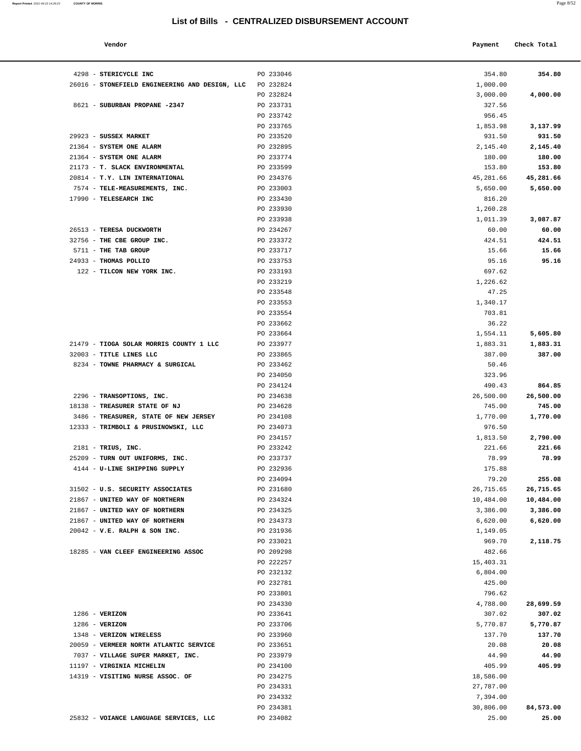**Report Printed** 2021-04-23 14:29:23 **COUNTY OF MORRIS** 

| $\sim$ |
|--------|
|        |

| Vendor                                 |           | Payment   | Check Total |
|----------------------------------------|-----------|-----------|-------------|
| STERICYCLE INC                         | PO 233046 | 354.80    | 354.80      |
| STONEFIELD ENGINEERING AND DESIGN, LLC | PO 232824 | 1,000.00  |             |
|                                        | PO 232824 | 3,000.00  | 4,000.00    |
| SUBURBAN PROPANE -2347                 | PO 233731 | 327.56    |             |
|                                        | PO 233742 | 956.45    |             |
|                                        | PO 233765 | 1,853.98  | 3,137.99    |
| SUSSEX MARKET                          | PO 233520 | 931.50    | 931.50      |
| <b>SYSTEM ONE ALARM</b>                | PO 232895 | 2,145.40  | 2,145.40    |
| SYSTEM ONE ALARM                       | PO 233774 | 180.00    | 180.00      |
| T. SLACK ENVIRONMENTAL                 | PO 233599 | 153.80    | 153.80      |
| <b>T.Y. LIN INTERNATIONAL</b>          | PO 234376 | 45,281.66 | 45,281.66   |
| TELE-MEASUREMENTS, INC.                | PO 233003 | 5,650.00  | 5,650.00    |
| <b>TELESEARCH INC</b>                  | PO 233430 | 816.20    |             |
|                                        | PO 233930 | 1,260.28  |             |
|                                        | PO 233938 | 1,011.39  | 3,087.87    |
| <b>TERESA DUCKWORTH</b>                | PO 234267 | 60.00     | 60.00       |
| THE CBE GROUP INC.                     | PO 233372 | 424.51    | 424.51      |
| THE TAB GROUP                          | PO 233717 | 15.66     | 15.66       |
| THOMAS POLLIO                          | PO 233753 | 95.16     | 95.16       |
| TILCON NEW YORK INC.                   | PO 233193 | 697.62    |             |
|                                        | PO 233219 | 1,226.62  |             |
|                                        | PO 233548 | 47.25     |             |
|                                        | PO 233553 | 1,340.17  |             |
|                                        | PO 233554 | 703.81    |             |
|                                        | PO 233662 | 36.22     |             |
|                                        | PO 233664 | 1,554.11  | 5,605.80    |
| TIOGA SOLAR MORRIS COUNTY 1 LLC        | PO 233977 | 1,883.31  | 1,883.31    |
| TITLE LINES LLC                        | PO 233865 | 387.00    | 387.00      |
| TOWNE PHARMACY & SURGICAL              | PO 233462 | 50.46     |             |
|                                        | PO 234050 | 323.96    |             |
|                                        | PO 234124 | 490.43    | 864.85      |
| TRANSOPTIONS, INC.                     | PO 234638 | 26,500.00 | 26,500.00   |
| <b>TREASURER STATE OF NJ</b>           | PO 234628 | 745.00    | 745.00      |
| <b>TREASURER, STATE OF NEW JERSEY</b>  | PO 234108 | 1,770.00  | 1,770.00    |
| TRIMBOLI & PRUSINOWSKI, LLC            | PO 234073 | 976.50    |             |
|                                        | PO 234157 | 1,813.50  | 2,790.00    |
| TRIUS, INC.                            | PO 233242 | 221.66    | 221.66      |
| TURN OUT UNIFORMS, INC.                | PO 233737 | 78.99     | 78.99       |
| U-LINE SHIPPING SUPPLY                 | PO 232936 | 175.88    |             |
|                                        | PO 234094 | 79.20     | 255.08      |
| U.S. SECURITY ASSOCIATES               | PO 231680 | 26,715.65 | 26,715.65   |
| UNITED WAY OF NORTHERN                 | PO 234324 | 10,484.00 | 10,484.00   |
| UNITED WAY OF NORTHERN                 | PO 234325 | 3,386.00  | 3,386.00    |
| UNITED WAY OF NORTHERN                 | PO 234373 | 6,620.00  | 6,620.00    |
| V.E. RALPH & SON INC.                  | PO 231936 | 1,149.05  |             |
|                                        | PO 233021 | 969.70    | 2,118.75    |
| VAN CLEEF ENGINEERING ASSOC            | PO 209298 | 482.66    |             |
|                                        | PO 222257 | 15,403.31 |             |
|                                        | PO 232132 | 6,804.00  |             |

| 4298 - STERICYCLE INC                                            | PO 233046 | 354.80    | 354.80    |
|------------------------------------------------------------------|-----------|-----------|-----------|
| 26016 - STONEFIELD ENGINEERING AND DESIGN, LLC                   | PO 232824 | 1,000.00  |           |
|                                                                  | PO 232824 | 3,000.00  | 4,000.00  |
| 8621 - SUBURBAN PROPANE -2347                                    | PO 233731 | 327.56    |           |
|                                                                  | PO 233742 | 956.45    |           |
|                                                                  | PO 233765 | 1,853.98  | 3,137.99  |
| 29923 - SUSSEX MARKET                                            | PO 233520 | 931.50    | 931.50    |
| 21364 - SYSTEM ONE ALARM                                         | PO 232895 | 2,145.40  | 2,145.40  |
| 21364 - SYSTEM ONE ALARM                                         | PO 233774 | 180.00    | 180.00    |
| 21173 - T. SLACK ENVIRONMENTAL                                   | PO 233599 | 153.80    | 153.80    |
| 20814 - T.Y. LIN INTERNATIONAL                                   | PO 234376 | 45,281.66 | 45,281.66 |
| 7574 - TELE-MEASUREMENTS, INC.                                   | PO 233003 | 5,650.00  | 5,650.00  |
| 17990 - TELESEARCH INC                                           | PO 233430 | 816.20    |           |
|                                                                  | PO 233930 | 1,260.28  |           |
|                                                                  | PO 233938 | 1,011.39  | 3,087.87  |
| 26513 - TERESA DUCKWORTH                                         | PO 234267 | 60.00     | 60.00     |
| 32756 - THE CBE GROUP INC.                                       | PO 233372 | 424.51    | 424.51    |
| 5711 - THE TAB GROUP                                             | PO 233717 | 15.66     | 15.66     |
| 24933 - THOMAS POLLIO                                            | PO 233753 | 95.16     | 95.16     |
| 122 - TILCON NEW YORK INC.                                       | PO 233193 | 697.62    |           |
|                                                                  | PO 233219 | 1,226.62  |           |
|                                                                  | PO 233548 | 47.25     |           |
|                                                                  | PO 233553 | 1,340.17  |           |
|                                                                  | PO 233554 | 703.81    |           |
|                                                                  | PO 233662 | 36.22     |           |
|                                                                  | PO 233664 | 1,554.11  | 5,605.80  |
| 21479 - TIOGA SOLAR MORRIS COUNTY 1 LLC                          | PO 233977 | 1,883.31  | 1,883.31  |
| 32003 - TITLE LINES LLC                                          | PO 233865 | 387.00    | 387.00    |
| 8234 - TOWNE PHARMACY & SURGICAL                                 | PO 233462 | 50.46     |           |
|                                                                  | PO 234050 | 323.96    |           |
|                                                                  | PO 234124 | 490.43    | 864.85    |
| 2296 - TRANSOPTIONS, INC.                                        | PO 234638 | 26,500.00 | 26,500.00 |
| 18138 - TREASURER STATE OF NJ                                    | PO 234628 | 745.00    | 745.00    |
| 3486 - TREASURER, STATE OF NEW JERSEY                            | PO 234108 | 1,770.00  | 1,770.00  |
| 12333 - TRIMBOLI & PRUSINOWSKI, LLC                              | PO 234073 | 976.50    |           |
|                                                                  | PO 234157 | 1,813.50  | 2,790.00  |
| 2181 - TRIUS, INC.                                               | PO 233242 | 221.66    | 221.66    |
| 25209 - TURN OUT UNIFORMS, INC.                                  | PO 233737 | 78.99     | 78.99     |
| 4144 - U-LINE SHIPPING SUPPLY                                    | PO 232936 | 175.88    |           |
|                                                                  | PO 234094 | 79.20     | 255.08    |
| 31502 - U.S. SECURITY ASSOCIATES                                 | PO 231680 |           |           |
|                                                                  |           | 26,715.65 | 26,715.65 |
| 21867 - UNITED WAY OF NORTHERN                                   | PO 234324 | 10,484.00 | 10,484.00 |
| 21867 - UNITED WAY OF NORTHERN<br>21867 - UNITED WAY OF NORTHERN | PO 234325 | 3,386.00  | 3,386.00  |
|                                                                  | PO 234373 | 6,620.00  | 6,620.00  |
| 20042 - V.E. RALPH & SON INC.                                    | PO 231936 | 1,149.05  |           |
|                                                                  | PO 233021 | 969.70    | 2,118.75  |
| 18285 - VAN CLEEF ENGINEERING ASSOC                              | PO 209298 | 482.66    |           |
|                                                                  | PO 222257 | 15,403.31 |           |
|                                                                  | PO 232132 | 6,804.00  |           |
|                                                                  | PO 232781 | 425.00    |           |
|                                                                  | PO 233801 | 796.62    |           |
|                                                                  | PO 234330 | 4,788.00  | 28,699.59 |
| $1286$ - VERIZON                                                 | PO 233641 | 307.02    | 307.02    |
| $1286$ - VERIZON                                                 | PO 233706 | 5,770.87  | 5,770.87  |
| 1348 - VERIZON WIRELESS                                          | PO 233960 | 137.70    | 137.70    |
| 20059 - VERMEER NORTH ATLANTIC SERVICE                           | PO 233651 | 20.08     | 20.08     |
| 7037 - VILLAGE SUPER MARKET, INC.                                | PO 233979 | 44.90     | 44.90     |
| 11197 - VIRGINIA MICHELIN                                        | PO 234100 | 405.99    | 405.99    |
| 14319 - VISITING NURSE ASSOC. OF                                 | PO 234275 | 18,586.00 |           |
|                                                                  | PO 234331 | 27,787.00 |           |
|                                                                  | PO 234332 | 7,394.00  |           |
|                                                                  | PO 234381 | 30,806.00 | 84,573.00 |

25832 - **VOIANCE LANGUAGE SERVICES, LLC** PO 234082 25.00 **25.00**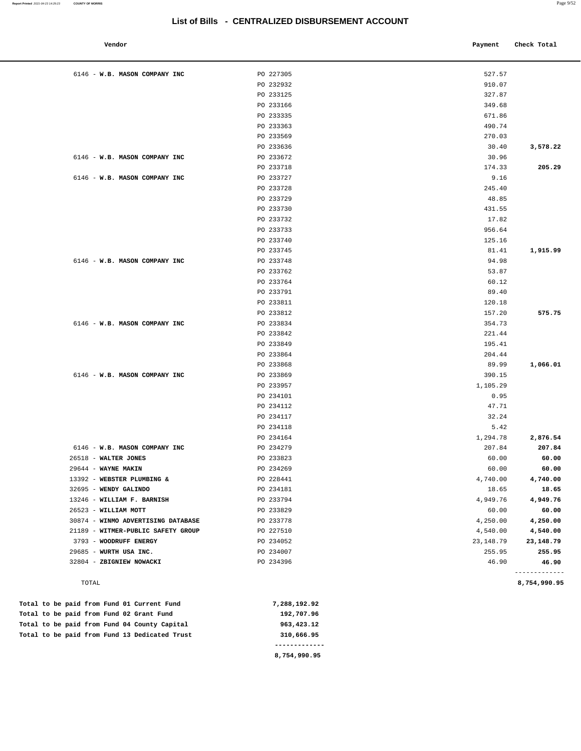| Vendor                             |                        | Payment          | Check Total |
|------------------------------------|------------------------|------------------|-------------|
|                                    |                        |                  |             |
| 6146 - W.B. MASON COMPANY INC      | PO 227305              | 527.57           |             |
|                                    | PO 232932              | 910.07           |             |
|                                    | PO 233125              | 327.87           |             |
|                                    | PO 233166              | 349.68           |             |
|                                    | PO 233335              | 671.86           |             |
|                                    | PO 233363              | 490.74           |             |
|                                    | PO 233569              | 270.03           |             |
| 6146 - W.B. MASON COMPANY INC      | PO 233636              | 30.40            | 3,578.22    |
|                                    | PO 233672<br>PO 233718 | 30.96<br>174.33  |             |
| 6146 - W.B. MASON COMPANY INC      | PO 233727              | 9.16             | 205.29      |
|                                    |                        |                  |             |
|                                    | PO 233728              | 245.40           |             |
|                                    | PO 233729              | 48.85            |             |
|                                    | PO 233730              | 431.55           |             |
|                                    | PO 233732              | 17.82            |             |
|                                    | PO 233733              | 956.64           |             |
|                                    | PO 233740              | 125.16           |             |
|                                    | PO 233745              | 81.41            | 1,915.99    |
| 6146 - W.B. MASON COMPANY INC      | PO 233748              | 94.98            |             |
|                                    | PO 233762              | 53.87            |             |
|                                    | PO 233764              | 60.12            |             |
|                                    | PO 233791              | 89.40            |             |
|                                    | PO 233811              | 120.18           |             |
|                                    | PO 233812<br>PO 233834 | 157.20<br>354.73 | 575.75      |
| 6146 - W.B. MASON COMPANY INC      | PO 233842              | 221.44           |             |
|                                    |                        |                  |             |
|                                    | PO 233849              | 195.41           |             |
|                                    | PO 233864              | 204.44           |             |
| 6146 - W.B. MASON COMPANY INC      | PO 233868<br>PO 233869 | 89.99<br>390.15  | 1,066.01    |
|                                    | PO 233957              | 1,105.29         |             |
|                                    | PO 234101              | 0.95             |             |
|                                    | PO 234112              | 47.71            |             |
|                                    | PO 234117              | 32.24            |             |
|                                    | PO 234118              | 5.42             |             |
|                                    | PO 234164              | 1,294.78         | 2,876.54    |
| 6146 - W.B. MASON COMPANY INC      | PO 234279              | 207.84           | 207.84      |
| 26518 - WALTER JONES               | PO 233823              | 60.00            | 60.00       |
| 29644 - WAYNE MAKIN                | PO 234269              | 60.00            | 60.00       |
| 13392 - WEBSTER PLUMBING &         | PO 228441              | 4,740.00         | 4,740.00    |
| 32695 - WENDY GALINDO              | PO 234181              | 18.65            | 18.65       |
| 13246 - WILLIAM F. BARNISH         | PO 233794              | 4,949.76         | 4,949.76    |
| 26523 - WILLIAM MOTT               | PO 233829              | 60.00            | 60.00       |
| 30874 - WINMO ADVERTISING DATABASE | PO 233778              | 4,250.00         | 4,250.00    |
| 21189 - WITMER-PUBLIC SAFETY GROUP | PO 227510              | 4,540.00         | 4,540.00    |
| 3793 - WOODRUFF ENERGY             | PO 234052              | 23, 148.79       | 23, 148. 79 |
| 29685 - WURTH USA INC.             | PO 234007              | 255.95           | 255.95      |
|                                    |                        |                  |             |

|  |  |  |  | Total to be paid from Fund 13 Dedicated Trust | 310,666.95   |
|--|--|--|--|-----------------------------------------------|--------------|
|  |  |  |  | Total to be paid from Fund 04 County Capital  | 963,423.12   |
|  |  |  |  | Total to be paid from Fund 02 Grant Fund      | 192,707.96   |
|  |  |  |  | Total to be paid from Fund 01 Current Fund    | 7,288,192.92 |

**8,754,990.95** 

TOTAL **8,754,990.95**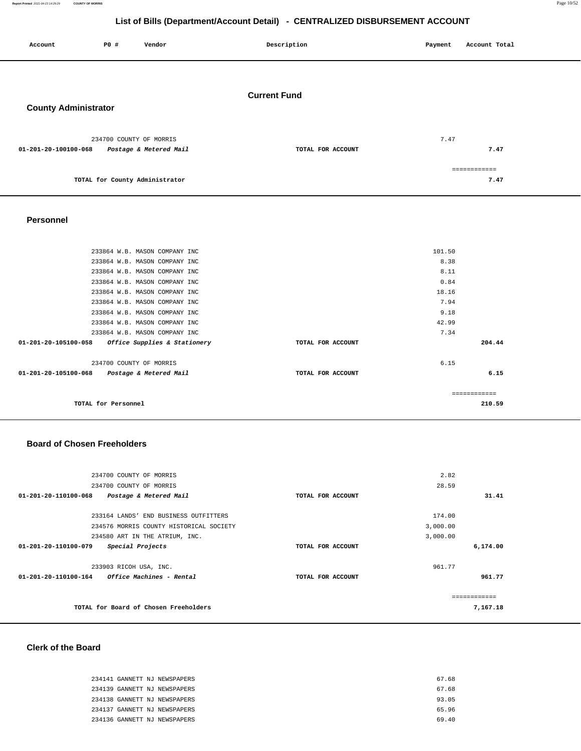**Report Printed** 2021-04-23 14:29:29 **COUNTY OF MORRIS** Page 10/52

### **List of Bills (Department/Account Detail) - CENTRALIZED DISBURSEMENT ACCOUNT**

| Account                     | P0 #                    | Vendor                         | Description         | Payment | Account Total        |
|-----------------------------|-------------------------|--------------------------------|---------------------|---------|----------------------|
| <b>County Administrator</b> |                         |                                | <b>Current Fund</b> |         |                      |
| 01-201-20-100100-068        | 234700 COUNTY OF MORRIS | Postage & Metered Mail         | TOTAL FOR ACCOUNT   | 7.47    | 7.47                 |
|                             |                         | TOTAL for County Administrator |                     |         | ============<br>7.47 |
|                             |                         |                                |                     |         |                      |

#### **Personnel**

| 233864 W.B. MASON COMPANY INC                                   | 101.50            |              |
|-----------------------------------------------------------------|-------------------|--------------|
| 233864 W.B. MASON COMPANY INC                                   | 8.38              |              |
| 233864 W.B. MASON COMPANY INC                                   | 8.11              |              |
| 233864 W.B. MASON COMPANY INC                                   | 0.84              |              |
| 233864 W.B. MASON COMPANY INC                                   | 18.16             |              |
| 233864 W.B. MASON COMPANY INC                                   | 7.94              |              |
| 233864 W.B. MASON COMPANY INC                                   | 9.18              |              |
| 233864 W.B. MASON COMPANY INC                                   | 42.99             |              |
| 233864 W.B. MASON COMPANY INC                                   | 7.34              |              |
| 01-201-20-105100-058<br><i>Office Supplies &amp; Stationery</i> | TOTAL FOR ACCOUNT | 204.44       |
| 234700 COUNTY OF MORRIS                                         | 6.15              |              |
| 01-201-20-105100-068<br>Postage & Metered Mail                  | TOTAL FOR ACCOUNT | 6.15         |
|                                                                 |                   | ------------ |
| TOTAL for Personnel                                             |                   | 210.59       |
|                                                                 |                   |              |

#### **Board of Chosen Freeholders**

| 234700 COUNTY OF MORRIS                                    |                   | 2.82         |
|------------------------------------------------------------|-------------------|--------------|
|                                                            |                   |              |
| 234700 COUNTY OF MORRIS                                    |                   | 28.59        |
| 01-201-20-110100-068<br>Postage & Metered Mail             | TOTAL FOR ACCOUNT | 31.41        |
|                                                            |                   |              |
| 233164 LANDS' END BUSINESS OUTFITTERS                      |                   | 174.00       |
| 234576 MORRIS COUNTY HISTORICAL SOCIETY                    |                   | 3,000.00     |
| 234580 ART IN THE ATRIUM, INC.                             |                   | 3,000.00     |
| $01 - 201 - 20 - 110100 - 079$<br>Special Projects         | TOTAL FOR ACCOUNT | 6,174.00     |
| 233903 RICOH USA, INC.                                     |                   | 961.77       |
| Office Machines - Rental<br>$01 - 201 - 20 - 110100 - 164$ | TOTAL FOR ACCOUNT | 961.77       |
|                                                            |                   | ============ |
| TOTAL for Board of Chosen Freeholders                      |                   | 7,167.18     |

#### **Clerk of the Board**

|  | 234141 GANNETT NJ NEWSPAPERS | 67.68 |  |
|--|------------------------------|-------|--|
|  | 234139 GANNETT NJ NEWSPAPERS | 67.68 |  |
|  | 234138 GANNETT NJ NEWSPAPERS | 93.05 |  |
|  | 234137 GANNETT NJ NEWSPAPERS | 65.96 |  |
|  | 234136 GANNETT NJ NEWSPAPERS | 69.40 |  |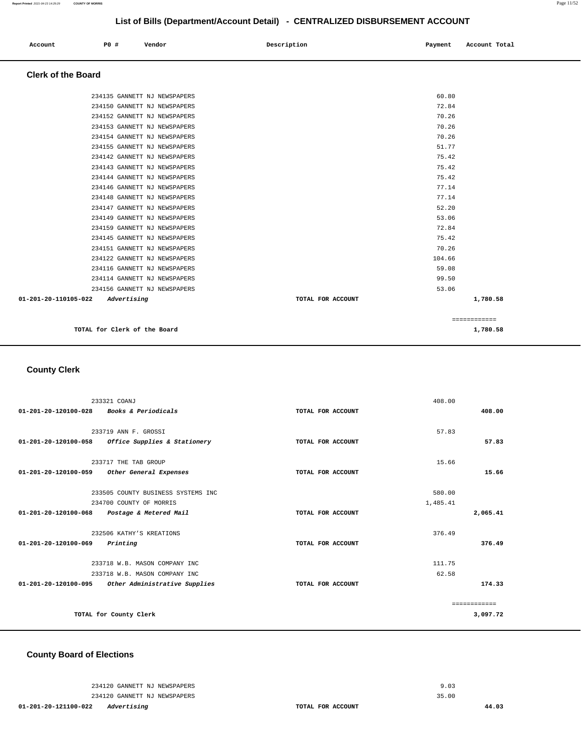| Account<br>. | P0 # | Vendor | Description<br>$\sim$ $\sim$ | Payment | Account Total<br>. |
|--------------|------|--------|------------------------------|---------|--------------------|
|              |      |        |                              |         |                    |

#### **Clerk of the Board**

| 234114 GANNETT NJ NEWSPAPERS<br>234156 GANNETT NJ NEWSPAPERS | 99.50<br>53.06  |  |
|--------------------------------------------------------------|-----------------|--|
| 234122 GANNETT NJ NEWSPAPERS<br>234116 GANNETT NJ NEWSPAPERS | 104.66<br>59.08 |  |
| 234145 GANNETT NJ NEWSPAPERS<br>234151 GANNETT NJ NEWSPAPERS | 75.42<br>70.26  |  |
| 234159 GANNETT NJ NEWSPAPERS                                 | 72.84           |  |
| 234149 GANNETT NJ NEWSPAPERS                                 | 53.06           |  |
| 234147 GANNETT NJ NEWSPAPERS                                 | 52.20           |  |
| 234148 GANNETT NJ NEWSPAPERS                                 | 77.14           |  |
| 234144 GANNETT NJ NEWSPAPERS<br>234146 GANNETT NJ NEWSPAPERS | 75.42<br>77.14  |  |
| 234143 GANNETT NJ NEWSPAPERS                                 | 75.42           |  |
| 234142 GANNETT NJ NEWSPAPERS                                 | 75.42           |  |
| 234155 GANNETT NJ NEWSPAPERS                                 | 51.77           |  |
| 234154 GANNETT NJ NEWSPAPERS                                 | 70.26           |  |
| 234153 GANNETT NJ NEWSPAPERS                                 | 70.26           |  |
| 234152 GANNETT NJ NEWSPAPERS                                 | 70.26           |  |
| 234135 GANNETT NJ NEWSPAPERS<br>234150 GANNETT NJ NEWSPAPERS | 60.80<br>72.84  |  |
|                                                              |                 |  |

# **County Clerk**

|                                          | 233321 COANJ                       |                   | 408.00   |              |
|------------------------------------------|------------------------------------|-------------------|----------|--------------|
| 01-201-20-120100-028 Books & Periodicals |                                    | TOTAL FOR ACCOUNT |          | 408.00       |
|                                          |                                    |                   |          |              |
|                                          | 233719 ANN F. GROSSI               |                   | 57.83    |              |
| 01-201-20-120100-058                     | Office Supplies & Stationery       | TOTAL FOR ACCOUNT |          | 57.83        |
|                                          | 233717 THE TAB GROUP               |                   | 15.66    |              |
| $01 - 201 - 20 - 120100 - 059$           | Other General Expenses             | TOTAL FOR ACCOUNT |          | 15.66        |
|                                          |                                    |                   |          |              |
|                                          | 233505 COUNTY BUSINESS SYSTEMS INC |                   | 580.00   |              |
|                                          | 234700 COUNTY OF MORRIS            |                   | 1,485.41 |              |
| 01-201-20-120100-068                     | Postage & Metered Mail             | TOTAL FOR ACCOUNT |          | 2,065.41     |
|                                          | 232506 KATHY'S KREATIONS           |                   | 376.49   |              |
| 01-201-20-120100-069                     | Printing                           | TOTAL FOR ACCOUNT |          | 376.49       |
|                                          |                                    |                   |          |              |
|                                          | 233718 W.B. MASON COMPANY INC      |                   | 111.75   |              |
|                                          | 233718 W.B. MASON COMPANY INC      |                   | 62.58    |              |
| 01-201-20-120100-095                     | Other Administrative Supplies      | TOTAL FOR ACCOUNT |          | 174.33       |
|                                          |                                    |                   |          | ============ |
|                                          | TOTAL for County Clerk             |                   |          | 3,097.72     |
|                                          |                                    |                   |          |              |

#### **County Board of Elections**

|  | 234120 GANNETT NJ NEWSPAPERS |
|--|------------------------------|
|  | 234120 GANNETT NJ NEWSPAPERS |

**01-201-20-121100-022 Advertising TOTAL FOR ACCOUNT** 

**44.03**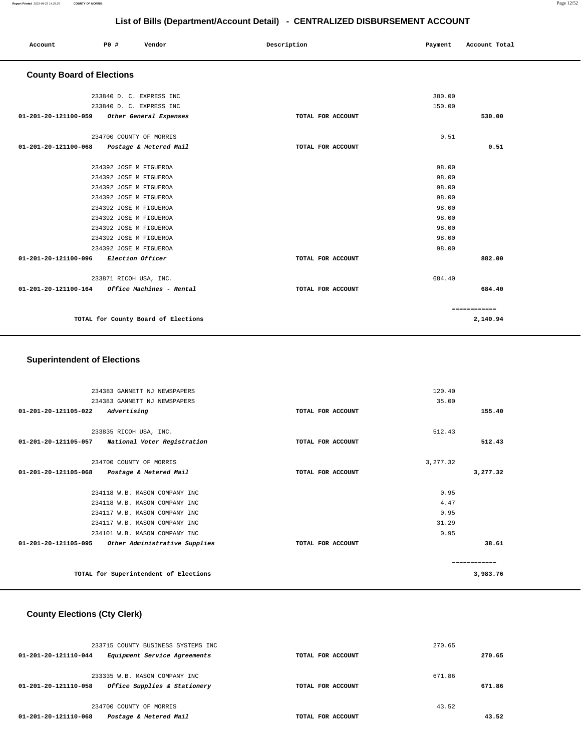|                                  |                          |                                     |             | List of Dins (Department/Negouin Detail) CENTRALIZED DIODOROEMENT AUGUSTIT |         |               |  |
|----------------------------------|--------------------------|-------------------------------------|-------------|----------------------------------------------------------------------------|---------|---------------|--|
| Account                          | P0 #                     | Vendor                              | Description |                                                                            | Payment | Account Total |  |
| <b>County Board of Elections</b> |                          |                                     |             |                                                                            |         |               |  |
|                                  | 233840 D. C. EXPRESS INC |                                     |             |                                                                            | 380.00  |               |  |
|                                  | 233840 D. C. EXPRESS INC |                                     |             |                                                                            | 150.00  |               |  |
| 01-201-20-121100-059             |                          | Other General Expenses              |             | TOTAL FOR ACCOUNT                                                          |         | 530.00        |  |
|                                  | 234700 COUNTY OF MORRIS  |                                     |             |                                                                            | 0.51    |               |  |
| 01-201-20-121100-068             |                          | Postage & Metered Mail              |             | TOTAL FOR ACCOUNT                                                          |         | 0.51          |  |
|                                  | 234392 JOSE M FIGUEROA   |                                     |             |                                                                            | 98.00   |               |  |
|                                  | 234392 JOSE M FIGUEROA   |                                     |             |                                                                            | 98.00   |               |  |
|                                  | 234392 JOSE M FIGUEROA   |                                     |             |                                                                            | 98.00   |               |  |
|                                  | 234392 JOSE M FIGUEROA   |                                     |             |                                                                            | 98.00   |               |  |
|                                  | 234392 JOSE M FIGUEROA   |                                     |             |                                                                            | 98.00   |               |  |
|                                  | 234392 JOSE M FIGUEROA   |                                     |             |                                                                            | 98.00   |               |  |
|                                  | 234392 JOSE M FIGUEROA   |                                     |             |                                                                            | 98.00   |               |  |
|                                  | 234392 JOSE M FIGUEROA   |                                     |             |                                                                            | 98.00   |               |  |
|                                  | 234392 JOSE M FIGUEROA   |                                     |             |                                                                            | 98.00   |               |  |
| 01-201-20-121100-096             | Election Officer         |                                     |             | TOTAL FOR ACCOUNT                                                          |         | 882.00        |  |
|                                  | 233871 RICOH USA, INC.   |                                     |             |                                                                            | 684.40  |               |  |
| 01-201-20-121100-164             |                          | Office Machines - Rental            |             | TOTAL FOR ACCOUNT                                                          |         | 684.40        |  |
|                                  |                          |                                     |             |                                                                            |         | ============  |  |
|                                  |                          | TOTAL for County Board of Elections |             |                                                                            |         | 2,140.94      |  |

#### **Superintendent of Elections**

| 234383 GANNETT NJ NEWSPAPERS                          |                   | 120.40       |        |
|-------------------------------------------------------|-------------------|--------------|--------|
| 234383 GANNETT NJ NEWSPAPERS                          |                   | 35.00        |        |
| $01 - 201 - 20 - 121105 - 022$<br>Advertising         | TOTAL FOR ACCOUNT | 155.40       |        |
|                                                       |                   |              |        |
| 233835 RICOH USA, INC.                                |                   | 512.43       |        |
| 01-201-20-121105-057<br>National Voter Registration   | TOTAL FOR ACCOUNT |              | 512.43 |
|                                                       |                   |              |        |
| 234700 COUNTY OF MORRIS                               |                   | 3, 277.32    |        |
| 01-201-20-121105-068<br>Postage & Metered Mail        | TOTAL FOR ACCOUNT | 3,277.32     |        |
|                                                       |                   |              |        |
| 234118 W.B. MASON COMPANY INC                         |                   | 0.95         |        |
| 234118 W.B. MASON COMPANY INC                         |                   | 4.47         |        |
| 234117 W.B. MASON COMPANY INC                         |                   | 0.95         |        |
| 234117 W.B. MASON COMPANY INC                         |                   | 31.29        |        |
| 234101 W.B. MASON COMPANY INC                         |                   | 0.95         |        |
| 01-201-20-121105-095<br>Other Administrative Supplies | TOTAL FOR ACCOUNT |              | 38.61  |
|                                                       |                   | ------------ |        |
| TOTAL for Superintendent of Elections                 |                   | 3,983.76     |        |

#### **County Elections (Cty Clerk)**

| 233715 COUNTY BUSINESS SYSTEMS INC                   |                   | 270.65 |
|------------------------------------------------------|-------------------|--------|
| 01-201-20-121110-044<br>Equipment Service Agreements | TOTAL FOR ACCOUNT | 270.65 |
|                                                      |                   |        |
| 233335 W.B. MASON COMPANY INC                        |                   | 671.86 |
| Office Supplies & Stationery<br>01-201-20-121110-058 | TOTAL FOR ACCOUNT | 671.86 |
|                                                      |                   |        |
| 234700 COUNTY OF MORRIS                              |                   | 43.52  |
| Postage & Metered Mail<br>01-201-20-121110-068       | TOTAL FOR ACCOUNT | 43.52  |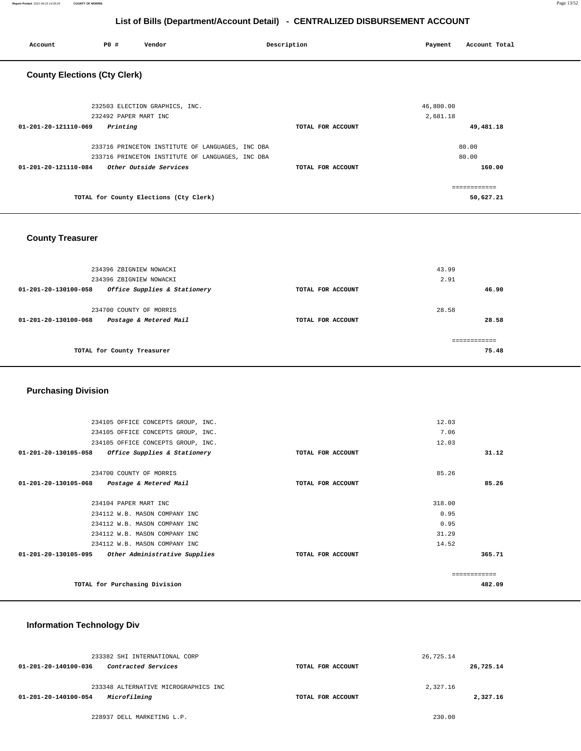| P0 #<br>Account<br>Vendor                                                                            | Description       | Account Total<br>Payment |  |  |  |  |
|------------------------------------------------------------------------------------------------------|-------------------|--------------------------|--|--|--|--|
| <b>County Elections (Cty Clerk)</b>                                                                  |                   |                          |  |  |  |  |
| 232503 ELECTION GRAPHICS, INC.<br>232492 PAPER MART INC                                              |                   | 46,800.00<br>2,681.18    |  |  |  |  |
| 01-201-20-121110-069<br>Printing                                                                     | TOTAL FOR ACCOUNT | 49,481.18                |  |  |  |  |
| 233716 PRINCETON INSTITUTE OF LANGUAGES, INC DBA<br>233716 PRINCETON INSTITUTE OF LANGUAGES, INC DBA |                   | 80.00<br>80.00           |  |  |  |  |
| 01-201-20-121110-084<br>Other Outside Services                                                       | TOTAL FOR ACCOUNT | 160.00                   |  |  |  |  |
| TOTAL for County Elections (Cty Clerk)                                                               |                   | ========<br>50,627.21    |  |  |  |  |
|                                                                                                      |                   |                          |  |  |  |  |

#### **County Treasurer**

| 234396 ZBIGNIEW NOWACKI        |                              |                   | 43.99     |
|--------------------------------|------------------------------|-------------------|-----------|
|                                | 234396 ZBIGNIEW NOWACKI      |                   | 2.91      |
| 01-201-20-130100-058           | Office Supplies & Stationery | TOTAL FOR ACCOUNT | 46.90     |
|                                |                              |                   |           |
|                                | 234700 COUNTY OF MORRIS      |                   | 28.58     |
| $01 - 201 - 20 - 130100 - 068$ | Postage & Metered Mail       | TOTAL FOR ACCOUNT | 28.58     |
|                                |                              |                   |           |
|                                |                              |                   | ========= |
|                                | TOTAL for County Treasurer   |                   | 75.48     |
|                                |                              |                   |           |

#### **Purchasing Division**

|                                                    | 234105 OFFICE CONCEPTS GROUP, INC. |                   | 12.03  |               |
|----------------------------------------------------|------------------------------------|-------------------|--------|---------------|
|                                                    | 234105 OFFICE CONCEPTS GROUP, INC. |                   | 7.06   |               |
|                                                    | 234105 OFFICE CONCEPTS GROUP, INC. |                   | 12.03  |               |
| 01-201-20-130105-058                               | Office Supplies & Stationery       | TOTAL FOR ACCOUNT |        | 31.12         |
| 234700 COUNTY OF MORRIS                            |                                    |                   | 85.26  |               |
| $01 - 201 - 20 - 130105 - 068$                     | Postage & Metered Mail             | TOTAL FOR ACCOUNT |        | 85.26         |
| 234104 PAPER MART INC                              |                                    |                   | 318.00 |               |
|                                                    | 234112 W.B. MASON COMPANY INC      |                   | 0.95   |               |
|                                                    | 234112 W.B. MASON COMPANY INC      |                   | 0.95   |               |
|                                                    | 234112 W.B. MASON COMPANY INC      |                   | 31.29  |               |
|                                                    | 234112 W.B. MASON COMPANY INC      |                   | 14.52  |               |
| 01-201-20-130105-095 Other Administrative Supplies |                                    | TOTAL FOR ACCOUNT |        | 365.71        |
|                                                    |                                    |                   |        | ------------- |
| TOTAL for Purchasing Division                      |                                    |                   |        | 482.09        |
|                                                    |                                    |                   |        |               |

# **Information Technology Div**

| 233382 SHI INTERNATIONAL CORP                                                |                   | 26,725.14 |           |
|------------------------------------------------------------------------------|-------------------|-----------|-----------|
| Contracted Services<br>01-201-20-140100-036                                  | TOTAL FOR ACCOUNT |           | 26,725.14 |
| 233348 ALTERNATIVE MICROGRAPHICS INC<br>Microfilming<br>01-201-20-140100-054 | TOTAL FOR ACCOUNT | 2,327.16  | 2,327.16  |
| 228937 DELL MARKETING L.P.                                                   |                   | 230.00    |           |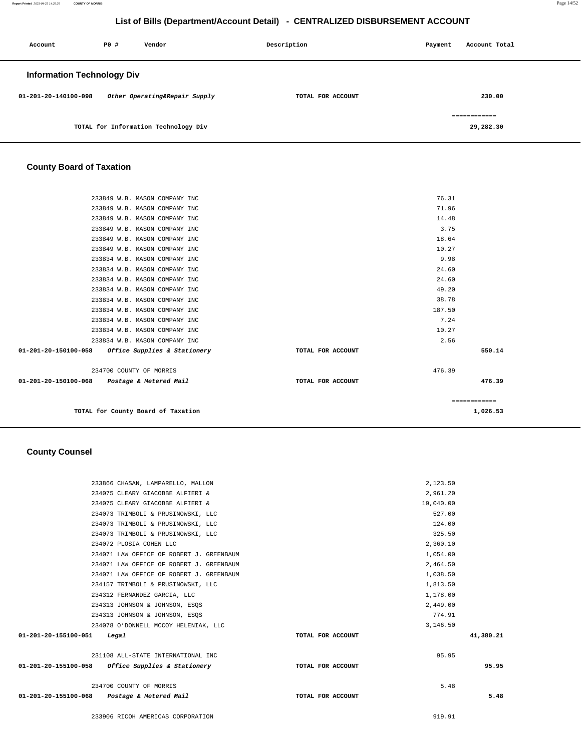| Account                           | <b>PO #</b> | Vendor                               | Description       | Payment | Account Total |  |
|-----------------------------------|-------------|--------------------------------------|-------------------|---------|---------------|--|
| <b>Information Technology Div</b> |             |                                      |                   |         |               |  |
| 01-201-20-140100-098              |             | Other Operating&Repair Supply        | TOTAL FOR ACCOUNT |         | 230.00        |  |
|                                   |             |                                      |                   |         | ============  |  |
|                                   |             | TOTAL for Information Technology Div |                   |         | 29,282.30     |  |

### **County Board of Taxation**

| TOTAL for County Board of Taxation                  |                   | 1,026.53     |
|-----------------------------------------------------|-------------------|--------------|
|                                                     |                   | ============ |
| 01-201-20-150100-068 Postage & Metered Mail         | TOTAL FOR ACCOUNT | 476.39       |
| 234700 COUNTY OF MORRIS                             | 476.39            |              |
| $01-201-20-150100-058$ Office Supplies & Stationery | TOTAL FOR ACCOUNT | 550.14       |
| 233834 W.B. MASON COMPANY INC                       | 2.56              |              |
| 233834 W.B. MASON COMPANY INC                       | 10.27             |              |
| 233834 W.B. MASON COMPANY INC                       | 7.24              |              |
| 233834 W.B. MASON COMPANY INC                       | 187.50            |              |
| 233834 W.B. MASON COMPANY INC                       | 38.78             |              |
| 233834 W.B. MASON COMPANY INC                       | 49.20             |              |
| 233834 W.B. MASON COMPANY INC                       | 24.60             |              |
| 233834 W.B. MASON COMPANY INC                       | 24.60             |              |
| 233834 W.B. MASON COMPANY INC                       | 9.98              |              |
| 233849 W.B. MASON COMPANY INC                       | 10.27             |              |
| 233849 W.B. MASON COMPANY INC                       | 18.64             |              |
| 233849 W.B. MASON COMPANY INC                       | 3.75              |              |
| 233849 W.B. MASON COMPANY INC                       | 14.48             |              |
| 233849 W.B. MASON COMPANY INC                       | 71.96             |              |
| 233849 W.B. MASON COMPANY INC                       | 76.31             |              |

#### **County Counsel**

|                      | 233866 CHASAN, LAMPARELLO, MALLON           |                   | 2,123.50  |           |
|----------------------|---------------------------------------------|-------------------|-----------|-----------|
|                      | 234075 CLEARY GIACOBBE ALFIERI &            |                   | 2,961.20  |           |
|                      | 234075 CLEARY GIACOBBE ALFIERI &            |                   | 19,040.00 |           |
|                      | 234073 TRIMBOLI & PRUSINOWSKI, LLC          |                   | 527.00    |           |
|                      | 234073 TRIMBOLI & PRUSINOWSKI, LLC          |                   | 124.00    |           |
|                      | 234073 TRIMBOLI & PRUSINOWSKI, LLC          |                   | 325.50    |           |
|                      | 234072 PLOSIA COHEN LLC                     |                   | 2,360.10  |           |
|                      | 234071 LAW OFFICE OF ROBERT J. GREENBAUM    |                   | 1,054.00  |           |
|                      | 234071 LAW OFFICE OF ROBERT J. GREENBAUM    |                   | 2,464.50  |           |
|                      | 234071 LAW OFFICE OF ROBERT J. GREENBAUM    |                   | 1,038.50  |           |
|                      | 234157 TRIMBOLI & PRUSINOWSKI, LLC          |                   | 1,813.50  |           |
|                      | 234312 FERNANDEZ GARCIA, LLC                |                   | 1,178.00  |           |
|                      | 234313 JOHNSON & JOHNSON, ESQS              |                   | 2,449.00  |           |
|                      | 234313 JOHNSON & JOHNSON, ESOS              |                   | 774.91    |           |
|                      | 234078 O'DONNELL MCCOY HELENIAK, LLC        |                   | 3,146.50  |           |
| 01-201-20-155100-051 | Legal                                       | TOTAL FOR ACCOUNT |           | 41,380.21 |
|                      | 231108 ALL-STATE INTERNATIONAL INC          |                   | 95.95     |           |
| 01-201-20-155100-058 | Office Supplies & Stationery                | TOTAL FOR ACCOUNT |           | 95.95     |
|                      | 234700 COUNTY OF MORRIS                     |                   | 5.48      |           |
|                      | 01-201-20-155100-068 Postage & Metered Mail | TOTAL FOR ACCOUNT |           | 5.48      |
|                      | 233906 RICOH AMERICAS CORPORATION           |                   | 919.91    |           |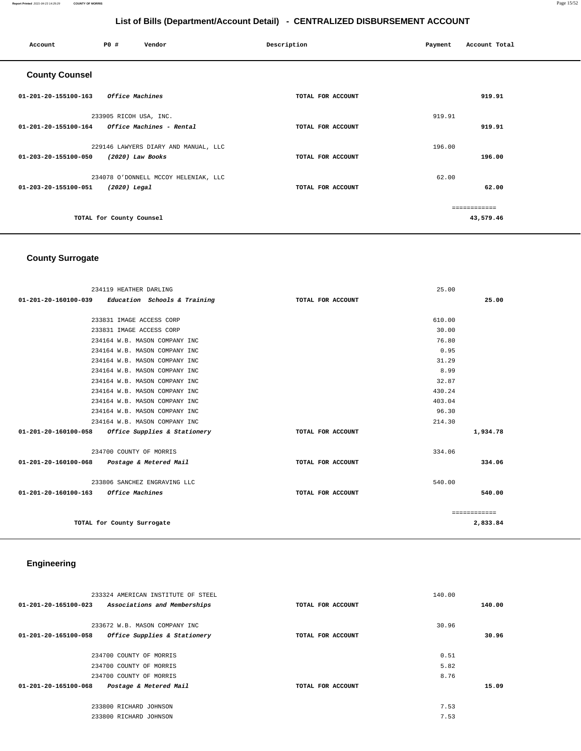#### **Report Printed** 2021-04-23 14:29:29 **COUNTY OF MORRIS** Page 15/52

# **List of Bills (Department/Account Detail) - CENTRALIZED DISBURSEMENT ACCOUNT**

| Account                                       | P0#                      | Vendor                               | Description       | Payment | Account Total |
|-----------------------------------------------|--------------------------|--------------------------------------|-------------------|---------|---------------|
| <b>County Counsel</b>                         |                          |                                      |                   |         |               |
| 01-201-20-155100-163                          | Office Machines          |                                      | TOTAL FOR ACCOUNT |         | 919.91        |
|                                               | 233905 RICOH USA, INC.   |                                      |                   | 919.91  |               |
| 01-201-20-155100-164 Office Machines - Rental |                          |                                      | TOTAL FOR ACCOUNT |         | 919.91        |
|                                               |                          | 229146 LAWYERS DIARY AND MANUAL, LLC |                   | 196.00  |               |
| 01-203-20-155100-050                          | (2020) Law Books         |                                      | TOTAL FOR ACCOUNT |         | 196.00        |
|                                               |                          | 234078 O'DONNELL MCCOY HELENIAK, LLC |                   | 62.00   |               |
| 01-203-20-155100-051                          | (2020) Legal             |                                      | TOTAL FOR ACCOUNT |         | 62.00         |
|                                               |                          |                                      |                   |         | ------------  |
|                                               | TOTAL for County Counsel |                                      |                   |         | 43,579.46     |
|                                               |                          |                                      |                   |         |               |

# **County Surrogate**

| 234119 HEATHER DARLING                              |                   | 25.00  |              |
|-----------------------------------------------------|-------------------|--------|--------------|
| $01-201-20-160100-039$ Education Schools & Training | TOTAL FOR ACCOUNT |        | 25.00        |
|                                                     |                   |        |              |
| 233831 IMAGE ACCESS CORP                            |                   | 610.00 |              |
| 233831 IMAGE ACCESS CORP                            |                   | 30.00  |              |
| 234164 W.B. MASON COMPANY INC                       |                   | 76.80  |              |
| 234164 W.B. MASON COMPANY INC                       |                   | 0.95   |              |
| 234164 W.B. MASON COMPANY INC                       |                   | 31.29  |              |
| 234164 W.B. MASON COMPANY INC                       |                   | 8.99   |              |
| 234164 W.B. MASON COMPANY INC                       |                   | 32.87  |              |
| 234164 W.B. MASON COMPANY INC                       |                   | 430.24 |              |
| 234164 W.B. MASON COMPANY INC                       |                   | 403.04 |              |
| 234164 W.B. MASON COMPANY INC                       |                   | 96.30  |              |
| 234164 W.B. MASON COMPANY INC                       |                   | 214.30 |              |
| 01-201-20-160100-058 Office Supplies & Stationery   | TOTAL FOR ACCOUNT |        | 1,934.78     |
| 234700 COUNTY OF MORRIS                             |                   | 334.06 |              |
| 01-201-20-160100-068 Postage & Metered Mail         | TOTAL FOR ACCOUNT |        | 334.06       |
| 233806 SANCHEZ ENGRAVING LLC                        |                   | 540.00 |              |
| 01-201-20-160100-163 Office Machines                | TOTAL FOR ACCOUNT |        | 540.00       |
|                                                     |                   |        | ============ |
| TOTAL for County Surrogate                          |                   |        | 2,833.84     |

# **Engineering**

| 233324 AMERICAN INSTITUTE OF STEEL                       |                   | 140.00 |
|----------------------------------------------------------|-------------------|--------|
| 01-201-20-165100-023<br>Associations and Memberships     | TOTAL FOR ACCOUNT | 140.00 |
|                                                          |                   |        |
| 233672 W.B. MASON COMPANY INC                            |                   | 30.96  |
| 01-201-20-165100-058<br>Office Supplies & Stationery     | TOTAL FOR ACCOUNT | 30.96  |
|                                                          |                   |        |
| 234700 COUNTY OF MORRIS                                  |                   | 0.51   |
| 234700 COUNTY OF MORRIS                                  |                   | 5.82   |
| 234700 COUNTY OF MORRIS                                  |                   | 8.76   |
| Postage & Metered Mail<br>$01 - 201 - 20 - 165100 - 068$ | TOTAL FOR ACCOUNT | 15.09  |
|                                                          |                   |        |
| 233800 RICHARD JOHNSON                                   |                   | 7.53   |
| 233800 RICHARD JOHNSON                                   |                   | 7.53   |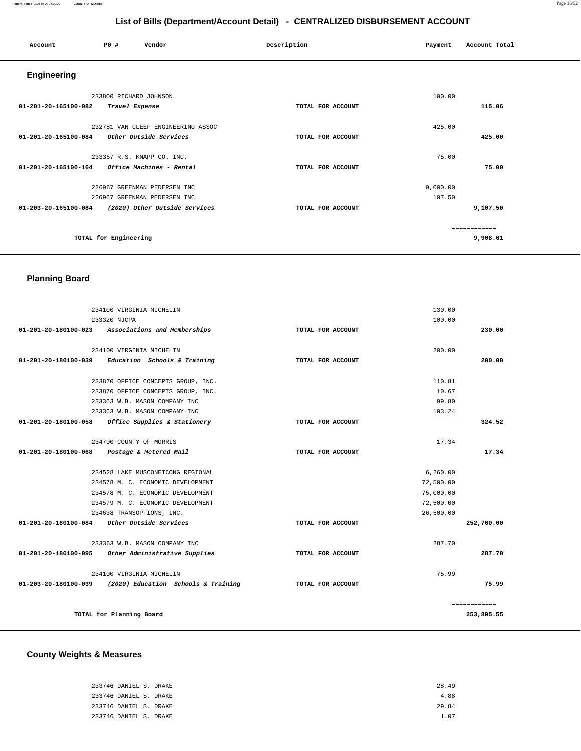| Account              | P0 #                   | Vendor                             | Description       | Payment  | Account Total |
|----------------------|------------------------|------------------------------------|-------------------|----------|---------------|
| Engineering          |                        |                                    |                   |          |               |
|                      | 233800 RICHARD JOHNSON |                                    |                   | 100.00   |               |
| 01-201-20-165100-082 | Travel Expense         |                                    | TOTAL FOR ACCOUNT |          | 115.06        |
|                      |                        | 232781 VAN CLEEF ENGINEERING ASSOC |                   | 425.00   |               |
| 01-201-20-165100-084 |                        | Other Outside Services             | TOTAL FOR ACCOUNT |          | 425.00        |
|                      |                        | 233367 R.S. KNAPP CO. INC.         |                   | 75.00    |               |
| 01-201-20-165100-164 |                        | Office Machines - Rental           | TOTAL FOR ACCOUNT |          | 75.00         |
|                      |                        | 226967 GREENMAN PEDERSEN INC       |                   | 9,000.00 |               |
|                      |                        | 226967 GREENMAN PEDERSEN INC       |                   | 107.50   |               |
| 01-203-20-165100-084 |                        | (2020) Other Outside Services      | TOTAL FOR ACCOUNT |          | 9,107.50      |
|                      |                        |                                    |                   |          | ------------  |
|                      | TOTAL for Engineering  |                                    |                   |          | 9,908.61      |

# **Planning Board**

| 234100 VIRGINIA MICHELIN                                 |                   | 130.00    |              |
|----------------------------------------------------------|-------------------|-----------|--------------|
| 233320 NJCPA                                             |                   | 100.00    |              |
| 01-201-20-180100-023 Associations and Memberships        | TOTAL FOR ACCOUNT |           | 230.00       |
|                                                          |                   |           |              |
| 234100 VIRGINIA MICHELIN                                 |                   | 200.00    |              |
| Education Schools & Training<br>01-201-20-180100-039     | TOTAL FOR ACCOUNT |           | 200.00       |
| 233870 OFFICE CONCEPTS GROUP, INC.                       |                   | 110.81    |              |
| 233870 OFFICE CONCEPTS GROUP, INC.                       |                   | 10.67     |              |
| 233363 W.B. MASON COMPANY INC                            |                   | 99.80     |              |
| 233363 W.B. MASON COMPANY INC                            |                   | 103.24    |              |
| 01-201-20-180100-058 Office Supplies & Stationery        | TOTAL FOR ACCOUNT |           | 324.52       |
|                                                          |                   | 17.34     |              |
| 234700 COUNTY OF MORRIS                                  |                   |           |              |
| 01-201-20-180100-068 Postage & Metered Mail              | TOTAL FOR ACCOUNT |           | 17.34        |
| 234528 LAKE MUSCONETCONG REGIONAL                        |                   | 6,260.00  |              |
| 234578 M. C. ECONOMIC DEVELOPMENT                        |                   | 72,500.00 |              |
| 234578 M. C. ECONOMIC DEVELOPMENT                        |                   | 75,000.00 |              |
| 234579 M. C. ECONOMIC DEVELOPMENT                        |                   | 72,500.00 |              |
| 234638 TRANSOPTIONS, INC.                                |                   | 26,500.00 |              |
| $01-201-20-180100-084$ Other Outside Services            | TOTAL FOR ACCOUNT |           | 252,760.00   |
| 233363 W.B. MASON COMPANY INC                            |                   | 287.70    |              |
| 01-201-20-180100-095 Other Administrative Supplies       | TOTAL FOR ACCOUNT |           | 287.70       |
|                                                          |                   |           |              |
| 234100 VIRGINIA MICHELIN                                 |                   | 75.99     |              |
| 01-203-20-180100-039 (2020) Education Schools & Training | TOTAL FOR ACCOUNT |           | 75.99        |
|                                                          |                   |           | ============ |
| TOTAL for Planning Board                                 |                   |           | 253,895.55   |
|                                                          |                   |           |              |

#### **County Weights & Measures**

| 233746 DANIEL S. DRAKE | 28.49 |
|------------------------|-------|
| 233746 DANIEL S. DRAKE | 4.88  |
| 233746 DANIEL S. DRAKE | 29.84 |
| 233746 DANIEL S. DRAKE | 1.07  |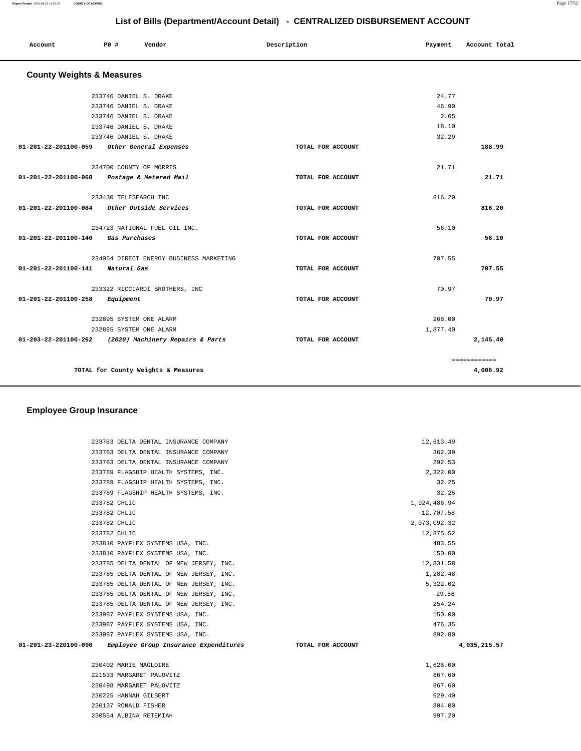| Account                                     | PO# |               | Vendor                                  | Description       | Payment  | Account Total |  |
|---------------------------------------------|-----|---------------|-----------------------------------------|-------------------|----------|---------------|--|
| <b>County Weights &amp; Measures</b>        |     |               |                                         |                   |          |               |  |
|                                             |     |               | 233746 DANIEL S. DRAKE                  |                   | 24.77    |               |  |
|                                             |     |               | 233746 DANIEL S. DRAKE                  |                   | 46.90    |               |  |
|                                             |     |               | 233746 DANIEL S. DRAKE                  |                   | 2.65     |               |  |
|                                             |     |               | 233746 DANIEL S. DRAKE                  |                   | 18.10    |               |  |
|                                             |     |               | 233746 DANIEL S. DRAKE                  |                   | 32.29    |               |  |
| 01-201-22-201100-059                        |     |               | Other General Expenses                  | TOTAL FOR ACCOUNT |          | 188.99        |  |
|                                             |     |               |                                         |                   |          |               |  |
| 01-201-22-201100-068 Postage & Metered Mail |     |               | 234700 COUNTY OF MORRIS                 | TOTAL FOR ACCOUNT | 21.71    | 21.71         |  |
|                                             |     |               |                                         |                   |          |               |  |
|                                             |     |               | 233430 TELESEARCH INC                   |                   | 816.20   |               |  |
| 01-201-22-201100-084                        |     |               | Other Outside Services                  | TOTAL FOR ACCOUNT |          | 816.20        |  |
|                                             |     |               |                                         |                   |          |               |  |
|                                             |     |               | 234723 NATIONAL FUEL OIL INC.           |                   | 56.10    |               |  |
| 01-201-22-201100-140                        |     | Gas Purchases |                                         | TOTAL FOR ACCOUNT |          | 56.10         |  |
|                                             |     |               | 234054 DIRECT ENERGY BUSINESS MARKETING |                   | 707.55   |               |  |
| 01-201-22-201100-141                        |     |               |                                         | TOTAL FOR ACCOUNT |          | 707.55        |  |
|                                             |     | Natural Gas   |                                         |                   |          |               |  |
|                                             |     |               | 233322 RICCIARDI BROTHERS, INC          |                   | 70.97    |               |  |
| 01-201-22-201100-258                        |     | Equipment     |                                         | TOTAL FOR ACCOUNT |          | 70.97         |  |
|                                             |     |               | 232895 SYSTEM ONE ALARM                 |                   | 268.00   |               |  |
|                                             |     |               | 232895 SYSTEM ONE ALARM                 |                   | 1,877.40 |               |  |
| 01-203-22-201100-262                        |     |               | (2020) Machinery Repairs & Parts        | TOTAL FOR ACCOUNT |          | 2,145.40      |  |
|                                             |     |               |                                         |                   |          |               |  |
|                                             |     |               |                                         |                   |          | ============  |  |
|                                             |     |               | TOTAL for County Weights & Measures     |                   |          | 4,006.92      |  |

#### **Employee Group Insurance**

|                      | 233783 DELTA DENTAL INSURANCE COMPANY   |                   | 12,613.49    |              |
|----------------------|-----------------------------------------|-------------------|--------------|--------------|
|                      | 233783 DELTA DENTAL INSURANCE COMPANY   |                   | 362.39       |              |
|                      | 233783 DELTA DENTAL INSURANCE COMPANY   |                   | 292.53       |              |
|                      | 233789 FLAGSHIP HEALTH SYSTEMS, INC.    |                   | 2,322.00     |              |
|                      | 233789 FLAGSHIP HEALTH SYSTEMS, INC.    |                   | 32.25        |              |
|                      | 233789 FLAGSHIP HEALTH SYSTEMS, INC.    |                   | 32.25        |              |
| 233782 CHLIC         |                                         |                   | 1,924,486.94 |              |
| 233782 CHLIC         |                                         |                   | $-12,707.58$ |              |
| 233782 CHLIC         |                                         |                   | 2,073,092.32 |              |
| 233782 CHLIC         |                                         |                   | 12,875.52    |              |
|                      | 233810 PAYFLEX SYSTEMS USA, INC.        |                   | 483.55       |              |
|                      | 233810 PAYFLEX SYSTEMS USA, INC.        |                   | 150.00       |              |
|                      | 233785 DELTA DENTAL OF NEW JERSEY, INC. |                   | 12,831.58    |              |
|                      | 233785 DELTA DENTAL OF NEW JERSEY, INC. |                   | 1,282.48     |              |
|                      | 233785 DELTA DENTAL OF NEW JERSEY, INC. |                   | 5,322.02     |              |
|                      | 233785 DELTA DENTAL OF NEW JERSEY, INC. |                   | $-29.56$     |              |
|                      | 233785 DELTA DENTAL OF NEW JERSEY, INC. |                   | 254.24       |              |
|                      | 233987 PAYFLEX SYSTEMS USA, INC.        |                   | 150.00       |              |
|                      | 233987 PAYFLEX SYSTEMS USA, INC.        |                   | 476.35       |              |
|                      | 233987 PAYFLEX SYSTEMS USA, INC.        |                   | 892.80       |              |
| 01-201-23-220100-090 | Employee Group Insurance Expenditures   | TOTAL FOR ACCOUNT |              | 4,035,215.57 |
|                      |                                         |                   |              |              |
|                      | 230402 MARIE MAGLOIRE                   |                   | 1,626.00     |              |
|                      | 221533 MARGARET PALOVITZ                |                   | 867.60       |              |
|                      | 230498 MARGARET PALOVITZ                |                   | 867.60       |              |
|                      | 230225 HANNAH GILBERT                   |                   | 629.40       |              |
|                      | 230137 RONALD FISHER                    |                   | 804.00       |              |
|                      | 230554 ALBINA RETEMIAH                  |                   | 997.20       |              |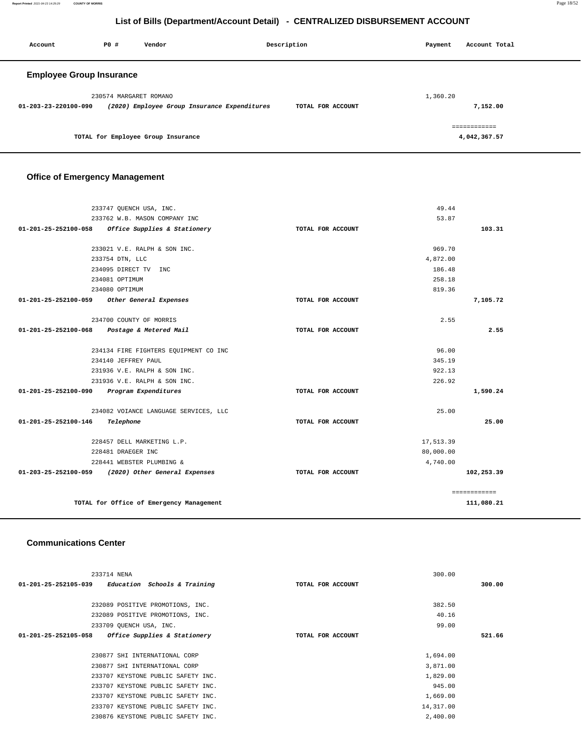| Account                         | P0 #                   | Vendor                             |                                              | Description       |  | Payment  | Account Total |  |
|---------------------------------|------------------------|------------------------------------|----------------------------------------------|-------------------|--|----------|---------------|--|
| <b>Employee Group Insurance</b> |                        |                                    |                                              |                   |  |          |               |  |
|                                 | 230574 MARGARET ROMANO |                                    |                                              |                   |  | 1,360.20 |               |  |
| 01-203-23-220100-090            |                        |                                    | (2020) Employee Group Insurance Expenditures | TOTAL FOR ACCOUNT |  |          | 7,152.00      |  |
|                                 |                        |                                    |                                              |                   |  |          | ============  |  |
|                                 |                        | TOTAL for Employee Group Insurance |                                              |                   |  |          | 4,042,367.57  |  |

# **Office of Emergency Management**

|                                             | 233747 QUENCH USA, INC.                            |                   | 49.44     |              |
|---------------------------------------------|----------------------------------------------------|-------------------|-----------|--------------|
|                                             | 233762 W.B. MASON COMPANY INC                      |                   | 53.87     |              |
| 01-201-25-252100-058                        | Office Supplies & Stationery                       | TOTAL FOR ACCOUNT |           | 103.31       |
|                                             |                                                    |                   |           |              |
|                                             | 233021 V.E. RALPH & SON INC.                       |                   | 969.70    |              |
|                                             | 233754 DTN, LLC                                    |                   | 4.872.00  |              |
|                                             | 234095 DIRECT TV INC                               |                   | 186.48    |              |
|                                             | 234081 OPTIMUM                                     |                   | 258.18    |              |
|                                             | 234080 OPTIMUM                                     |                   | 819.36    |              |
| 01-201-25-252100-059 Other General Expenses |                                                    | TOTAL FOR ACCOUNT |           | 7,105.72     |
|                                             |                                                    |                   |           |              |
|                                             | 234700 COUNTY OF MORRIS                            |                   | 2.55      |              |
| $01 - 201 - 25 - 252100 - 068$              | Postage & Metered Mail                             | TOTAL FOR ACCOUNT |           | 2.55         |
|                                             | 234134 FIRE FIGHTERS EQUIPMENT CO INC              |                   | 96.00     |              |
|                                             | 234140 JEFFREY PAUL                                |                   | 345.19    |              |
|                                             | 231936 V.E. RALPH & SON INC.                       |                   | 922.13    |              |
|                                             | 231936 V.E. RALPH & SON INC.                       |                   | 226.92    |              |
| 01-201-25-252100-090                        | Program Expenditures                               | TOTAL FOR ACCOUNT |           | 1,590.24     |
|                                             | 234082 VOIANCE LANGUAGE SERVICES, LLC              |                   | 25.00     |              |
| 01-201-25-252100-146                        | Telephone                                          | TOTAL FOR ACCOUNT |           | 25.00        |
|                                             | 228457 DELL MARKETING L.P.                         |                   | 17,513.39 |              |
|                                             | 228481 DRAEGER INC                                 |                   | 80,000.00 |              |
|                                             | 228441 WEBSTER PLUMBING &                          |                   | 4,740.00  |              |
|                                             | 01-203-25-252100-059 (2020) Other General Expenses | TOTAL FOR ACCOUNT |           | 102,253.39   |
|                                             |                                                    |                   |           | ============ |
|                                             | TOTAL for Office of Emergency Management           |                   |           | 111,080.21   |
|                                             |                                                    |                   |           |              |

#### **Communications Center**

| 233714 NENA                                          |                   | 300.00    |  |
|------------------------------------------------------|-------------------|-----------|--|
| 01-201-25-252105-039<br>Education Schools & Training | TOTAL FOR ACCOUNT | 300.00    |  |
|                                                      |                   |           |  |
| 232089 POSITIVE PROMOTIONS, INC.                     |                   | 382.50    |  |
| 232089 POSITIVE PROMOTIONS, INC.                     |                   | 40.16     |  |
| 233709 QUENCH USA, INC.                              |                   | 99.00     |  |
| 01-201-25-252105-058<br>Office Supplies & Stationery | TOTAL FOR ACCOUNT | 521.66    |  |
|                                                      |                   |           |  |
| 230877 SHI INTERNATIONAL CORP                        |                   | 1,694.00  |  |
| 230877 SHI INTERNATIONAL CORP                        |                   | 3,871.00  |  |
| 233707 KEYSTONE PUBLIC SAFETY INC.                   |                   | 1,829.00  |  |
| 233707 KEYSTONE PUBLIC SAFETY INC.                   |                   | 945.00    |  |
| 233707 KEYSTONE PUBLIC SAFETY INC.                   |                   | 1,669.00  |  |
| 233707 KEYSTONE PUBLIC SAFETY INC.                   |                   | 14,317.00 |  |
| 230876 KEYSTONE PUBLIC SAFETY INC.                   |                   | 2,400.00  |  |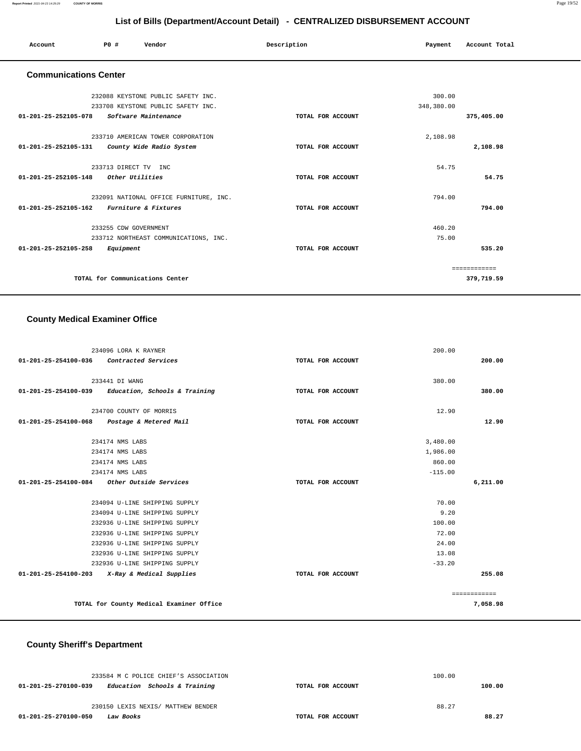| Account | <b>PO</b> # | Vendor | Description | Payment | Account Total |
|---------|-------------|--------|-------------|---------|---------------|
|         |             |        |             |         |               |

#### **Communications Center**

| 232088 KEYSTONE PUBLIC SAFETY INC.                |                   | 300.00     |              |
|---------------------------------------------------|-------------------|------------|--------------|
| 233708 KEYSTONE PUBLIC SAFETY INC.                |                   | 348,380.00 |              |
| Software Maintenance<br>01-201-25-252105-078      | TOTAL FOR ACCOUNT |            | 375,405.00   |
|                                                   |                   |            |              |
| 233710 AMERICAN TOWER CORPORATION                 |                   | 2,108.98   |              |
| 01-201-25-252105-131<br>County Wide Radio System  | TOTAL FOR ACCOUNT |            | 2,108.98     |
|                                                   |                   |            |              |
| 233713 DIRECT TV INC                              |                   | 54.75      |              |
| $01 - 201 - 25 - 252105 - 148$<br>Other Utilities | TOTAL FOR ACCOUNT |            | 54.75        |
|                                                   |                   |            |              |
| 232091 NATIONAL OFFICE FURNITURE, INC.            |                   | 794.00     |              |
| 01-201-25-252105-162 Furniture & Fixtures         | TOTAL FOR ACCOUNT |            | 794.00       |
|                                                   |                   |            |              |
| 233255 CDW GOVERNMENT                             |                   | 460.20     |              |
| 233712 NORTHEAST COMMUNICATIONS, INC.             |                   | 75.00      |              |
| $01 - 201 - 25 - 252105 - 258$<br>Equipment       | TOTAL FOR ACCOUNT |            | 535.20       |
|                                                   |                   |            |              |
|                                                   |                   |            | ------------ |
| TOTAL for Communications Center                   |                   |            | 379,719.59   |
|                                                   |                   |            |              |

#### **County Medical Examiner Office**

|                      | 234096 LORA K RAYNER                                 |                   | 200.00    |              |
|----------------------|------------------------------------------------------|-------------------|-----------|--------------|
| 01-201-25-254100-036 | Contracted Services                                  | TOTAL FOR ACCOUNT |           | 200.00       |
|                      |                                                      |                   |           |              |
|                      | 233441 DI WANG                                       |                   | 380.00    |              |
|                      | $01-201-25-254100-039$ Education, Schools & Training | TOTAL FOR ACCOUNT |           | 380.00       |
|                      | 234700 COUNTY OF MORRIS                              |                   | 12.90     |              |
| 01-201-25-254100-068 | Postage & Metered Mail                               | TOTAL FOR ACCOUNT |           | 12.90        |
|                      | 234174 NMS LABS                                      |                   | 3,480.00  |              |
|                      | 234174 NMS LABS                                      |                   | 1,986.00  |              |
|                      | 234174 NMS LABS                                      |                   | 860.00    |              |
|                      | 234174 NMS LABS                                      |                   | $-115.00$ |              |
|                      | 01-201-25-254100-084 Other Outside Services          | TOTAL FOR ACCOUNT |           | 6,211.00     |
|                      | 234094 U-LINE SHIPPING SUPPLY                        |                   | 70.00     |              |
|                      | 234094 U-LINE SHIPPING SUPPLY                        |                   | 9.20      |              |
|                      | 232936 U-LINE SHIPPING SUPPLY                        |                   | 100.00    |              |
|                      | 232936 U-LINE SHIPPING SUPPLY                        |                   | 72.00     |              |
|                      | 232936 U-LINE SHIPPING SUPPLY                        |                   | 24.00     |              |
|                      | 232936 U-LINE SHIPPING SUPPLY                        |                   | 13.08     |              |
|                      | 232936 U-LINE SHIPPING SUPPLY                        |                   | $-33.20$  |              |
|                      | 01-201-25-254100-203 X-Ray & Medical Supplies        | TOTAL FOR ACCOUNT |           | 255.08       |
|                      |                                                      |                   |           | ============ |
|                      | TOTAL for County Medical Examiner Office             |                   |           | 7,058.98     |

# **County Sheriff's Department**

| 233584 M C POLICE CHIEF'S ASSOCIATION                |                   | 100.00 |        |
|------------------------------------------------------|-------------------|--------|--------|
| Education Schools & Training<br>01-201-25-270100-039 | TOTAL FOR ACCOUNT |        | 100.00 |
| 230150 LEXIS NEXIS/ MATTHEW BENDER                   |                   | 88.27  |        |
| 01-201-25-270100-050<br>Law Books                    | TOTAL FOR ACCOUNT |        | 88.27  |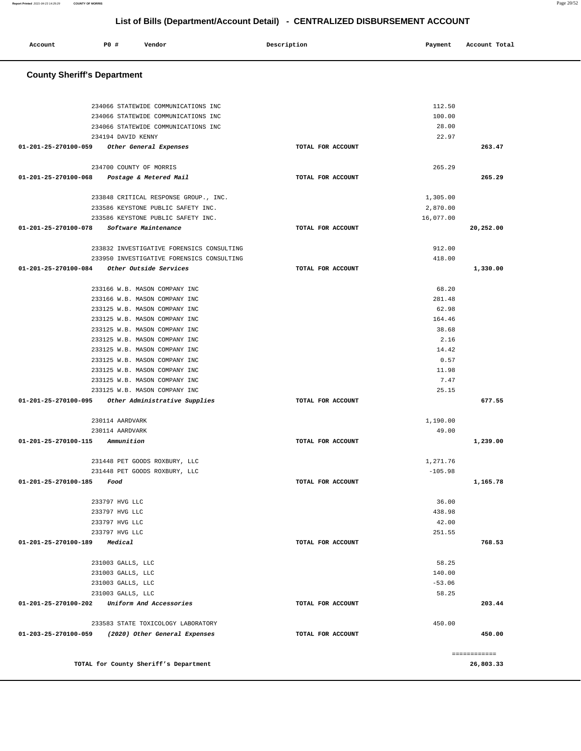#### **Account P0 # Vendor Description Payment Account Total County Sheriff's Department** 234066 STATEWIDE COMMUNICATIONS INC 234066 STATEWIDE COMMUNICATIONS INC 234066 STATEWIDE COMMUNICATIONS INC 234194 DAVID KENNY **01-201-25-270100-059 Other General Expenses TOTAL FOR ACCOUNT**  112.50 100.00 28.00 22.97 **263.47** 234700 COUNTY OF MORRIS **01-201-25-270100-068 Postage & Metered Mail TOTAL FOR ACCOUNT**  265.29 **265.29** 233848 CRITICAL RESPONSE GROUP., INC. 233586 KEYSTONE PUBLIC SAFETY INC. 233586 KEYSTONE PUBLIC SAFETY INC. **01-201-25-270100-078 Software Maintenance TOTAL FOR ACCOUNT**  1,305.00 2,870.00 16,077.00 **20,252.00** 233832 INVESTIGATIVE FORENSICS CONSULTING 233950 INVESTIGATIVE FORENSICS CONSULTING **01-201-25-270100-084 Other Outside Services TOTAL FOR ACCOUNT**  912.00 418.00 **1,330.00** 233166 W.B. MASON COMPANY INC 233166 W.B. MASON COMPANY INC 233125 W.B. MASON COMPANY INC 233125 W.B. MASON COMPANY INC 233125 W.B. MASON COMPANY INC 233125 W.B. MASON COMPANY INC 233125 W.B. MASON COMPANY INC 233125 W.B. MASON COMPANY INC 233125 W.B. MASON COMPANY INC 233125 W.B. MASON COMPANY INC 233125 W.B. MASON COMPANY INC **01-201-25-270100-095 Other Administrative Supplies TOTAL FOR ACCOUNT**  68.20 281.48 62.98 164.46 38.68 2.16 14.42 0.57 11.98 7.47 25.15 **677.55** 230114 AARDVARK 230114 AARDVARK **01-201-25-270100-115 Ammunition TOTAL FOR ACCOUNT**  1,190.00 49.00 **1,239.00** 231448 PET GOODS ROXBURY, LLC 231448 PET GOODS ROXBURY, LLC **01-201-25-270100-185 Food TOTAL FOR ACCOUNT**  1,271.76 -105.98 **1,165.78** 233797 HVG LLC 233797 HVG LLC 36.00 438.98

233797 HVG LLC 233797 HVG LLC

 231003 GALLS, LLC 231003 GALLS, LLC 231003 GALLS, LLC 231003 GALLS, LLC

**01-201-25-270100-189 Medical TOTAL FOR ACCOUNT** 

**01-201-25-270100-202 Uniform And Accessories TOTAL FOR ACCOUNT** 

**01-203-25-270100-059 (2020) Other General Expenses TOTAL FOR ACCOUNT** 

233583 STATE TOXICOLOGY LABORATORY

**TOTAL for County Sheriff's Department** 

**List of Bills (Department/Account Detail) - CENTRALIZED DISBURSEMENT ACCOUNT**

**Report Printed** 2021-04-23 14:29:29 **COUNTY OF MORRIS** Page 20/52

42.00 251.55

58.25 140.00 -53.06 58.25

450.00

**768.53**

**203.44**

**450.00**

============ **26,803.33**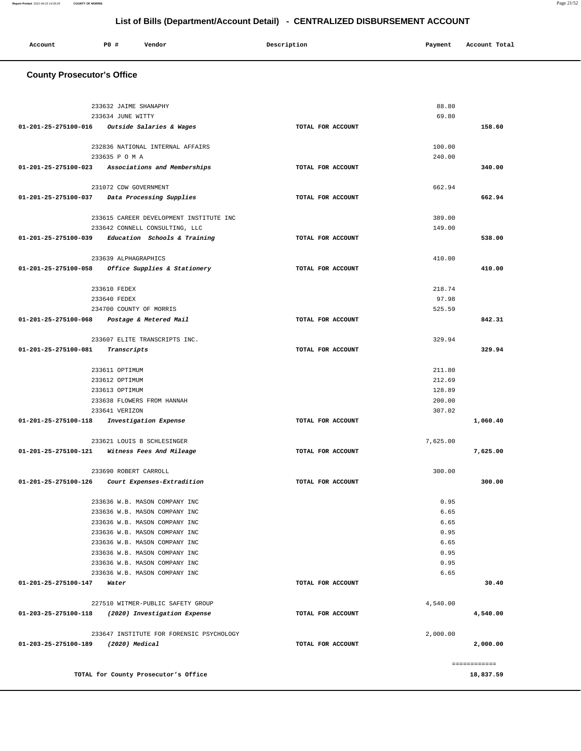#### **Report Printed** 2021-04-23 14:29:29 **COUNTY OF MORRIS** Page 21/52

# **List of Bills (Department/Account Detail) - CENTRALIZED DISBURSEMENT ACCOUNT**

| Account | P0 # | Vendor | Description | Payment | Account Total |
|---------|------|--------|-------------|---------|---------------|
|         |      |        |             |         |               |

# **County Prosecutor's Office**

|                                     | 233632 JAIME SHANAPHY                             |                   | 88.80    |              |
|-------------------------------------|---------------------------------------------------|-------------------|----------|--------------|
|                                     | 233634 JUNE WITTY                                 |                   | 69.80    |              |
|                                     | 01-201-25-275100-016 Outside Salaries & Wages     | TOTAL FOR ACCOUNT |          | 158.60       |
|                                     |                                                   |                   |          |              |
|                                     | 232836 NATIONAL INTERNAL AFFAIRS                  |                   | 100.00   |              |
|                                     | 233635 P O M A                                    |                   | 240.00   |              |
|                                     | 01-201-25-275100-023 Associations and Memberships | TOTAL FOR ACCOUNT |          | 340.00       |
|                                     | 231072 CDW GOVERNMENT                             |                   | 662.94   |              |
|                                     | 01-201-25-275100-037 Data Processing Supplies     | TOTAL FOR ACCOUNT |          | 662.94       |
|                                     |                                                   |                   |          |              |
|                                     | 233615 CAREER DEVELOPMENT INSTITUTE INC           |                   | 389.00   |              |
|                                     | 233642 CONNELL CONSULTING, LLC                    |                   | 149.00   |              |
|                                     | 01-201-25-275100-039 Education Schools & Training | TOTAL FOR ACCOUNT |          | 538.00       |
|                                     | 233639 ALPHAGRAPHICS                              |                   | 410.00   |              |
|                                     | 01-201-25-275100-058 Office Supplies & Stationery | TOTAL FOR ACCOUNT |          | 410.00       |
|                                     |                                                   |                   |          |              |
|                                     | 233610 FEDEX                                      |                   | 218.74   |              |
|                                     | 233640 FEDEX                                      |                   | 97.98    |              |
|                                     | 234700 COUNTY OF MORRIS                           |                   | 525.59   |              |
| 01-201-25-275100-068                | Postage & Metered Mail                            | TOTAL FOR ACCOUNT |          | 842.31       |
|                                     |                                                   |                   |          |              |
|                                     | 233607 ELITE TRANSCRIPTS INC.                     |                   | 329.94   |              |
| 01-201-25-275100-081                | Transcripts                                       | TOTAL FOR ACCOUNT |          | 329.94       |
|                                     |                                                   |                   |          |              |
|                                     | 233611 OPTIMUM                                    |                   | 211.80   |              |
|                                     | 233612 OPTIMUM                                    |                   | 212.69   |              |
|                                     | 233613 OPTIMUM                                    |                   | 128.89   |              |
|                                     | 233638 FLOWERS FROM HANNAH                        |                   | 200.00   |              |
|                                     | 233641 VERIZON                                    |                   | 307.02   |              |
| 01-201-25-275100-118                | Investigation Expense                             | TOTAL FOR ACCOUNT |          | 1,060.40     |
|                                     | 233621 LOUIS B SCHLESINGER                        |                   | 7,625.00 |              |
| 01-201-25-275100-121                | Witness Fees And Mileage                          | TOTAL FOR ACCOUNT |          | 7,625.00     |
|                                     |                                                   |                   |          |              |
|                                     | 233690 ROBERT CARROLL                             |                   | 300.00   |              |
| 01-201-25-275100-126                | Court Expenses-Extradition                        | TOTAL FOR ACCOUNT |          | 300.00       |
|                                     | 233636 W.B. MASON COMPANY INC                     |                   | 0.95     |              |
|                                     | 233636 W.B. MASON COMPANY INC                     |                   | 6.65     |              |
|                                     | 233636 W.B. MASON COMPANY INC                     |                   | 6.65     |              |
|                                     | 233636 W.B. MASON COMPANY INC                     |                   | 0.95     |              |
|                                     | 233636 W.B. MASON COMPANY INC                     |                   | 6.65     |              |
|                                     | 233636 W.B. MASON COMPANY INC                     |                   | 0.95     |              |
|                                     | 233636 W.B. MASON COMPANY INC                     |                   | 0.95     |              |
|                                     | 233636 W.B. MASON COMPANY INC                     |                   | 6.65     |              |
| 01-201-25-275100-147                | Water                                             | TOTAL FOR ACCOUNT |          | 30.40        |
|                                     |                                                   |                   |          |              |
|                                     | 227510 WITMER-PUBLIC SAFETY GROUP                 |                   | 4,540.00 |              |
|                                     | 01-203-25-275100-118 (2020) Investigation Expense | TOTAL FOR ACCOUNT |          | 4,540.00     |
|                                     | 233647 INSTITUTE FOR FORENSIC PSYCHOLOGY          |                   | 2,000.00 |              |
| 01-203-25-275100-189 (2020) Medical |                                                   | TOTAL FOR ACCOUNT |          | 2,000.00     |
|                                     |                                                   |                   |          |              |
|                                     |                                                   |                   |          | ============ |
|                                     | TOTAL for County Prosecutor's Office              |                   |          | 18,837.59    |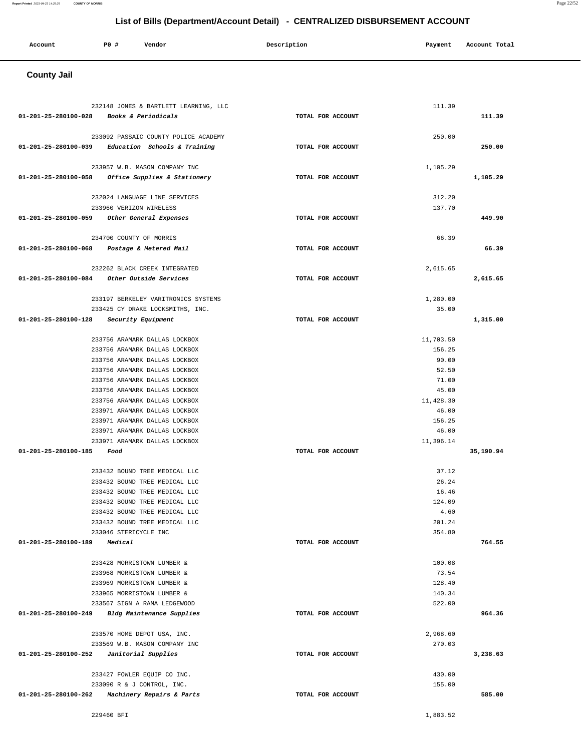Account 20 **P** Pomdor Payment Recount Potal

| <b>County Jail</b>             |                                                                |                   |                |           |
|--------------------------------|----------------------------------------------------------------|-------------------|----------------|-----------|
|                                |                                                                |                   |                |           |
|                                | 232148 JONES & BARTLETT LEARNING, LLC                          |                   | 111.39         |           |
| $01 - 201 - 25 - 280100 - 028$ | Books & Periodicals                                            | TOTAL FOR ACCOUNT |                | 111.39    |
|                                |                                                                |                   |                |           |
|                                | 233092 PASSAIC COUNTY POLICE ACADEMY                           |                   | 250.00         |           |
| 01-201-25-280100-039           | Education Schools & Training                                   | TOTAL FOR ACCOUNT |                | 250.00    |
|                                |                                                                |                   |                |           |
|                                | 233957 W.B. MASON COMPANY INC                                  |                   | 1,105.29       |           |
| $01 - 201 - 25 - 280100 - 058$ | Office Supplies & Stationery                                   | TOTAL FOR ACCOUNT |                | 1,105.29  |
|                                | 232024 LANGUAGE LINE SERVICES                                  |                   | 312.20         |           |
|                                | 233960 VERIZON WIRELESS                                        |                   | 137.70         |           |
| 01-201-25-280100-059           | Other General Expenses                                         | TOTAL FOR ACCOUNT |                | 449.90    |
|                                |                                                                |                   |                |           |
|                                | 234700 COUNTY OF MORRIS                                        |                   | 66.39          |           |
| 01-201-25-280100-068           | Postage & Metered Mail                                         | TOTAL FOR ACCOUNT |                | 66.39     |
|                                |                                                                |                   |                |           |
|                                | 232262 BLACK CREEK INTEGRATED                                  |                   | 2.615.65       |           |
| 01-201-25-280100-084           | Other Outside Services                                         | TOTAL FOR ACCOUNT |                | 2,615.65  |
|                                | 233197 BERKELEY VARITRONICS SYSTEMS                            |                   | 1,280.00       |           |
|                                | 233425 CY DRAKE LOCKSMITHS, INC.                               |                   | 35.00          |           |
| 01-201-25-280100-128           | Security Equipment                                             | TOTAL FOR ACCOUNT |                | 1,315.00  |
|                                |                                                                |                   |                |           |
|                                | 233756 ARAMARK DALLAS LOCKBOX                                  |                   | 11,703.50      |           |
|                                | 233756 ARAMARK DALLAS LOCKBOX                                  |                   | 156.25         |           |
|                                | 233756 ARAMARK DALLAS LOCKBOX                                  |                   | 90.00          |           |
|                                | 233756 ARAMARK DALLAS LOCKBOX                                  |                   | 52.50<br>71.00 |           |
|                                | 233756 ARAMARK DALLAS LOCKBOX<br>233756 ARAMARK DALLAS LOCKBOX |                   | 45.00          |           |
|                                | 233756 ARAMARK DALLAS LOCKBOX                                  |                   | 11,428.30      |           |
|                                | 233971 ARAMARK DALLAS LOCKBOX                                  |                   | 46.00          |           |
|                                | 233971 ARAMARK DALLAS LOCKBOX                                  |                   | 156.25         |           |
|                                | 233971 ARAMARK DALLAS LOCKBOX                                  |                   | 46.00          |           |
|                                | 233971 ARAMARK DALLAS LOCKBOX                                  |                   | 11,396.14      |           |
| 01-201-25-280100-185           | Food                                                           | TOTAL FOR ACCOUNT |                | 35,190.94 |
|                                | 233432 BOUND TREE MEDICAL LLC                                  |                   | 37.12          |           |
|                                | 233432 BOUND TREE MEDICAL LLC                                  |                   | 26.24          |           |
|                                | 233432 BOUND TREE MEDICAL LLC                                  |                   | 16.46          |           |
|                                | 233432 BOUND TREE MEDICAL LLC                                  |                   | 124.09         |           |
|                                | 233432 BOUND TREE MEDICAL LLC                                  |                   | 4.60           |           |
|                                | 233432 BOUND TREE MEDICAL LLC                                  |                   | 201.24         |           |
|                                | 233046 STERICYCLE INC                                          |                   | 354.80         |           |
| 01-201-25-280100-189           | Medical                                                        | TOTAL FOR ACCOUNT |                | 764.55    |
|                                | 233428 MORRISTOWN LUMBER &                                     |                   | 100.08         |           |
|                                | 233968 MORRISTOWN LUMBER &                                     |                   | 73.54          |           |
|                                | 233969 MORRISTOWN LUMBER &                                     |                   | 128.40         |           |
|                                | 233965 MORRISTOWN LUMBER &                                     |                   | 140.34         |           |
|                                | 233567 SIGN A RAMA LEDGEWOOD                                   |                   | 522.00         |           |
| 01-201-25-280100-249           | Bldg Maintenance Supplies                                      | TOTAL FOR ACCOUNT |                | 964.36    |
|                                |                                                                |                   |                |           |
|                                | 233570 HOME DEPOT USA, INC.                                    |                   | 2,968.60       |           |
| 01-201-25-280100-252           | 233569 W.B. MASON COMPANY INC<br>Janitorial Supplies           | TOTAL FOR ACCOUNT | 270.03         | 3,238.63  |
|                                |                                                                |                   |                |           |
|                                | 233427 FOWLER EQUIP CO INC.                                    |                   | 430.00         |           |
|                                | 233090 R & J CONTROL, INC.                                     |                   | 155.00         |           |
| 01-201-25-280100-262           | Machinery Repairs & Parts                                      | TOTAL FOR ACCOUNT |                | 585.00    |
|                                |                                                                |                   |                |           |
|                                | 229460 BFI                                                     |                   | 1,883.52       |           |

**Report Printed** 2021-04-23 14:29:29 **COUNTY OF MORRIS** Page 22/52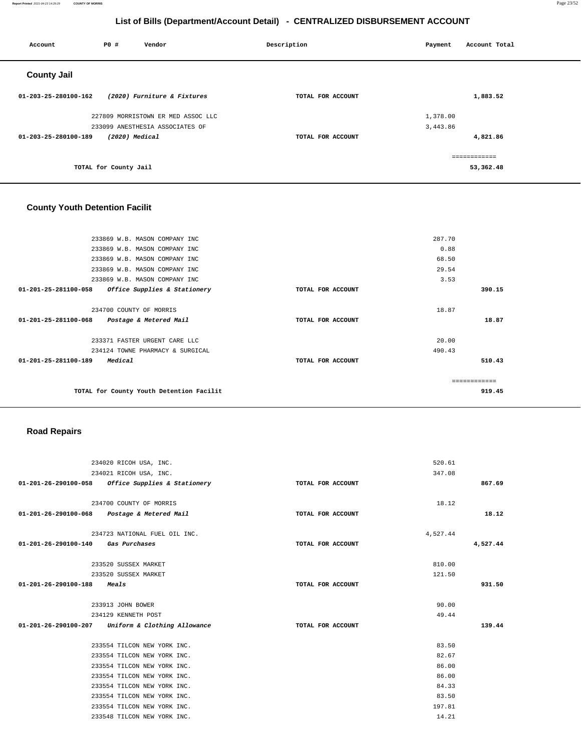#### **Report Printed** 2021-04-23 14:29:29 **COUNTY OF MORRIS** Page 23/52

### **List of Bills (Department/Account Detail) - CENTRALIZED DISBURSEMENT ACCOUNT**

| Account              | P0 #                  | Vendor                             | Description       | Payment  | Account Total |
|----------------------|-----------------------|------------------------------------|-------------------|----------|---------------|
| <b>County Jail</b>   |                       |                                    |                   |          |               |
| 01-203-25-280100-162 |                       | (2020) Furniture & Fixtures        | TOTAL FOR ACCOUNT |          | 1,883.52      |
|                      |                       | 227809 MORRISTOWN ER MED ASSOC LLC |                   | 1,378.00 |               |
|                      |                       | 233099 ANESTHESIA ASSOCIATES OF    |                   | 3,443.86 |               |
| 01-203-25-280100-189 | (2020) Medical        |                                    | TOTAL FOR ACCOUNT |          | 4,821.86      |
|                      |                       |                                    |                   |          | ------------  |
|                      | TOTAL for County Jail |                                    |                   |          | 53,362.48     |

# **County Youth Detention Facilit**

| TOTAL for County Youth Detention Facilit             |                   | -------------<br>919.45 |
|------------------------------------------------------|-------------------|-------------------------|
| 01-201-25-281100-189<br>Medical                      | TOTAL FOR ACCOUNT | 510.43                  |
| 234124 TOWNE PHARMACY & SURGICAL                     |                   | 490.43                  |
| 233371 FASTER URGENT CARE LLC                        |                   | 20.00                   |
| 01-201-25-281100-068<br>Postage & Metered Mail       | TOTAL FOR ACCOUNT | 18.87                   |
| 234700 COUNTY OF MORRIS                              |                   | 18.87                   |
| 01-201-25-281100-058<br>Office Supplies & Stationery | TOTAL FOR ACCOUNT | 390.15                  |
| 233869 W.B. MASON COMPANY INC                        |                   | 3.53                    |
| 233869 W.B. MASON COMPANY INC                        |                   | 29.54                   |
| 233869 W.B. MASON COMPANY INC                        |                   | 68.50                   |
| 233869 W.B. MASON COMPANY INC                        |                   | 0.88                    |
| 233869 W.B. MASON COMPANY INC                        |                   | 287.70                  |
|                                                      |                   |                         |

#### **Road Repairs**

|                                    | 234020 RICOH USA, INC.                            |                   | 520.61   |          |
|------------------------------------|---------------------------------------------------|-------------------|----------|----------|
|                                    | 234021 RICOH USA, INC.                            |                   | 347.08   |          |
|                                    | 01-201-26-290100-058 Office Supplies & Stationery | TOTAL FOR ACCOUNT |          | 867.69   |
|                                    |                                                   |                   |          |          |
|                                    | 234700 COUNTY OF MORRIS                           |                   | 18.12    |          |
|                                    | 01-201-26-290100-068 Postage & Metered Mail       | TOTAL FOR ACCOUNT |          | 18.12    |
|                                    |                                                   |                   |          |          |
|                                    | 234723 NATIONAL FUEL OIL INC.                     |                   | 4,527.44 |          |
| 01-201-26-290100-140 Gas Purchases |                                                   | TOTAL FOR ACCOUNT |          | 4,527.44 |
|                                    |                                                   |                   |          |          |
|                                    | 233520 SUSSEX MARKET                              |                   | 810.00   |          |
|                                    | 233520 SUSSEX MARKET                              |                   | 121.50   |          |
| 01-201-26-290100-188               | Meals                                             | TOTAL FOR ACCOUNT |          | 931.50   |
|                                    |                                                   |                   |          |          |
|                                    | 233913 JOHN BOWER                                 |                   | 90.00    |          |
|                                    | 234129 KENNETH POST                               |                   | 49.44    |          |
|                                    | 01-201-26-290100-207 Uniform & Clothing Allowance | TOTAL FOR ACCOUNT |          | 139.44   |
|                                    |                                                   |                   |          |          |
|                                    | 233554 TILCON NEW YORK INC.                       |                   | 83.50    |          |
|                                    | 233554 TILCON NEW YORK INC.                       |                   | 82.67    |          |
|                                    | 233554 TILCON NEW YORK INC.                       |                   | 86.00    |          |
|                                    |                                                   |                   |          |          |
|                                    | 233554 TILCON NEW YORK INC.                       |                   | 86.00    |          |
|                                    | 233554 TILCON NEW YORK INC.                       |                   | 84.33    |          |
|                                    | 233554 TILCON NEW YORK INC.                       |                   | 83.50    |          |
|                                    | 233554 TILCON NEW YORK INC.                       |                   | 197.81   |          |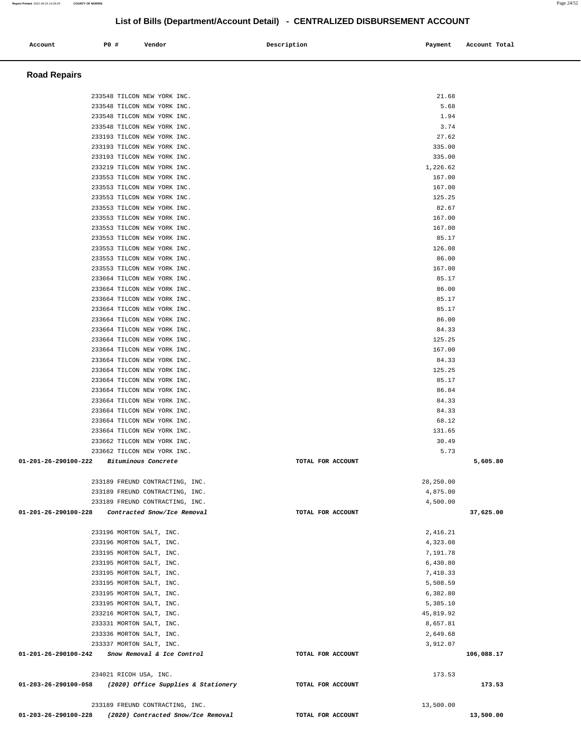**Account** 20 **P P**  $\bullet$  **P P P Vendor Payment Payment Payment Payment Payment Payment Payment Payment Payment** 

| <b>Road Repairs</b>                                         |                      |            |
|-------------------------------------------------------------|----------------------|------------|
|                                                             |                      |            |
| 233548 TILCON NEW YORK INC.                                 | 21.68                |            |
| 233548 TILCON NEW YORK INC.                                 | 5.68                 |            |
| 233548 TILCON NEW YORK INC.                                 | 1.94                 |            |
| 233548 TILCON NEW YORK INC.                                 | 3.74                 |            |
| 233193 TILCON NEW YORK INC.                                 | 27.62                |            |
| 233193 TILCON NEW YORK INC.                                 | 335.00               |            |
| 233193 TILCON NEW YORK INC.                                 | 335.00               |            |
| 233219 TILCON NEW YORK INC.                                 | 1,226.62             |            |
| 233553 TILCON NEW YORK INC.                                 | 167.00<br>167.00     |            |
| 233553 TILCON NEW YORK INC.<br>233553 TILCON NEW YORK INC.  | 125.25               |            |
| 233553 TILCON NEW YORK INC.                                 | 82.67                |            |
| 233553 TILCON NEW YORK INC.                                 | 167.00               |            |
| 233553 TILCON NEW YORK INC.                                 | 167.00               |            |
| 233553 TILCON NEW YORK INC.                                 | 85.17                |            |
| 233553 TILCON NEW YORK INC.                                 | 126.08               |            |
| 233553 TILCON NEW YORK INC.                                 | 86.00                |            |
| 233553 TILCON NEW YORK INC.                                 | 167.00               |            |
| 233664 TILCON NEW YORK INC.                                 | 85.17                |            |
| 233664 TILCON NEW YORK INC.                                 | 86.00                |            |
| 233664 TILCON NEW YORK INC.                                 | 85.17                |            |
| 233664 TILCON NEW YORK INC.                                 | 85.17                |            |
| 233664 TILCON NEW YORK INC.                                 | 86.00                |            |
| 233664 TILCON NEW YORK INC.                                 | 84.33                |            |
| 233664 TILCON NEW YORK INC.                                 | 125.25               |            |
| 233664 TILCON NEW YORK INC.                                 | 167.00               |            |
| 233664 TILCON NEW YORK INC.                                 | 84.33                |            |
| 233664 TILCON NEW YORK INC.                                 | 125.25               |            |
| 233664 TILCON NEW YORK INC.                                 | 85.17                |            |
| 233664 TILCON NEW YORK INC.                                 | 86.84                |            |
| 233664 TILCON NEW YORK INC.                                 | 84.33                |            |
| 233664 TILCON NEW YORK INC.                                 | 84.33                |            |
| 233664 TILCON NEW YORK INC.                                 | 68.12                |            |
| 233664 TILCON NEW YORK INC.                                 | 131.65               |            |
| 233662 TILCON NEW YORK INC.                                 | 30.49                |            |
| 233662 TILCON NEW YORK INC.                                 | 5.73                 |            |
| 01-201-26-290100-222<br>Bituminous Concrete                 | TOTAL FOR ACCOUNT    | 5,605.80   |
|                                                             |                      |            |
| 233189 FREUND CONTRACTING, INC.                             | 28,250.00            |            |
| 233189 FREUND CONTRACTING, INC.                             | 4,875.00             |            |
| 233189 FREUND CONTRACTING, INC.                             | 4,500.00             |            |
| Contracted Snow/Ice Removal<br>01-201-26-290100-228         | TOTAL FOR ACCOUNT    | 37,625.00  |
|                                                             |                      |            |
| 233196 MORTON SALT, INC.<br>233196 MORTON SALT, INC.        | 2,416.21<br>4,323.08 |            |
| 233195 MORTON SALT, INC.                                    | 7,191.78             |            |
| 233195 MORTON SALT, INC.                                    | 6,430.80             |            |
| 233195 MORTON SALT, INC.                                    | 7,410.33             |            |
| 233195 MORTON SALT, INC.                                    | 5,508.59             |            |
| 233195 MORTON SALT, INC.                                    | 6,382.80             |            |
| 233195 MORTON SALT, INC.                                    | 5,385.10             |            |
| 233216 MORTON SALT, INC.                                    | 45,819.92            |            |
| 233331 MORTON SALT, INC.                                    | 8,657.81             |            |
| 233336 MORTON SALT, INC.                                    | 2,649.68             |            |
| 233337 MORTON SALT, INC.                                    | 3,912.07             |            |
| 01-201-26-290100-242<br>Snow Removal & Ice Control          | TOTAL FOR ACCOUNT    | 106,088.17 |
|                                                             |                      |            |
| 234021 RICOH USA, INC.                                      | 173.53               |            |
| 01-203-26-290100-058<br>(2020) Office Supplies & Stationery | TOTAL FOR ACCOUNT    | 173.53     |
|                                                             |                      |            |
| 233189 FREUND CONTRACTING, INC.                             | 13,500.00            |            |

 **01-203-26-290100-228 (2020) Contracted Snow/Ice Removal TOTAL FOR ACCOUNT 13,500.00**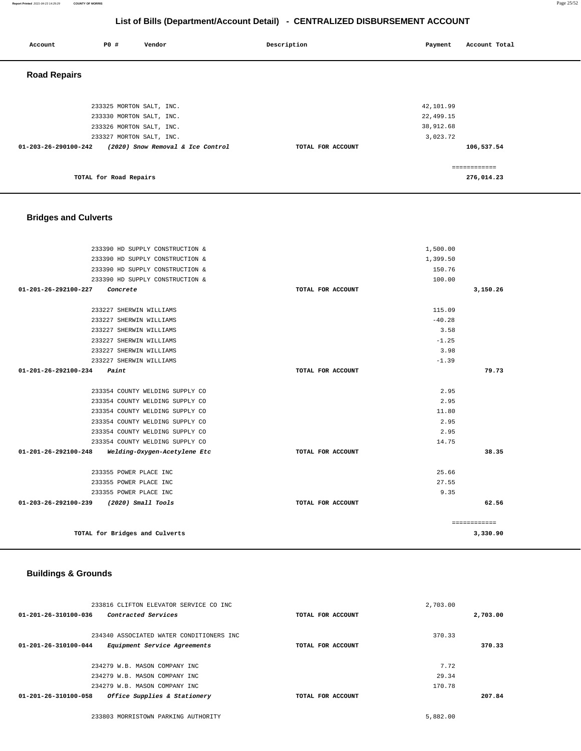| Account              | P0 #                     | Vendor                            | Description       | Payment   | Account Total |
|----------------------|--------------------------|-----------------------------------|-------------------|-----------|---------------|
| <b>Road Repairs</b>  |                          |                                   |                   |           |               |
|                      | 233325 MORTON SALT, INC. |                                   |                   | 42,101.99 |               |
|                      | 233330 MORTON SALT, INC. |                                   |                   | 22,499.15 |               |
|                      | 233326 MORTON SALT, INC. |                                   |                   | 38,912.68 |               |
|                      | 233327 MORTON SALT, INC. |                                   |                   | 3,023.72  |               |
| 01-203-26-290100-242 |                          | (2020) Snow Removal & Ice Control | TOTAL FOR ACCOUNT |           | 106,537.54    |
|                      |                          |                                   |                   |           | ============  |
|                      | TOTAL for Road Repairs   |                                   |                   |           | 276,014.23    |

# **Bridges and Culverts**

| TOTAL for Bridges and Culverts                      |                   | ============<br>3,330.90 |  |
|-----------------------------------------------------|-------------------|--------------------------|--|
|                                                     |                   |                          |  |
| 01-203-26-292100-239 (2020) Small Tools             | TOTAL FOR ACCOUNT | 62.56                    |  |
| 233355 POWER PLACE INC                              |                   | 9.35                     |  |
| 233355 POWER PLACE INC                              |                   | 27.55                    |  |
| 233355 POWER PLACE INC                              |                   | 25.66                    |  |
| $01-201-26-292100-248$ Welding-Oxygen-Acetylene Etc | TOTAL FOR ACCOUNT | 38.35                    |  |
| 233354 COUNTY WELDING SUPPLY CO                     |                   | 14.75                    |  |
| 233354 COUNTY WELDING SUPPLY CO                     |                   | 2.95                     |  |
| 233354 COUNTY WELDING SUPPLY CO                     |                   | 2.95                     |  |
| 233354 COUNTY WELDING SUPPLY CO                     |                   | 11.80                    |  |
| 233354 COUNTY WELDING SUPPLY CO                     |                   | 2.95                     |  |
| 233354 COUNTY WELDING SUPPLY CO                     |                   | 2.95                     |  |
| $01 - 201 - 26 - 292100 - 234$ Paint                | TOTAL FOR ACCOUNT | 79.73                    |  |
| 233227 SHERWIN WILLIAMS                             |                   | $-1.39$                  |  |
| 233227 SHERWIN WILLIAMS                             |                   | 3.98                     |  |
| 233227 SHERWIN WILLIAMS                             |                   | $-1.25$                  |  |
| 233227 SHERWIN WILLIAMS                             |                   | 3.58                     |  |
| 233227 SHERWIN WILLIAMS                             |                   | $-40.28$                 |  |
| 233227 SHERWIN WILLIAMS                             |                   | 115.09                   |  |
| 01-201-26-292100-227 Concrete                       | TOTAL FOR ACCOUNT | 3,150.26                 |  |
| 233390 HD SUPPLY CONSTRUCTION &                     |                   | 100.00                   |  |
| 233390 HD SUPPLY CONSTRUCTION &                     |                   | 150.76                   |  |
| 233390 HD SUPPLY CONSTRUCTION &                     |                   | 1,399.50                 |  |
| 233390 HD SUPPLY CONSTRUCTION &                     |                   | 1,500.00                 |  |

#### **Buildings & Grounds**

| 233816 CLIFTON ELEVATOR SERVICE CO INC                                                                     |                   | 2,703.00 |          |
|------------------------------------------------------------------------------------------------------------|-------------------|----------|----------|
| Contracted Services<br>$01 - 201 - 26 - 310100 - 036$                                                      | TOTAL FOR ACCOUNT |          | 2,703.00 |
| 234340 ASSOCIATED WATER CONDITIONERS INC<br>Equipment Service Agreements<br>$01 - 201 - 26 - 310100 - 044$ | TOTAL FOR ACCOUNT | 370.33   | 370.33   |
|                                                                                                            |                   |          |          |
| 234279 W.B. MASON COMPANY INC                                                                              |                   | 7.72     |          |
| 234279 W.B. MASON COMPANY INC                                                                              |                   | 29.34    |          |
| 234279 W.B. MASON COMPANY INC.                                                                             |                   | 170.78   |          |
| Office Supplies & Stationery<br>$01 - 201 - 26 - 310100 - 058$                                             | TOTAL FOR ACCOUNT |          | 207.84   |
|                                                                                                            |                   |          |          |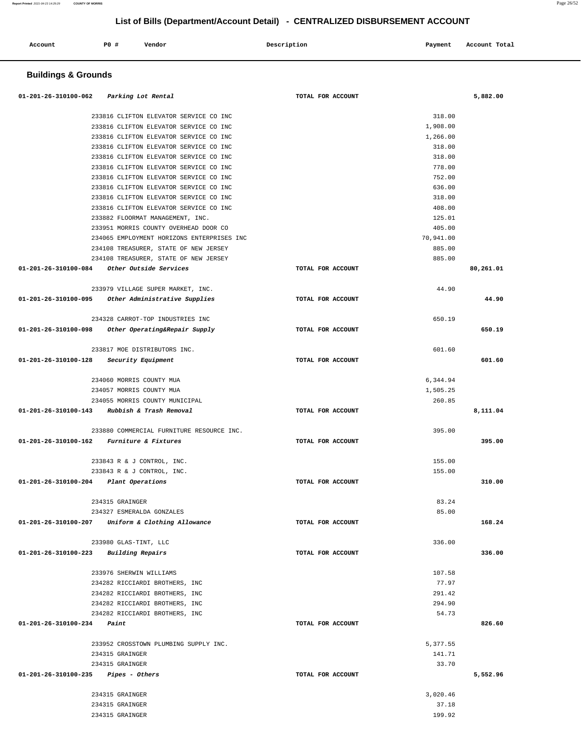| Account<br>. | P0# | Vendor | Description | Payment | Account Total |
|--------------|-----|--------|-------------|---------|---------------|
|              |     |        |             |         |               |

# **Buildings & Grounds**

| 01-201-26-310100-062<br>Parking Lot Rental                                       | TOTAL FOR ACCOUNT  | 5,882.00  |
|----------------------------------------------------------------------------------|--------------------|-----------|
|                                                                                  |                    |           |
| 233816 CLIFTON ELEVATOR SERVICE CO INC                                           | 318.00             |           |
| 233816 CLIFTON ELEVATOR SERVICE CO INC                                           | 1,908.00           |           |
| 233816 CLIFTON ELEVATOR SERVICE CO INC                                           | 1,266.00           |           |
| 233816 CLIFTON ELEVATOR SERVICE CO INC<br>233816 CLIFTON ELEVATOR SERVICE CO INC | 318.00<br>318.00   |           |
| 233816 CLIFTON ELEVATOR SERVICE CO INC                                           | 778.00             |           |
| 233816 CLIFTON ELEVATOR SERVICE CO INC                                           | 752.00             |           |
| 233816 CLIFTON ELEVATOR SERVICE CO INC                                           | 636.00             |           |
| 233816 CLIFTON ELEVATOR SERVICE CO INC                                           | 318.00             |           |
| 233816 CLIFTON ELEVATOR SERVICE CO INC                                           | 408.00             |           |
| 233882 FLOORMAT MANAGEMENT, INC.                                                 | 125.01             |           |
| 233951 MORRIS COUNTY OVERHEAD DOOR CO                                            | 405.00             |           |
| 234065 EMPLOYMENT HORIZONS ENTERPRISES INC                                       | 70,941.00          |           |
| 234108 TREASURER, STATE OF NEW JERSEY                                            | 885.00             |           |
| 234108 TREASURER, STATE OF NEW JERSEY                                            | 885.00             |           |
| 01-201-26-310100-084<br><i>Other Outside Services</i>                            | TOTAL FOR ACCOUNT  | 80,261.01 |
| 233979 VILLAGE SUPER MARKET, INC.                                                | 44.90              |           |
| 01-201-26-310100-095 Other Administrative Supplies                               | TOTAL FOR ACCOUNT  | 44.90     |
|                                                                                  |                    |           |
| 234328 CARROT-TOP INDUSTRIES INC                                                 | 650.19             |           |
| 01-201-26-310100-098<br>Other Operating&Repair Supply                            | TOTAL FOR ACCOUNT  | 650.19    |
|                                                                                  |                    |           |
| 233817 MOE DISTRIBUTORS INC.                                                     | 601.60             |           |
| 01-201-26-310100-128<br>Security Equipment                                       | TOTAL FOR ACCOUNT  | 601.60    |
|                                                                                  |                    |           |
| 234060 MORRIS COUNTY MUA                                                         | 6,344.94           |           |
| 234057 MORRIS COUNTY MUA<br>234055 MORRIS COUNTY MUNICIPAL                       | 1,505.25<br>260.85 |           |
| 01-201-26-310100-143 Rubbish & Trash Removal                                     | TOTAL FOR ACCOUNT  | 8,111.04  |
|                                                                                  |                    |           |
| 233880 COMMERCIAL FURNITURE RESOURCE INC.                                        | 395.00             |           |
| 01-201-26-310100-162<br><i>Furniture &amp; Fixtures</i>                          | TOTAL FOR ACCOUNT  | 395.00    |
|                                                                                  |                    |           |
| 233843 R & J CONTROL, INC.                                                       | 155.00             |           |
| 233843 R & J CONTROL, INC.                                                       | 155.00             |           |
| 01-201-26-310100-204 Plant Operations                                            | TOTAL FOR ACCOUNT  | 310.00    |
|                                                                                  |                    |           |
| 234315 GRAINGER                                                                  | 83.24              |           |
| 234327 ESMERALDA GONZALES                                                        | 85.00              |           |
| 01-201-26-310100-207<br>Uniform & Clothing Allowance                             | TOTAL FOR ACCOUNT  | 168.24    |
| 233980 GLAS-TINT, LLC                                                            | 336.00             |           |
| 01-201-26-310100-223<br>Building Repairs                                         | TOTAL FOR ACCOUNT  | 336.00    |
|                                                                                  |                    |           |
| 233976 SHERWIN WILLIAMS                                                          | 107.58             |           |
| 234282 RICCIARDI BROTHERS, INC                                                   | 77.97              |           |
| 234282 RICCIARDI BROTHERS, INC                                                   | 291.42             |           |
| 234282 RICCIARDI BROTHERS, INC                                                   | 294.90             |           |
| 234282 RICCIARDI BROTHERS, INC                                                   | 54.73              |           |
| 01-201-26-310100-234<br>Paint                                                    | TOTAL FOR ACCOUNT  | 826.60    |
|                                                                                  |                    |           |
| 233952 CROSSTOWN PLUMBING SUPPLY INC.                                            | 5,377.55<br>141.71 |           |
| 234315 GRAINGER<br>234315 GRAINGER                                               | 33.70              |           |
| $01-201-26-310100-235$ Pipes - Others                                            | TOTAL FOR ACCOUNT  | 5,552.96  |
|                                                                                  |                    |           |
| 234315 GRAINGER                                                                  | 3,020.46           |           |
| 234315 GRAINGER                                                                  | 37.18              |           |
| 234315 GRAINGER                                                                  | 199.92             |           |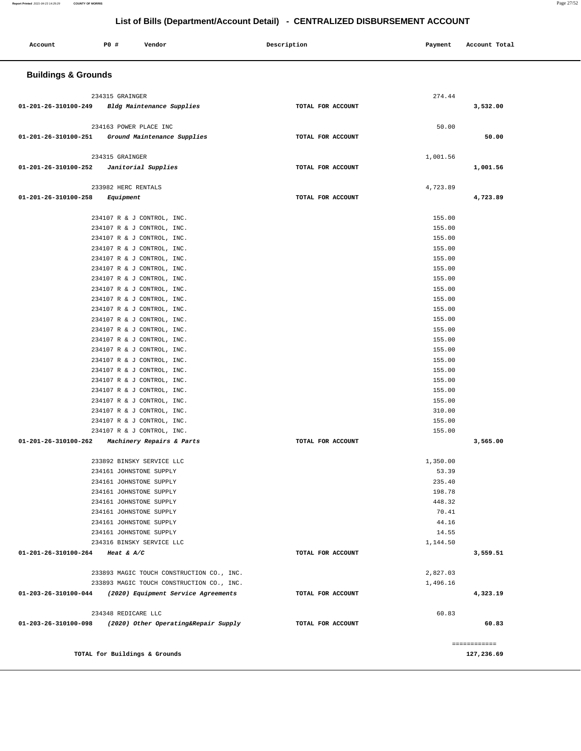| Account                        | P0 #                             | Vendor                                                   | Description       | Payment          | Account Total |
|--------------------------------|----------------------------------|----------------------------------------------------------|-------------------|------------------|---------------|
| <b>Buildings &amp; Grounds</b> |                                  |                                                          |                   |                  |               |
|                                | 234315 GRAINGER                  |                                                          |                   | 274.44           |               |
| 01-201-26-310100-249           |                                  | Bldg Maintenance Supplies                                | TOTAL FOR ACCOUNT |                  | 3,532.00      |
|                                |                                  |                                                          |                   |                  |               |
| 01-201-26-310100-251           | 234163 POWER PLACE INC           | Ground Maintenance Supplies                              | TOTAL FOR ACCOUNT | 50.00            | 50.00         |
|                                |                                  |                                                          |                   |                  |               |
|                                | 234315 GRAINGER                  |                                                          |                   | 1,001.56         |               |
| 01-201-26-310100-252           |                                  | Janitorial Supplies                                      | TOTAL FOR ACCOUNT |                  | 1,001.56      |
|                                |                                  |                                                          |                   |                  |               |
| 01-201-26-310100-258           | 233982 HERC RENTALS<br>Equipment |                                                          | TOTAL FOR ACCOUNT | 4,723.89         | 4,723.89      |
|                                |                                  |                                                          |                   |                  |               |
|                                |                                  | 234107 R & J CONTROL, INC.                               |                   | 155.00           |               |
|                                |                                  | 234107 R & J CONTROL, INC.                               |                   | 155.00           |               |
|                                |                                  | 234107 R & J CONTROL, INC.                               |                   | 155.00           |               |
|                                |                                  | 234107 R & J CONTROL, INC.                               |                   | 155.00           |               |
|                                |                                  | 234107 R & J CONTROL, INC.                               |                   | 155.00           |               |
|                                |                                  | 234107 R & J CONTROL, INC.                               |                   | 155.00           |               |
|                                |                                  | 234107 R & J CONTROL, INC.                               |                   | 155.00<br>155.00 |               |
|                                |                                  | 234107 R & J CONTROL, INC.<br>234107 R & J CONTROL, INC. |                   | 155.00           |               |
|                                |                                  | 234107 R & J CONTROL, INC.                               |                   | 155.00           |               |
|                                |                                  | 234107 R & J CONTROL, INC.                               |                   | 155.00           |               |
|                                |                                  | 234107 R & J CONTROL, INC.                               |                   | 155.00           |               |
|                                |                                  | 234107 R & J CONTROL, INC.                               |                   | 155.00           |               |
|                                |                                  | 234107 R & J CONTROL, INC.                               |                   | 155.00           |               |
|                                |                                  | 234107 R & J CONTROL, INC.                               |                   | 155.00           |               |
|                                |                                  | 234107 R & J CONTROL, INC.                               |                   | 155.00           |               |
|                                |                                  | 234107 R & J CONTROL, INC.                               |                   | 155.00           |               |
|                                |                                  | 234107 R & J CONTROL, INC.                               |                   | 155.00           |               |
|                                |                                  | 234107 R & J CONTROL, INC.<br>234107 R & J CONTROL, INC. |                   | 155.00<br>310.00 |               |
|                                |                                  | 234107 R & J CONTROL, INC.                               |                   | 155.00           |               |
|                                |                                  | 234107 R & J CONTROL, INC.                               |                   | 155.00           |               |
| 01-201-26-310100-262           |                                  | Machinery Repairs & Parts                                | TOTAL FOR ACCOUNT |                  | 3,565.00      |
|                                |                                  | 233892 BINSKY SERVICE LLC                                |                   | 1,350.00         |               |
|                                |                                  | 234161 JOHNSTONE SUPPLY                                  |                   | 53.39            |               |
|                                |                                  | 234161 JOHNSTONE SUPPLY                                  |                   | 235.40           |               |
|                                |                                  | 234161 JOHNSTONE SUPPLY                                  |                   | 198.78           |               |
|                                |                                  | 234161 JOHNSTONE SUPPLY                                  |                   | 448.32           |               |
|                                |                                  | 234161 JOHNSTONE SUPPLY                                  |                   | 70.41            |               |
|                                |                                  | 234161 JOHNSTONE SUPPLY                                  |                   | 44.16            |               |
|                                |                                  | 234161 JOHNSTONE SUPPLY                                  |                   | 14.55            |               |
|                                |                                  | 234316 BINSKY SERVICE LLC                                |                   | 1,144.50         |               |
| 01-201-26-310100-264           | Heat & $A/C$                     |                                                          | TOTAL FOR ACCOUNT |                  | 3,559.51      |
|                                |                                  | 233893 MAGIC TOUCH CONSTRUCTION CO., INC.                |                   | 2,827.03         |               |
|                                |                                  | 233893 MAGIC TOUCH CONSTRUCTION CO., INC.                |                   | 1,496.16         |               |
| 01-203-26-310100-044           |                                  | (2020) Equipment Service Agreements                      | TOTAL FOR ACCOUNT |                  | 4,323.19      |
|                                | 234348 REDICARE LLC              |                                                          |                   | 60.83            |               |
| 01-203-26-310100-098           |                                  | (2020) Other Operating&Repair Supply                     | TOTAL FOR ACCOUNT |                  | 60.83         |
|                                |                                  |                                                          |                   |                  | ============  |
|                                |                                  | TOTAL for Buildings & Grounds                            |                   |                  | 127,236.69    |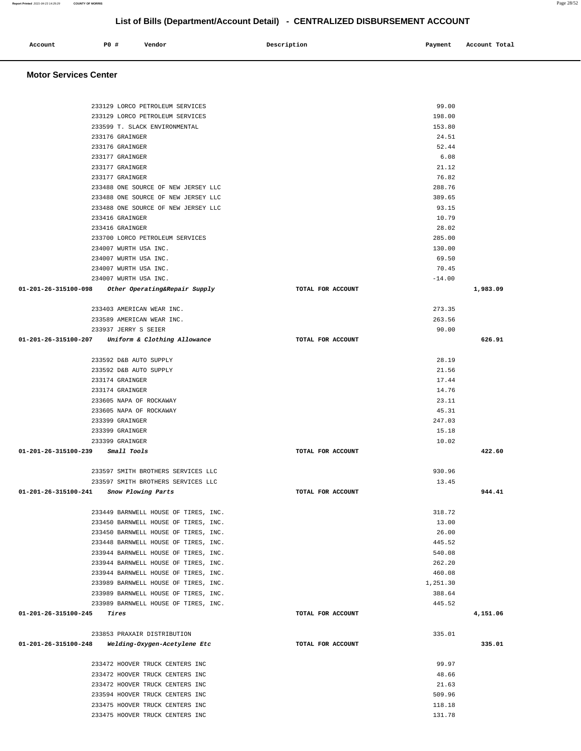| 233129 LORCO PETROLEUM SERVICES                                              |                   | 99.00            |          |
|------------------------------------------------------------------------------|-------------------|------------------|----------|
| 233129 LORCO PETROLEUM SERVICES                                              |                   | 198.00           |          |
| 233599 T. SLACK ENVIRONMENTAL                                                |                   | 153.80           |          |
| 233176 GRAINGER                                                              |                   | 24.51            |          |
| 233176 GRAINGER                                                              |                   | 52.44            |          |
| 233177 GRAINGER                                                              |                   | 6.08             |          |
| 233177 GRAINGER                                                              |                   | 21.12            |          |
| 233177 GRAINGER                                                              |                   | 76.82            |          |
| 233488 ONE SOURCE OF NEW JERSEY LLC                                          |                   | 288.76           |          |
| 233488 ONE SOURCE OF NEW JERSEY LLC                                          |                   | 389.65<br>93.15  |          |
| 233488 ONE SOURCE OF NEW JERSEY LLC                                          |                   |                  |          |
| 233416 GRAINGER<br>233416 GRAINGER                                           |                   | 10.79<br>28.02   |          |
|                                                                              |                   | 285.00           |          |
| 233700 LORCO PETROLEUM SERVICES<br>234007 WURTH USA INC.                     |                   | 130.00           |          |
| 234007 WURTH USA INC.                                                        |                   | 69.50            |          |
| 234007 WURTH USA INC.                                                        |                   | 70.45            |          |
| 234007 WURTH USA INC.                                                        |                   | $-14.00$         |          |
| 01-201-26-315100-098<br>Other Operating&Repair Supply                        | TOTAL FOR ACCOUNT |                  | 1,983.09 |
|                                                                              |                   |                  |          |
| 233403 AMERICAN WEAR INC.                                                    |                   | 273.35           |          |
| 233589 AMERICAN WEAR INC.                                                    |                   | 263.56           |          |
| 233937 JERRY S SEIER                                                         |                   | 90.00            |          |
| 01-201-26-315100-207<br>Uniform & Clothing Allowance                         | TOTAL FOR ACCOUNT |                  | 626.91   |
|                                                                              |                   |                  |          |
| 233592 D&B AUTO SUPPLY                                                       |                   | 28.19            |          |
| 233592 D&B AUTO SUPPLY                                                       |                   | 21.56            |          |
| 233174 GRAINGER                                                              |                   | 17.44            |          |
| 233174 GRAINGER                                                              |                   | 14.76            |          |
| 233605 NAPA OF ROCKAWAY                                                      |                   | 23.11            |          |
| 233605 NAPA OF ROCKAWAY                                                      |                   | 45.31            |          |
| 233399 GRAINGER                                                              |                   | 247.03           |          |
| 233399 GRAINGER                                                              |                   | 15.18            |          |
| 233399 GRAINGER                                                              |                   | 10.02            |          |
| 01-201-26-315100-239<br>Small Tools                                          | TOTAL FOR ACCOUNT |                  | 422.60   |
|                                                                              |                   |                  |          |
| 233597 SMITH BROTHERS SERVICES LLC                                           |                   | 930.96           |          |
| 233597 SMITH BROTHERS SERVICES LLC                                           |                   | 13.45            |          |
| 01-201-26-315100-241<br>Snow Plowing Parts                                   | TOTAL FOR ACCOUNT |                  | 944.41   |
|                                                                              |                   |                  |          |
| 233449 BARNWELL HOUSE OF TIRES, INC.                                         |                   | 318.72           |          |
| 233450 BARNWELL HOUSE OF TIRES, INC.                                         |                   | 13.00            |          |
| 233450 BARNWELL HOUSE OF TIRES, INC.                                         |                   | 26.00            |          |
| 233448 BARNWELL HOUSE OF TIRES, INC.                                         |                   | 445.52           |          |
| 233944 BARNWELL HOUSE OF TIRES, INC.                                         |                   | 540.08           |          |
| 233944 BARNWELL HOUSE OF TIRES, INC.                                         |                   | 262.20<br>460.08 |          |
| 233944 BARNWELL HOUSE OF TIRES, INC.                                         |                   | 1,251.30         |          |
| 233989 BARNWELL HOUSE OF TIRES, INC.                                         |                   | 388.64           |          |
| 233989 BARNWELL HOUSE OF TIRES, INC.<br>233989 BARNWELL HOUSE OF TIRES, INC. |                   | 445.52           |          |
| 01-201-26-315100-245<br>Tires                                                | TOTAL FOR ACCOUNT |                  | 4,151.06 |
|                                                                              |                   |                  |          |
| 233853 PRAXAIR DISTRIBUTION                                                  |                   | 335.01           |          |
| 01-201-26-315100-248<br>Welding-Oxygen-Acetylene Etc                         | TOTAL FOR ACCOUNT |                  | 335.01   |
|                                                                              |                   |                  |          |
| 233472 HOOVER TRUCK CENTERS INC                                              |                   | 99.97            |          |
| 233472 HOOVER TRUCK CENTERS INC                                              |                   | 48.66            |          |
| 233472 HOOVER TRUCK CENTERS INC                                              |                   | 21.63            |          |
| 233594 HOOVER TRUCK CENTERS INC                                              |                   | 509.96           |          |
| 233475 HOOVER TRUCK CENTERS INC                                              |                   | 118.18           |          |
| 233475 HOOVER TRUCK CENTERS INC                                              |                   | 131.78           |          |
|                                                                              |                   |                  |          |

 **Motor Services Center** 

 **Account P0 # Vendor Description Payment Account Total**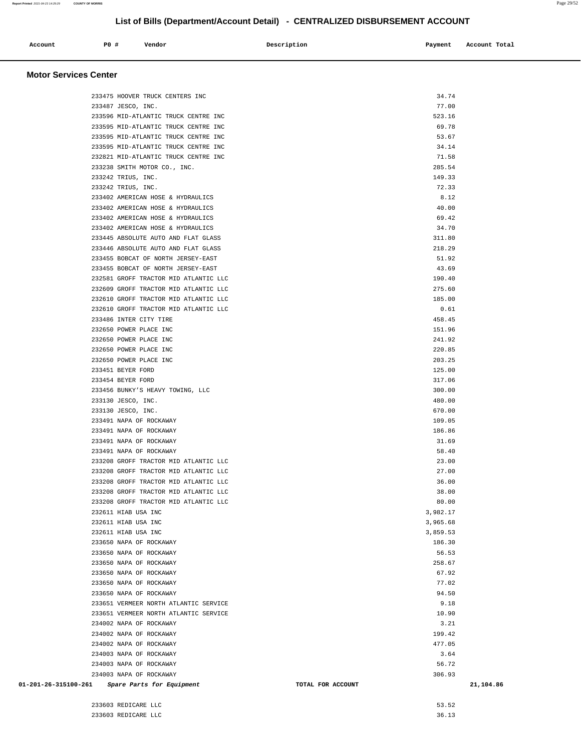| Account<br>. | <b>PO #</b> | Vendor | Description | Payment<br>$\sim$ $\sim$ | Account Total |
|--------------|-------------|--------|-------------|--------------------------|---------------|
|              |             |        |             |                          |               |
|              |             |        |             |                          |               |

#### **Motor Services Center**

|                      | 233475 HOOVER TRUCK CENTERS INC       | 34.74             |           |
|----------------------|---------------------------------------|-------------------|-----------|
|                      | 233487 JESCO, INC.                    | 77.00             |           |
|                      | 233596 MID-ATLANTIC TRUCK CENTRE INC  | 523.16            |           |
|                      | 233595 MID-ATLANTIC TRUCK CENTRE INC  | 69.78             |           |
|                      | 233595 MID-ATLANTIC TRUCK CENTRE INC  | 53.67             |           |
|                      | 233595 MID-ATLANTIC TRUCK CENTRE INC  | 34.14             |           |
|                      | 232821 MID-ATLANTIC TRUCK CENTRE INC  | 71.58             |           |
|                      | 233238 SMITH MOTOR CO., INC.          | 285.54            |           |
|                      | 233242 TRIUS, INC.                    | 149.33            |           |
|                      | 233242 TRIUS, INC.                    | 72.33             |           |
|                      | 233402 AMERICAN HOSE & HYDRAULICS     | 8.12              |           |
|                      | 233402 AMERICAN HOSE & HYDRAULICS     | 40.00             |           |
|                      | 233402 AMERICAN HOSE & HYDRAULICS     | 69.42             |           |
|                      | 233402 AMERICAN HOSE & HYDRAULICS     | 34.70             |           |
|                      | 233445 ABSOLUTE AUTO AND FLAT GLASS   | 311.80            |           |
|                      | 233446 ABSOLUTE AUTO AND FLAT GLASS   | 218.29            |           |
|                      | 233455 BOBCAT OF NORTH JERSEY-EAST    | 51.92             |           |
|                      | 233455 BOBCAT OF NORTH JERSEY-EAST    | 43.69             |           |
|                      | 232581 GROFF TRACTOR MID ATLANTIC LLC | 190.40            |           |
|                      | 232609 GROFF TRACTOR MID ATLANTIC LLC | 275.60            |           |
|                      | 232610 GROFF TRACTOR MID ATLANTIC LLC | 185.00            |           |
|                      | 232610 GROFF TRACTOR MID ATLANTIC LLC | 0.61              |           |
|                      | 233486 INTER CITY TIRE                | 458.45            |           |
|                      | 232650 POWER PLACE INC                | 151.96            |           |
|                      | 232650 POWER PLACE INC                | 241.92            |           |
|                      | 232650 POWER PLACE INC                | 220.85            |           |
|                      | 232650 POWER PLACE INC                | 203.25            |           |
|                      | 233451 BEYER FORD                     | 125.00            |           |
|                      | 233454 BEYER FORD                     | 317.06            |           |
|                      | 233456 BUNKY'S HEAVY TOWING, LLC      | 300.00            |           |
|                      | 233130 JESCO, INC.                    | 480.00            |           |
|                      | 233130 JESCO, INC.                    | 670.00            |           |
|                      | 233491 NAPA OF ROCKAWAY               | 109.05            |           |
|                      | 233491 NAPA OF ROCKAWAY               | 186.86            |           |
|                      | 233491 NAPA OF ROCKAWAY               | 31.69             |           |
|                      | 233491 NAPA OF ROCKAWAY               | 58.40             |           |
|                      | 233208 GROFF TRACTOR MID ATLANTIC LLC | 23.00             |           |
|                      | 233208 GROFF TRACTOR MID ATLANTIC LLC | 27.00             |           |
|                      | 233208 GROFF TRACTOR MID ATLANTIC LLC | 36.00             |           |
|                      | 233208 GROFF TRACTOR MID ATLANTIC LLC | 38.00             |           |
|                      | 233208 GROFF TRACTOR MID ATLANTIC LLC | 80.00             |           |
|                      | 232611 HIAB USA INC                   | 3,982.17          |           |
|                      | 232611 HIAB USA INC                   | 3,965.68          |           |
|                      | 232611 HIAB USA INC                   | 3,859.53          |           |
|                      | 233650 NAPA OF ROCKAWAY               | 186.30            |           |
|                      | 233650 NAPA OF ROCKAWAY               | 56.53             |           |
|                      | 233650 NAPA OF ROCKAWAY               | 258.67            |           |
|                      | 233650 NAPA OF ROCKAWAY               | 67.92             |           |
|                      | 233650 NAPA OF ROCKAWAY               | 77.02             |           |
|                      | 233650 NAPA OF ROCKAWAY               | 94.50             |           |
|                      | 233651 VERMEER NORTH ATLANTIC SERVICE | 9.18              |           |
|                      | 233651 VERMEER NORTH ATLANTIC SERVICE | 10.90             |           |
|                      | 234002 NAPA OF ROCKAWAY               | 3.21              |           |
|                      | 234002 NAPA OF ROCKAWAY               | 199.42            |           |
|                      | 234002 NAPA OF ROCKAWAY               | 477.05            |           |
|                      | 234003 NAPA OF ROCKAWAY               | 3.64              |           |
|                      | 234003 NAPA OF ROCKAWAY               | 56.72             |           |
|                      | 234003 NAPA OF ROCKAWAY               | 306.93            |           |
| 01-201-26-315100-261 | Spare Parts for Equipment             | TOTAL FOR ACCOUNT | 21,104.86 |
|                      |                                       |                   |           |
|                      | 233603 REDICARE LLC                   | 53.52             |           |
|                      | 233603 REDICARE LLC                   | 36.13             |           |
|                      |                                       |                   |           |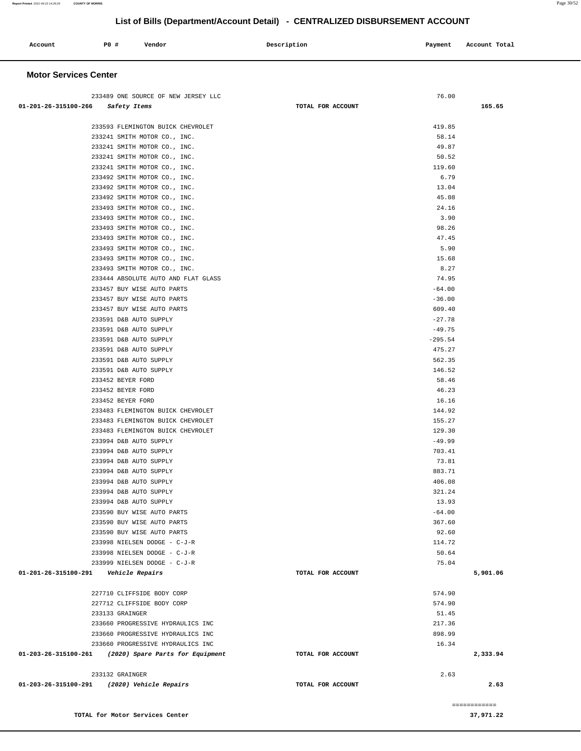| Account<br>. | <b>PO #</b> | Vendor | Description<br>. | Payment | Account Total<br>.<br>. |
|--------------|-------------|--------|------------------|---------|-------------------------|
|              |             |        |                  |         |                         |

#### **Motor Services Center**

| 233489 ONE SOURCE OF NEW JERSEY LLC                      |                   | 76.00     |              |
|----------------------------------------------------------|-------------------|-----------|--------------|
| 01-201-26-315100-266 Safety Items                        | TOTAL FOR ACCOUNT |           | 165.65       |
|                                                          |                   |           |              |
| 233593 FLEMINGTON BUICK CHEVROLET                        |                   | 419.85    |              |
| 233241 SMITH MOTOR CO., INC.                             |                   | 58.14     |              |
| 233241 SMITH MOTOR CO., INC.                             |                   | 49.87     |              |
| 233241 SMITH MOTOR CO., INC.                             |                   | 50.52     |              |
| 233241 SMITH MOTOR CO., INC.                             |                   | 119.60    |              |
| 233492 SMITH MOTOR CO., INC.                             |                   | 6.79      |              |
| 233492 SMITH MOTOR CO., INC.                             |                   | 13.04     |              |
| 233492 SMITH MOTOR CO., INC.                             |                   | 45.08     |              |
| 233493 SMITH MOTOR CO., INC.                             |                   | 24.16     |              |
| 233493 SMITH MOTOR CO., INC.                             |                   | 3.90      |              |
| 233493 SMITH MOTOR CO., INC.                             |                   | 98.26     |              |
| 233493 SMITH MOTOR CO., INC.                             |                   | 47.45     |              |
| 233493 SMITH MOTOR CO., INC.                             |                   | 5.90      |              |
| 233493 SMITH MOTOR CO., INC.                             |                   | 15.68     |              |
| 233493 SMITH MOTOR CO., INC.                             |                   | 8.27      |              |
| 233444 ABSOLUTE AUTO AND FLAT GLASS                      |                   | 74.95     |              |
| 233457 BUY WISE AUTO PARTS                               |                   | $-64.00$  |              |
| 233457 BUY WISE AUTO PARTS                               |                   | $-36.00$  |              |
| 233457 BUY WISE AUTO PARTS                               |                   | 609.40    |              |
| 233591 D&B AUTO SUPPLY                                   |                   | $-27.78$  |              |
| 233591 D&B AUTO SUPPLY                                   |                   | $-49.75$  |              |
| 233591 D&B AUTO SUPPLY                                   |                   | $-295.54$ |              |
| 233591 D&B AUTO SUPPLY                                   |                   | 475.27    |              |
| 233591 D&B AUTO SUPPLY                                   |                   | 562.35    |              |
| 233591 D&B AUTO SUPPLY                                   |                   | 146.52    |              |
| 233452 BEYER FORD                                        |                   | 58.46     |              |
| 233452 BEYER FORD                                        |                   | 46.23     |              |
| 233452 BEYER FORD                                        |                   | 16.16     |              |
| 233483 FLEMINGTON BUICK CHEVROLET                        |                   | 144.92    |              |
| 233483 FLEMINGTON BUICK CHEVROLET                        |                   | 155.27    |              |
| 233483 FLEMINGTON BUICK CHEVROLET                        |                   | 129.30    |              |
| 233994 D&B AUTO SUPPLY                                   |                   | $-49.99$  |              |
| 233994 D&B AUTO SUPPLY                                   |                   | 703.41    |              |
| 233994 D&B AUTO SUPPLY                                   |                   | 73.81     |              |
| 233994 D&B AUTO SUPPLY                                   |                   | 883.71    |              |
| 233994 D&B AUTO SUPPLY                                   |                   | 406.08    |              |
| 233994 D&B AUTO SUPPLY                                   |                   | 321.24    |              |
| 233994 D&B AUTO SUPPLY                                   |                   | 13.93     |              |
| 233590 BUY WISE AUTO PARTS                               |                   | $-64.00$  |              |
|                                                          |                   | 367.60    |              |
| 233590 BUY WISE AUTO PARTS<br>233590 BUY WISE AUTO PARTS |                   | 92.60     |              |
| 233998 NIELSEN DODGE - C-J-R                             |                   | 114.72    |              |
| 233998 NIELSEN DODGE - C-J-R                             |                   | 50.64     |              |
|                                                          |                   |           |              |
| 233999 NIELSEN DODGE - C-J-R                             |                   | 75.04     |              |
| 01-201-26-315100-291    Vehicle Repairs                  | TOTAL FOR ACCOUNT |           | 5,901.06     |
| 227710 CLIFFSIDE BODY CORP                               |                   | 574.90    |              |
| 227712 CLIFFSIDE BODY CORP                               |                   | 574.90    |              |
| 233133 GRAINGER                                          |                   | 51.45     |              |
| 233660 PROGRESSIVE HYDRAULICS INC                        |                   | 217.36    |              |
| 233660 PROGRESSIVE HYDRAULICS INC                        |                   | 898.99    |              |
| 233660 PROGRESSIVE HYDRAULICS INC                        |                   | 16.34     |              |
| 01-203-26-315100-261 (2020) Spare Parts for Equipment    | TOTAL FOR ACCOUNT |           | 2,333.94     |
|                                                          |                   |           |              |
| 233132 GRAINGER                                          |                   | 2.63      |              |
| 01-203-26-315100-291<br>(2020) Vehicle Repairs           | TOTAL FOR ACCOUNT |           | 2.63         |
|                                                          |                   |           | ============ |
| TOTAL for Motor Services Center                          |                   |           | 37,971.22    |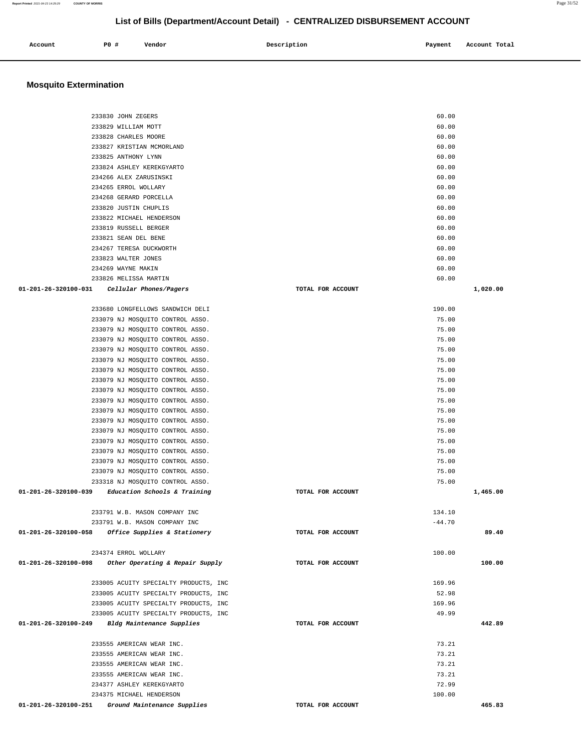| 233830 JOHN ZEGERS                                       |                   | 60.00    |          |
|----------------------------------------------------------|-------------------|----------|----------|
| 233829 WILLIAM MOTT                                      |                   | 60.00    |          |
| 233828 CHARLES MOORE                                     |                   | 60.00    |          |
| 233827 KRISTIAN MCMORLAND                                |                   | 60.00    |          |
| 233825 ANTHONY LYNN                                      |                   | 60.00    |          |
| 233824 ASHLEY KEREKGYARTO                                |                   | 60.00    |          |
| 234266 ALEX ZARUSINSKI                                   |                   | 60.00    |          |
| 234265 ERROL WOLLARY                                     |                   | 60.00    |          |
| 234268 GERARD PORCELLA                                   |                   | 60.00    |          |
| 233820 JUSTIN CHUPLIS                                    |                   | 60.00    |          |
| 233822 MICHAEL HENDERSON                                 |                   | 60.00    |          |
| 233819 RUSSELL BERGER                                    |                   | 60.00    |          |
| 233821 SEAN DEL BENE                                     |                   | 60.00    |          |
| 234267 TERESA DUCKWORTH                                  |                   | 60.00    |          |
| 233823 WALTER JONES                                      |                   | 60.00    |          |
| 234269 WAYNE MAKIN                                       |                   | 60.00    |          |
| 233826 MELISSA MARTIN                                    |                   | 60.00    |          |
| 01-201-26-320100-031<br>Cellular Phones/Pagers           | TOTAL FOR ACCOUNT |          | 1,020.00 |
|                                                          |                   |          |          |
| 233680 LONGFELLOWS SANDWICH DELI                         |                   | 190.00   |          |
| 233079 NJ MOSQUITO CONTROL ASSO.                         |                   | 75.00    |          |
| 233079 NJ MOSQUITO CONTROL ASSO.                         |                   | 75.00    |          |
| 233079 NJ MOSQUITO CONTROL ASSO.                         |                   | 75.00    |          |
| 233079 NJ MOSQUITO CONTROL ASSO.                         |                   | 75.00    |          |
| 233079 NJ MOSQUITO CONTROL ASSO.                         |                   | 75.00    |          |
| 233079 NJ MOSQUITO CONTROL ASSO.                         |                   | 75.00    |          |
| 233079 NJ MOSQUITO CONTROL ASSO.                         |                   | 75.00    |          |
| 233079 NJ MOSQUITO CONTROL ASSO.                         |                   | 75.00    |          |
| 233079 NJ MOSQUITO CONTROL ASSO.                         |                   | 75.00    |          |
| 233079 NJ MOSQUITO CONTROL ASSO.                         |                   | 75.00    |          |
| 233079 NJ MOSQUITO CONTROL ASSO.                         |                   | 75.00    |          |
| 233079 NJ MOSQUITO CONTROL ASSO.                         |                   | 75.00    |          |
| 233079 NJ MOSQUITO CONTROL ASSO.                         |                   | 75.00    |          |
| 233079 NJ MOSQUITO CONTROL ASSO.                         |                   | 75.00    |          |
| 233079 NJ MOSQUITO CONTROL ASSO.                         |                   | 75.00    |          |
| 233079 NJ MOSQUITO CONTROL ASSO.                         |                   | 75.00    |          |
| 233318 NJ MOSQUITO CONTROL ASSO.                         |                   | 75.00    |          |
| 01-201-26-320100-039<br>Education Schools & Training     | TOTAL FOR ACCOUNT |          | 1,465.00 |
|                                                          |                   |          |          |
| 233791 W.B. MASON COMPANY INC                            |                   | 134.10   |          |
| 233791 W.B. MASON COMPANY INC                            |                   | $-44.70$ |          |
| 01-201-26-320100-058<br>Office Supplies & Stationery     | TOTAL FOR ACCOUNT |          | 89.40    |
|                                                          |                   |          |          |
| 234374 ERROL WOLLARY                                     |                   | 100.00   |          |
| 01-201-26-320100-098<br>Other Operating & Repair Supply  | TOTAL FOR ACCOUNT |          | 100.00   |
|                                                          |                   |          |          |
| 233005 ACUITY SPECIALTY PRODUCTS, INC                    |                   | 169.96   |          |
| 233005 ACUITY SPECIALTY PRODUCTS, INC                    |                   | 52.98    |          |
| 233005 ACUITY SPECIALTY PRODUCTS, INC                    |                   | 169.96   |          |
| 233005 ACUITY SPECIALTY PRODUCTS, INC                    |                   | 49.99    |          |
| 01-201-26-320100-249<br><b>Bldg Maintenance Supplies</b> | TOTAL FOR ACCOUNT |          | 442.89   |
|                                                          |                   |          |          |
| 233555 AMERICAN WEAR INC.                                |                   | 73.21    |          |
| 233555 AMERICAN WEAR INC.                                |                   | 73.21    |          |
| 233555 AMERICAN WEAR INC.                                |                   | 73.21    |          |
| 233555 AMERICAN WEAR INC.                                |                   | 73.21    |          |
| 234377 ASHLEY KEREKGYARTO                                |                   | 72.99    |          |
| 234375 MICHAEL HENDERSON                                 |                   | 100.00   |          |
| 01-201-26-320100-251<br>Ground Maintenance Supplies      | TOTAL FOR ACCOUNT |          | 465.83   |

#### **Mosquito Extermination**

 **Account P0 # Vendor Description Payment Account Total**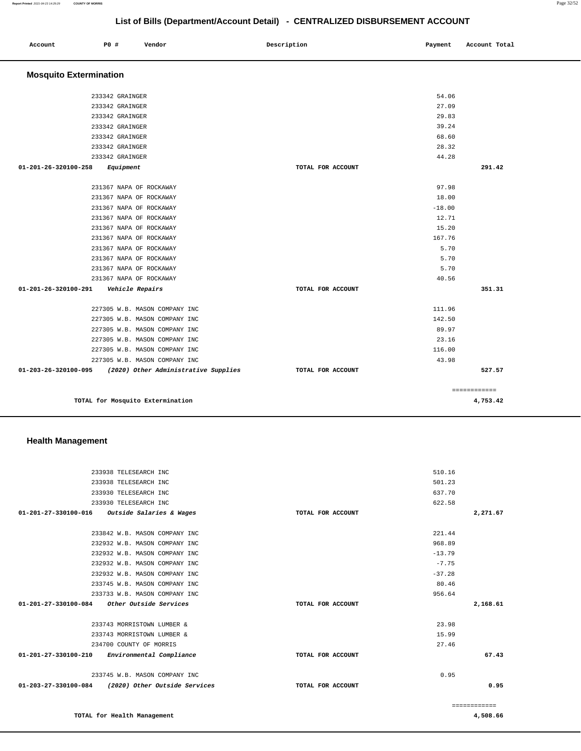# **List of Bills (Department**

| List of Bills (Department/Account Detail) - CENTRALIZED DISBURSEMENT ACCOUNT |     |        |             |         |               |
|------------------------------------------------------------------------------|-----|--------|-------------|---------|---------------|
| Account                                                                      | PO# | Vendor | Description | Payment | Account Total |
| Mocaulto Extermination                                                       |     |        |             |         |               |

|  | <b>Mosquito Extermination</b> |
|--|-------------------------------|
|--|-------------------------------|

| 233342 GRAINGER                                           |                   | 54.06    |              |
|-----------------------------------------------------------|-------------------|----------|--------------|
| 233342 GRAINGER                                           |                   | 27.09    |              |
| 233342 GRAINGER                                           |                   | 29.83    |              |
| 233342 GRAINGER                                           |                   | 39.24    |              |
| 233342 GRAINGER                                           |                   | 68.60    |              |
| 233342 GRAINGER                                           |                   | 28.32    |              |
| 233342 GRAINGER                                           |                   | 44.28    |              |
| 01-201-26-320100-258<br>Equipment                         | TOTAL FOR ACCOUNT |          | 291.42       |
| 231367 NAPA OF ROCKAWAY                                   |                   | 97.98    |              |
| 231367 NAPA OF ROCKAWAY                                   |                   | 18.00    |              |
| 231367 NAPA OF ROCKAWAY                                   |                   | $-18.00$ |              |
| 231367 NAPA OF ROCKAWAY                                   |                   | 12.71    |              |
| 231367 NAPA OF ROCKAWAY                                   |                   | 15.20    |              |
| 231367 NAPA OF ROCKAWAY                                   |                   | 167.76   |              |
| 231367 NAPA OF ROCKAWAY                                   |                   | 5.70     |              |
| 231367 NAPA OF ROCKAWAY                                   |                   | 5.70     |              |
| 231367 NAPA OF ROCKAWAY                                   |                   | 5.70     |              |
| 231367 NAPA OF ROCKAWAY                                   |                   | 40.56    |              |
| 01-201-26-320100-291<br>Vehicle Repairs                   | TOTAL FOR ACCOUNT |          | 351.31       |
| 227305 W.B. MASON COMPANY INC                             |                   | 111.96   |              |
| 227305 W.B. MASON COMPANY INC                             |                   | 142.50   |              |
| 227305 W.B. MASON COMPANY INC                             |                   | 89.97    |              |
| 227305 W.B. MASON COMPANY INC                             |                   | 23.16    |              |
| 227305 W.B. MASON COMPANY INC                             |                   | 116.00   |              |
| 227305 W.B. MASON COMPANY INC                             |                   | 43.98    |              |
| 01-203-26-320100-095 (2020) Other Administrative Supplies | TOTAL FOR ACCOUNT |          | 527.57       |
|                                                           |                   |          | ============ |
| TOTAL for Mosquito Extermination                          |                   |          | 4,753.42     |

#### **Health Management**

**TOTAL for Health Management** 

| 233938 TELESEARCH INC                              |                   | 510.16       |
|----------------------------------------------------|-------------------|--------------|
| 233938 TELESEARCH INC                              |                   | 501.23       |
| 233930 TELESEARCH INC                              |                   | 637.70       |
| 233930 TELESEARCH INC                              |                   | 622.58       |
| 01-201-27-330100-016 Outside Salaries & Wages      | TOTAL FOR ACCOUNT | 2,271.67     |
|                                                    |                   |              |
| 233842 W.B. MASON COMPANY INC                      |                   | 221.44       |
| 232932 W.B. MASON COMPANY INC                      |                   | 968.89       |
| 232932 W.B. MASON COMPANY INC                      |                   | $-13.79$     |
| 232932 W.B. MASON COMPANY INC                      |                   | $-7.75$      |
| 232932 W.B. MASON COMPANY INC                      |                   | $-37.28$     |
| 233745 W.B. MASON COMPANY INC                      |                   | 80.46        |
| 233733 W.B. MASON COMPANY INC                      |                   | 956.64       |
| 01-201-27-330100-084 Other Outside Services        | TOTAL FOR ACCOUNT | 2,168.61     |
|                                                    |                   |              |
| 233743 MORRISTOWN LUMBER &                         |                   | 23.98        |
| 233743 MORRISTOWN LUMBER &                         |                   | 15.99        |
| 234700 COUNTY OF MORRIS                            |                   | 27.46        |
| 01-201-27-330100-210<br>Environmental Compliance   | TOTAL FOR ACCOUNT | 67.43        |
|                                                    |                   |              |
| 233745 W.B. MASON COMPANY INC                      |                   | 0.95         |
| 01-203-27-330100-084 (2020) Other Outside Services | TOTAL FOR ACCOUNT | 0.95         |
|                                                    |                   |              |
|                                                    |                   | ============ |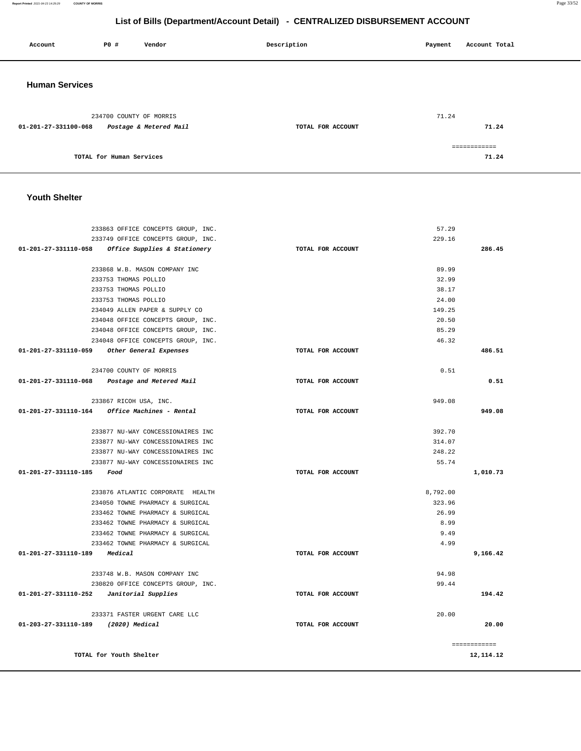233863 OFFICE CONCEPTS GROUP, INC. 233749 OFFICE CONCEPTS GROUP, INC. **01-201-27-331110-058 Office Supplies & Stationery TOTAL FOR ACCOUNT**  57.29 229.16 **286.45** 233868 W.B. MASON COMPANY INC 233753 THOMAS POLLIO 233753 THOMAS POLLIO 233753 THOMAS POLLIO 234049 ALLEN PAPER & SUPPLY CO 234048 OFFICE CONCEPTS GROUP, INC. 234048 OFFICE CONCEPTS GROUP, INC. 234048 OFFICE CONCEPTS GROUP, INC. **01-201-27-331110-059 Other General Expenses TOTAL FOR ACCOUNT**  89.99 32.99 38.17 24.00 149.25 20.50 85.29 46.32 **486.51** 234700 COUNTY OF MORRIS **01-201-27-331110-068 Postage and Metered Mail TOTAL FOR ACCOUNT**  0.51 **0.51** 233867 RICOH USA, INC. **01-201-27-331110-164 Office Machines - Rental TOTAL FOR ACCOUNT**  949.08 **949.08** 233877 NU-WAY CONCESSIONAIRES INC 233877 NU-WAY CONCESSIONAIRES INC 233877 NU-WAY CONCESSIONAIRES INC 233877 NU-WAY CONCESSIONAIRES INC **01-201-27-331110-185 Food TOTAL FOR ACCOUNT**  392.70 314.07 248.22 55.74 **1,010.73** 233876 ATLANTIC CORPORATE HEALTH 234050 TOWNE PHARMACY & SURGICAL 233462 TOWNE PHARMACY & SURGICAL 233462 TOWNE PHARMACY & SURGICAL 233462 TOWNE PHARMACY & SURGICAL 233462 TOWNE PHARMACY & SURGICAL **01-201-27-331110-189 Medical TOTAL FOR ACCOUNT**  8,792.00 323.96 26.99 8.99 9.49 4.99 **9,166.42** 233748 W.B. MASON COMPANY INC 230820 OFFICE CONCEPTS GROUP, INC. **01-201-27-331110-252 Janitorial Supplies TOTAL FOR ACCOUNT**  94.98 99.44 **194.42** 233371 FASTER URGENT CARE LLC **01-203-27-331110-189 (2020) Medical TOTAL FOR ACCOUNT**  20.00 **20.00 TOTAL for Youth Shelter**  ============ **12,114.12** 

#### **Youth Shelter**

| <b>Human Services</b>                          |                   |                        |
|------------------------------------------------|-------------------|------------------------|
| 234700 COUNTY OF MORRIS                        |                   | 71.24                  |
| Postage & Metered Mail<br>01-201-27-331100-068 | TOTAL FOR ACCOUNT | 71.24                  |
| TOTAL for Human Services                       |                   | =============<br>71.24 |

 **Account P0 # Vendor Description Payment Account Total**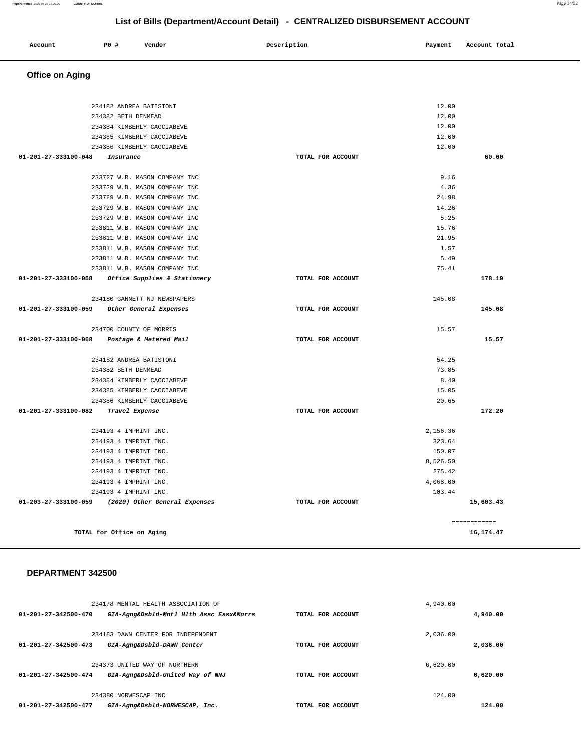| $01 - 201 - 27 - 342500 - 470$ | GIA-Agng&Dsbld-Mntl Hlth Assc Essx&Morrs | TOTAL FOR ACCOUNT | 4,940.00 |
|--------------------------------|------------------------------------------|-------------------|----------|
|                                | 234183 DAWN CENTER FOR INDEPENDENT       |                   | 2,036,00 |
| 01-201-27-342500-473           | GIA-Agng&Dsbld-DAWN Center               | TOTAL FOR ACCOUNT | 2,036.00 |
|                                | 234373 UNITED WAY OF NORTHERN            |                   | 6.620.00 |
| $01 - 201 - 27 - 342500 - 474$ | GIA-Agng&Dsbld-United Way of NNJ         | TOTAL FOR ACCOUNT | 6.620.00 |
|                                | 234380 NORWESCAP INC                     |                   | 124.00   |
| 01-201-27-342500-477           | GIA-Agng&Dsbld-NORWESCAP, Inc.           | TOTAL FOR ACCOUNT | 124.00   |

4,940.00

#### **DEPARTMENT 342500**

234178 MENTAL HEALTH ASSOCIATION OF

| 234182 ANDREA BATISTONI                            |                   | 12.00    |              |
|----------------------------------------------------|-------------------|----------|--------------|
| 234382 BETH DENMEAD                                |                   | 12.00    |              |
| 234384 KIMBERLY CACCIABEVE                         |                   | 12.00    |              |
| 234385 KIMBERLY CACCIABEVE                         |                   | 12.00    |              |
| 234386 KIMBERLY CACCIABEVE                         |                   | 12.00    |              |
| 01-201-27-333100-048<br>Insurance                  | TOTAL FOR ACCOUNT |          | 60.00        |
|                                                    |                   |          |              |
| 233727 W.B. MASON COMPANY INC                      |                   | 9.16     |              |
| 233729 W.B. MASON COMPANY INC                      |                   | 4.36     |              |
| 233729 W.B. MASON COMPANY INC                      |                   | 24.98    |              |
| 233729 W.B. MASON COMPANY INC                      |                   | 14.26    |              |
| 233729 W.B. MASON COMPANY INC                      |                   | 5.25     |              |
| 233811 W.B. MASON COMPANY INC                      |                   | 15.76    |              |
| 233811 W.B. MASON COMPANY INC                      |                   | 21.95    |              |
| 233811 W.B. MASON COMPANY INC                      |                   | 1.57     |              |
| 233811 W.B. MASON COMPANY INC                      |                   | 5.49     |              |
| 233811 W.B. MASON COMPANY INC                      |                   | 75.41    |              |
| 01-201-27-333100-058 Office Supplies & Stationery  | TOTAL FOR ACCOUNT |          | 178.19       |
| 234180 GANNETT NJ NEWSPAPERS                       |                   | 145.08   |              |
| 01-201-27-333100-059 Other General Expenses        | TOTAL FOR ACCOUNT |          | 145.08       |
| 234700 COUNTY OF MORRIS                            |                   | 15.57    |              |
| 01-201-27-333100-068<br>Postage & Metered Mail     | TOTAL FOR ACCOUNT |          | 15.57        |
| 234182 ANDREA BATISTONI                            |                   | 54.25    |              |
| 234382 BETH DENMEAD                                |                   | 73.85    |              |
| 234384 KIMBERLY CACCIABEVE                         |                   | 8.40     |              |
| 234385 KIMBERLY CACCIABEVE                         |                   | 15.05    |              |
| 234386 KIMBERLY CACCIABEVE                         |                   | 20.65    |              |
| 01-201-27-333100-082<br>Travel Expense             | TOTAL FOR ACCOUNT |          | 172.20       |
| 234193 4 IMPRINT INC.                              |                   | 2.156.36 |              |
| 234193 4 IMPRINT INC.                              |                   | 323.64   |              |
| 234193 4 IMPRINT INC.                              |                   | 150.07   |              |
| 234193 4 IMPRINT INC.                              |                   | 8,526.50 |              |
| 234193 4 IMPRINT INC.                              |                   | 275.42   |              |
| 234193 4 IMPRINT INC.                              |                   | 4,068.00 |              |
| 234193 4 IMPRINT INC.                              |                   | 103.44   |              |
| 01-203-27-333100-059 (2020) Other General Expenses | TOTAL FOR ACCOUNT |          | 15,603.43    |
|                                                    |                   |          |              |
|                                                    |                   |          | ------------ |
| TOTAL for Office on Aging                          |                   |          | 16,174.47    |

# **Office on Aging**

# **List of Bills (Department/Account Detail) - CENTRALIZED DISBURSEMENT ACCOUNT Account** 20 **P P**  $\uparrow$  **Payment** Payment Account Total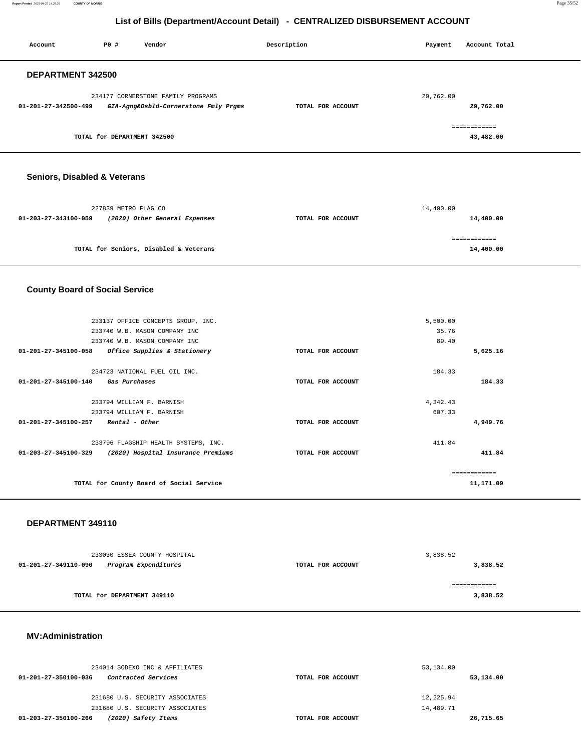| Account                      | P0 #                        | Vendor                                | Description       | Payment   | Account Total |
|------------------------------|-----------------------------|---------------------------------------|-------------------|-----------|---------------|
| DEPARTMENT 342500            |                             |                                       |                   |           |               |
|                              |                             | 234177 CORNERSTONE FAMILY PROGRAMS    |                   | 29,762.00 |               |
| 01-201-27-342500-499         |                             | GIA-Agng&Dsbld-Cornerstone Fmly Prgms | TOTAL FOR ACCOUNT |           | 29,762.00     |
|                              |                             |                                       |                   |           | ------------- |
|                              | TOTAL for DEPARTMENT 342500 |                                       |                   |           | 43,482.00     |
|                              |                             |                                       |                   |           |               |
| Seniors, Disabled & Veterans |                             |                                       |                   |           |               |

| 227839 METRO FLAG CO |                                        | 14,400.00 |                   |           |
|----------------------|----------------------------------------|-----------|-------------------|-----------|
| 01-203-27-343100-059 | (2020) Other General Expenses          |           | TOTAL FOR ACCOUNT | 14,400.00 |
|                      |                                        |           |                   |           |
|                      |                                        |           |                   |           |
|                      | TOTAL for Seniors, Disabled & Veterans |           |                   | 14,400.00 |
|                      |                                        |           |                   |           |

#### **County Board of Social Service**

| 233137 OFFICE CONCEPTS GROUP, INC.<br>233740 W.B. MASON COMPANY INC  |                   | 5,500.00<br>35.76 |           |
|----------------------------------------------------------------------|-------------------|-------------------|-----------|
|                                                                      |                   |                   |           |
| 233740 W.B. MASON COMPANY INC                                        |                   | 89.40             |           |
| $01 - 201 - 27 - 345100 - 058$<br>Office Supplies & Stationery       | TOTAL FOR ACCOUNT |                   | 5,625.16  |
|                                                                      |                   |                   |           |
| 234723 NATIONAL FUEL OIL INC.                                        |                   | 184.33            |           |
| 01-201-27-345100-140 Gas Purchases                                   | TOTAL FOR ACCOUNT |                   | 184.33    |
|                                                                      |                   |                   |           |
| 233794 WILLIAM F. BARNISH                                            |                   | 4,342.43          |           |
| 233794 WILLIAM F. BARNISH                                            |                   | 607.33            |           |
| $01-201-27-345100-257$ Rental - Other                                | TOTAL FOR ACCOUNT |                   | 4,949.76  |
| 233796 FLAGSHIP HEALTH SYSTEMS, INC.                                 |                   | 411.84            |           |
| $01 - 203 - 27 - 345100 - 329$<br>(2020) Hospital Insurance Premiums | TOTAL FOR ACCOUNT |                   | 411.84    |
|                                                                      |                   |                   |           |
|                                                                      |                   |                   |           |
| TOTAL for County Board of Social Service                             |                   |                   | 11,171.09 |
|                                                                      |                   |                   |           |

#### **DEPARTMENT 349110**

| 233030 ESSEX COUNTY HOSPITAL                 |                   | 3,838.52 |
|----------------------------------------------|-------------------|----------|
| 01-201-27-349110-090<br>Program Expenditures | TOTAL FOR ACCOUNT | 3,838.52 |
|                                              |                   |          |
| TOTAL for DEPARTMENT 349110                  |                   | 3,838.52 |
|                                              |                   |          |

#### **MV:Administration**

| 234014 SODEXO INC & AFFILIATES<br>Contracted Services<br>01-201-27-350100-036 | TOTAL FOR ACCOUNT | 53,134.00<br>53,134.00 |
|-------------------------------------------------------------------------------|-------------------|------------------------|
| 231680 U.S. SECURITY ASSOCIATES                                               |                   | 12,225.94              |
| 231680 U.S. SECURITY ASSOCIATES                                               |                   | 14,489.71              |
| (2020) Safety Items<br>01-203-27-350100-266                                   | TOTAL FOR ACCOUNT | 26,715.65              |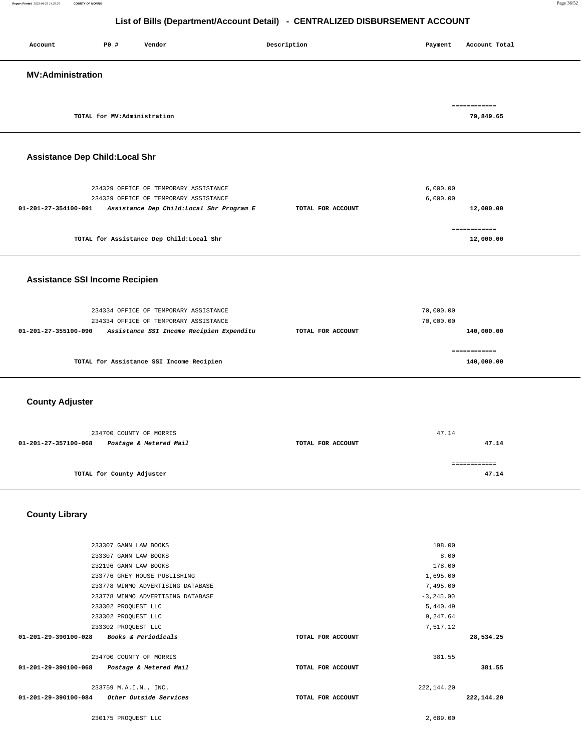| Account                               | P0 #                         | Vendor                                                                            | Description       | Payment      | Account Total              |
|---------------------------------------|------------------------------|-----------------------------------------------------------------------------------|-------------------|--------------|----------------------------|
| <b>MV:Administration</b>              |                              |                                                                                   |                   |              |                            |
|                                       |                              |                                                                                   |                   |              |                            |
|                                       |                              |                                                                                   |                   |              | ============               |
|                                       | TOTAL for MV: Administration |                                                                                   |                   |              | 79,849.65                  |
|                                       |                              |                                                                                   |                   |              |                            |
| <b>Assistance Dep Child:Local Shr</b> |                              |                                                                                   |                   |              |                            |
|                                       |                              | 234329 OFFICE OF TEMPORARY ASSISTANCE                                             |                   | 6,000.00     |                            |
|                                       |                              | 234329 OFFICE OF TEMPORARY ASSISTANCE                                             |                   | 6,000.00     |                            |
| 01-201-27-354100-091                  |                              | Assistance Dep Child: Local Shr Program E                                         | TOTAL FOR ACCOUNT |              | 12,000.00                  |
|                                       |                              |                                                                                   |                   |              | ------------               |
|                                       |                              | TOTAL for Assistance Dep Child:Local Shr                                          |                   |              | 12,000.00                  |
|                                       |                              |                                                                                   |                   |              |                            |
| <b>Assistance SSI Income Recipien</b> |                              |                                                                                   |                   |              |                            |
|                                       |                              |                                                                                   |                   |              |                            |
|                                       |                              | 234334 OFFICE OF TEMPORARY ASSISTANCE                                             |                   | 70,000.00    |                            |
| 01-201-27-355100-090                  |                              | 234334 OFFICE OF TEMPORARY ASSISTANCE<br>Assistance SSI Income Recipien Expenditu | TOTAL FOR ACCOUNT | 70,000.00    | 140,000.00                 |
|                                       |                              |                                                                                   |                   |              |                            |
|                                       |                              | TOTAL for Assistance SSI Income Recipien                                          |                   |              | ============<br>140,000.00 |
|                                       |                              |                                                                                   |                   |              |                            |
| <b>County Adjuster</b>                |                              |                                                                                   |                   |              |                            |
|                                       |                              |                                                                                   |                   |              |                            |
|                                       | 234700 COUNTY OF MORRIS      |                                                                                   |                   | 47.14        |                            |
| 01-201-27-357100-068                  |                              | Postage & Metered Mail                                                            | TOTAL FOR ACCOUNT |              | 47.14                      |
|                                       |                              |                                                                                   |                   |              | ------------               |
|                                       | TOTAL for County Adjuster    |                                                                                   |                   |              | 47.14                      |
|                                       |                              |                                                                                   |                   |              |                            |
| <b>County Library</b>                 |                              |                                                                                   |                   |              |                            |
|                                       |                              |                                                                                   |                   |              |                            |
|                                       | 233307 GANN LAW BOOKS        |                                                                                   |                   | 198.00       |                            |
|                                       | 233307 GANN LAW BOOKS        |                                                                                   |                   | 8.00         |                            |
|                                       | 232196 GANN LAW BOOKS        |                                                                                   |                   | 178.00       |                            |
|                                       |                              | 233776 GREY HOUSE PUBLISHING                                                      |                   | 1,695.00     |                            |
|                                       |                              | 233778 WINMO ADVERTISING DATABASE                                                 |                   | 7,495.00     |                            |
|                                       |                              | 233778 WINMO ADVERTISING DATABASE                                                 |                   | $-3, 245.00$ |                            |
|                                       | 233302 PROQUEST LLC          |                                                                                   |                   | 5,440.49     |                            |
|                                       | 233302 PROQUEST LLC          |                                                                                   |                   | 9,247.64     |                            |
| 01-201-29-390100-028                  | 233302 PROQUEST LLC          | Books & Periodicals                                                               | TOTAL FOR ACCOUNT | 7,517.12     | 28,534.25                  |
|                                       |                              |                                                                                   |                   |              |                            |
|                                       | 234700 COUNTY OF MORRIS      |                                                                                   |                   | 381.55       |                            |
| 01-201-29-390100-068                  |                              | Postage & Metered Mail                                                            | TOTAL FOR ACCOUNT |              | 381.55                     |
|                                       | 233759 M.A.I.N., INC.        |                                                                                   |                   | 222, 144.20  |                            |
| 01-201-29-390100-084                  |                              | Other Outside Services                                                            | TOTAL FOR ACCOUNT |              | 222,144.20                 |
|                                       | 230175 PROQUEST LLC          |                                                                                   |                   | 2,689.00     |                            |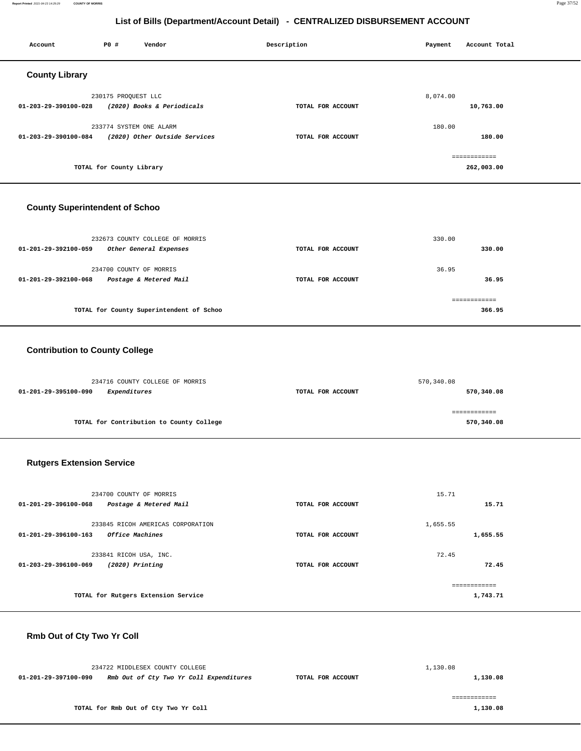### **Report Printed** 2021-04-23 14:29:29 **COUNTY OF MORRIS** Page 37/52

### **List of Bills (Department/Account Detail) - CENTRALIZED DISBURSEMENT ACCOUNT**

| Account               | P0 #                     | Vendor                        | Description       | Payment  | Account Total |
|-----------------------|--------------------------|-------------------------------|-------------------|----------|---------------|
| <b>County Library</b> |                          |                               |                   |          |               |
|                       | 230175 PROQUEST LLC      |                               |                   | 8,074.00 |               |
| 01-203-29-390100-028  |                          | (2020) Books & Periodicals    | TOTAL FOR ACCOUNT |          | 10,763.00     |
|                       | 233774 SYSTEM ONE ALARM  |                               |                   | 180.00   |               |
| 01-203-29-390100-084  |                          | (2020) Other Outside Services | TOTAL FOR ACCOUNT |          | 180.00        |
|                       |                          |                               |                   |          | ============  |
|                       | TOTAL for County Library |                               |                   |          | 262,003.00    |
|                       |                          |                               |                   |          |               |

# **County Superintendent of Schoo**

| 232673 COUNTY COLLEGE OF MORRIS<br>01-201-29-392100-059<br>Other General Expenses | TOTAL FOR ACCOUNT | 330.00<br>330.00 |
|-----------------------------------------------------------------------------------|-------------------|------------------|
| 234700 COUNTY OF MORRIS<br>Postage & Metered Mail<br>01-201-29-392100-068         | TOTAL FOR ACCOUNT | 36.95<br>36.95   |
| TOTAL for County Superintendent of Schoo                                          |                   | 366.95           |

#### **Contribution to County College**

| 234716 COUNTY COLLEGE OF MORRIS          |                   | 570,340.08 |
|------------------------------------------|-------------------|------------|
| 01-201-29-395100-090<br>Expenditures     | TOTAL FOR ACCOUNT | 570,340.08 |
|                                          |                   |            |
|                                          |                   |            |
| TOTAL for Contribution to County College |                   | 570,340.08 |

# **Rutgers Extension Service**

| 234700 COUNTY OF MORRIS                                         |                   | 15.71        |
|-----------------------------------------------------------------|-------------------|--------------|
| 01-201-29-396100-068<br>Postage & Metered Mail                  | TOTAL FOR ACCOUNT | 15.71        |
| 233845 RICOH AMERICAS CORPORATION                               |                   | 1,655.55     |
| <i><b>Office Machines</b></i><br>$01 - 201 - 29 - 396100 - 163$ | TOTAL FOR ACCOUNT | 1,655.55     |
| 233841 RICOH USA, INC.                                          |                   | 72.45        |
| $(2020)$ Printing<br>01-203-29-396100-069                       | TOTAL FOR ACCOUNT | 72.45        |
|                                                                 |                   | ============ |
| TOTAL for Rutgers Extension Service                             |                   | 1,743.71     |

#### **Rmb Out of Cty Two Yr Coll**

|                      | 234722 MIDDLESEX COUNTY COLLEGE         |                   | 1,130.08 |
|----------------------|-----------------------------------------|-------------------|----------|
| 01-201-29-397100-090 | Rmb Out of Cty Two Yr Coll Expenditures | TOTAL FOR ACCOUNT | 1,130.08 |
|                      |                                         |                   |          |
|                      | TOTAL for Rmb Out of Cty Two Yr Coll    |                   | 1,130.08 |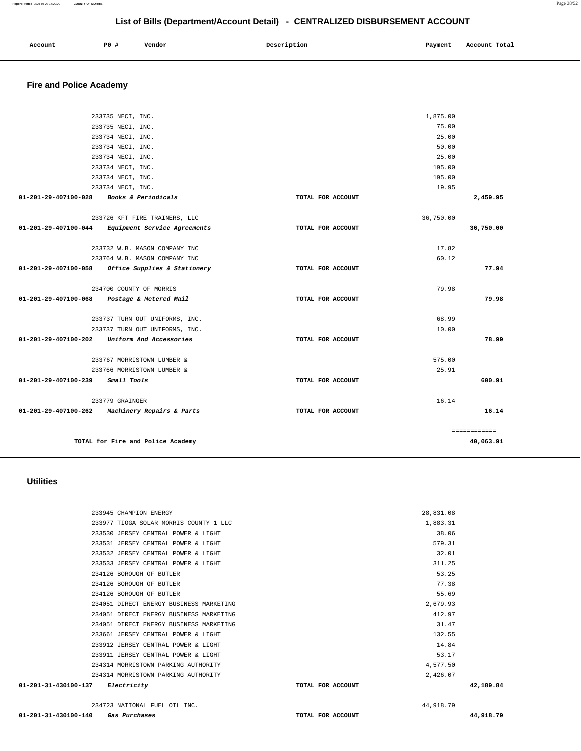| Account<br>. | P0 | Vendor | Description | Payment | Total<br>Account<br>. |
|--------------|----|--------|-------------|---------|-----------------------|
|              |    |        |             |         |                       |

# **Fire and Police Academy**

|                      | 233735 NECI, INC.                                 |                   | 1,875.00  |              |
|----------------------|---------------------------------------------------|-------------------|-----------|--------------|
|                      | 233735 NECI, INC.                                 |                   | 75.00     |              |
|                      | 233734 NECI, INC.                                 |                   | 25.00     |              |
|                      |                                                   |                   | 50.00     |              |
|                      | 233734 NECI, INC.                                 |                   | 25.00     |              |
|                      | 233734 NECI, INC.                                 |                   |           |              |
|                      | 233734 NECI, INC.                                 |                   | 195.00    |              |
|                      | 233734 NECI, INC.                                 |                   | 195.00    |              |
|                      | 233734 NECI, INC.                                 |                   | 19.95     |              |
| 01-201-29-407100-028 | Books & Periodicals                               | TOTAL FOR ACCOUNT |           | 2,459.95     |
|                      | 233726 KFT FIRE TRAINERS, LLC                     |                   | 36,750.00 |              |
|                      | 01-201-29-407100-044 Equipment Service Agreements | TOTAL FOR ACCOUNT |           | 36,750.00    |
|                      | 233732 W.B. MASON COMPANY INC                     |                   | 17.82     |              |
|                      | 233764 W.B. MASON COMPANY INC                     |                   | 60.12     |              |
| 01-201-29-407100-058 | Office Supplies & Stationery                      | TOTAL FOR ACCOUNT |           | 77.94        |
|                      |                                                   |                   |           |              |
|                      | 234700 COUNTY OF MORRIS                           |                   | 79.98     |              |
| 01-201-29-407100-068 | Postage & Metered Mail                            | TOTAL FOR ACCOUNT |           | 79.98        |
|                      | 233737 TURN OUT UNIFORMS, INC.                    |                   | 68.99     |              |
|                      | 233737 TURN OUT UNIFORMS, INC.                    |                   | 10.00     |              |
| 01-201-29-407100-202 | Uniform And Accessories                           | TOTAL FOR ACCOUNT |           | 78.99        |
|                      |                                                   |                   |           |              |
|                      | 233767 MORRISTOWN LUMBER &                        |                   | 575.00    |              |
|                      | 233766 MORRISTOWN LUMBER &                        |                   | 25.91     |              |
| 01-201-29-407100-239 | Small Tools                                       | TOTAL FOR ACCOUNT |           | 600.91       |
|                      | 233779 GRAINGER                                   |                   | 16.14     |              |
| 01-201-29-407100-262 | Machinery Repairs & Parts                         | TOTAL FOR ACCOUNT |           | 16.14        |
|                      |                                                   |                   |           |              |
|                      |                                                   |                   |           | ============ |
|                      | TOTAL for Fire and Police Academy                 |                   |           | 40,063.91    |
|                      |                                                   |                   |           |              |

#### **Utilities**

|                      | 234723 NATIONAL FUEL OIL INC.           |                   | 44, 918.79 |           |
|----------------------|-----------------------------------------|-------------------|------------|-----------|
| 01-201-31-430100-137 | Electricity                             | TOTAL FOR ACCOUNT |            | 42,189.84 |
|                      | 234314 MORRISTOWN PARKING AUTHORITY     |                   | 2.426.07   |           |
|                      | 234314 MORRISTOWN PARKING AUTHORITY     |                   | 4,577.50   |           |
|                      | 233911 JERSEY CENTRAL POWER & LIGHT     |                   | 53.17      |           |
|                      | 233912 JERSEY CENTRAL POWER & LIGHT     |                   | 14.84      |           |
|                      | 233661 JERSEY CENTRAL POWER & LIGHT     |                   | 132.55     |           |
|                      | 234051 DIRECT ENERGY BUSINESS MARKETING |                   | 31.47      |           |
|                      | 234051 DIRECT ENERGY BUSINESS MARKETING |                   | 412.97     |           |
|                      | 234051 DIRECT ENERGY BUSINESS MARKETING |                   | 2,679.93   |           |
|                      | 234126 BOROUGH OF BUTLER                |                   | 55.69      |           |
|                      | 234126 BOROUGH OF BUTLER                |                   | 77.38      |           |
|                      | 234126 BOROUGH OF BUTLER                |                   | 53.25      |           |
|                      | 233533 JERSEY CENTRAL POWER & LIGHT     |                   | 311.25     |           |
|                      | 233532 JERSEY CENTRAL POWER & LIGHT     |                   | 32.01      |           |
|                      | 233531 JERSEY CENTRAL POWER & LIGHT     |                   | 579.31     |           |
|                      | 233530 JERSEY CENTRAL POWER & LIGHT     |                   | 38.06      |           |
|                      | 233977 TIOGA SOLAR MORRIS COUNTY 1 LLC  |                   | 1,883.31   |           |
|                      | 233945 CHAMPION ENERGY                  |                   | 28,831.08  |           |
|                      |                                         |                   |            |           |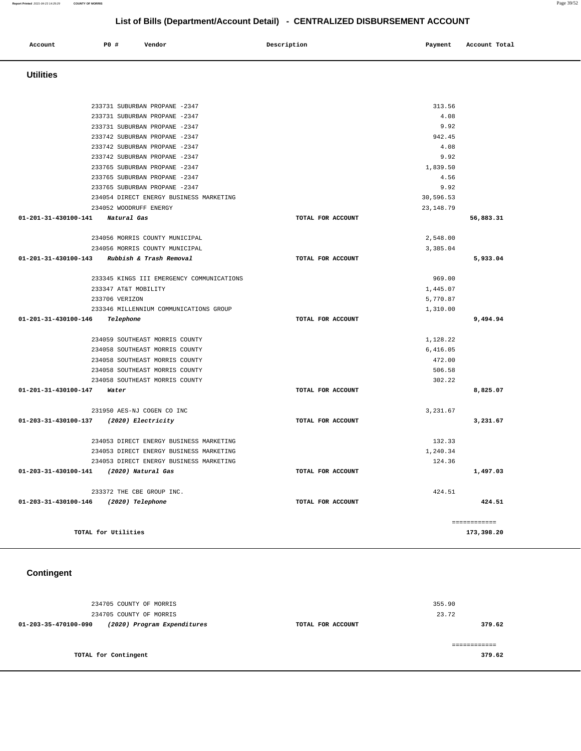| 234705 COUNTY OF MORRIS                             |                   | 355.90 |
|-----------------------------------------------------|-------------------|--------|
| 234705 COUNTY OF MORRIS                             |                   | 23.72  |
| (2020) Program Expenditures<br>01-203-35-470100-090 | TOTAL FOR ACCOUNT | 379.62 |
|                                                     |                   |        |
|                                                     |                   |        |
| TOTAL for Contingent                                |                   | 379.62 |
|                                                     |                   |        |

# **Contingent**

| ບເເເເເບະ                                     |                   |            |              |
|----------------------------------------------|-------------------|------------|--------------|
|                                              |                   |            |              |
| 233731 SUBURBAN PROPANE -2347                |                   | 313.56     |              |
| 233731 SUBURBAN PROPANE -2347                |                   | 4.08       |              |
| 233731 SUBURBAN PROPANE -2347                |                   | 9.92       |              |
| 233742 SUBURBAN PROPANE -2347                |                   | 942.45     |              |
| 233742 SUBURBAN PROPANE -2347                |                   | 4.08       |              |
| 233742 SUBURBAN PROPANE -2347                |                   | 9.92       |              |
| 233765 SUBURBAN PROPANE -2347                |                   | 1,839.50   |              |
| 233765 SUBURBAN PROPANE -2347                |                   | 4.56       |              |
| 233765 SUBURBAN PROPANE -2347                |                   | 9.92       |              |
| 234054 DIRECT ENERGY BUSINESS MARKETING      |                   | 30,596.53  |              |
| 234052 WOODRUFF ENERGY                       |                   | 23, 148.79 |              |
| 01-201-31-430100-141 Natural Gas             | TOTAL FOR ACCOUNT |            | 56,883.31    |
| 234056 MORRIS COUNTY MUNICIPAL               |                   | 2,548.00   |              |
| 234056 MORRIS COUNTY MUNICIPAL               |                   | 3,385.04   |              |
| 01-201-31-430100-143 Rubbish & Trash Removal | TOTAL FOR ACCOUNT |            | 5,933.04     |
| 233345 KINGS III EMERGENCY COMMUNICATIONS    |                   | 969.00     |              |
| 233347 AT&T MOBILITY                         |                   | 1,445.07   |              |
| 233706 VERIZON                               |                   | 5,770.87   |              |
| 233346 MILLENNIUM COMMUNICATIONS GROUP       |                   | 1,310.00   |              |
| 01-201-31-430100-146<br>Telephone            | TOTAL FOR ACCOUNT |            | 9,494.94     |
|                                              |                   |            |              |
| 234059 SOUTHEAST MORRIS COUNTY               |                   | 1,128.22   |              |
| 234058 SOUTHEAST MORRIS COUNTY               |                   | 6,416.05   |              |
| 234058 SOUTHEAST MORRIS COUNTY               |                   | 472.00     |              |
| 234058 SOUTHEAST MORRIS COUNTY               |                   | 506.58     |              |
| 234058 SOUTHEAST MORRIS COUNTY               |                   | 302.22     |              |
| 01-201-31-430100-147 Water                   | TOTAL FOR ACCOUNT |            | 8,825.07     |
| 231950 AES-NJ COGEN CO INC                   |                   | 3,231.67   |              |
| 01-203-31-430100-137 (2020) Electricity      | TOTAL FOR ACCOUNT |            | 3,231.67     |
| 234053 DIRECT ENERGY BUSINESS MARKETING      |                   | 132.33     |              |
| 234053 DIRECT ENERGY BUSINESS MARKETING      |                   | 1,240.34   |              |
| 234053 DIRECT ENERGY BUSINESS MARKETING      |                   | 124.36     |              |
| 01-203-31-430100-141 (2020) Natural Gas      | TOTAL FOR ACCOUNT |            | 1,497.03     |
| 233372 THE CBE GROUP INC.                    |                   | 424.51     |              |
| 01-203-31-430100-146 (2020) Telephone        | TOTAL FOR ACCOUNT |            | 424.51       |
|                                              |                   |            |              |
|                                              |                   |            | ============ |
| TOTAL for Utilities                          |                   |            | 173,398.20   |

#### **Utilities**

| LIST OF BIIIS (DEDAITMENTACCOUNT DETAIL) - CENTRALIZED DISBURSEMENT ACCOUNT |     |        |             |         |               |
|-----------------------------------------------------------------------------|-----|--------|-------------|---------|---------------|
| Account                                                                     | P0# | Vendor | Description | Payment | Account Total |
|                                                                             |     |        |             |         |               |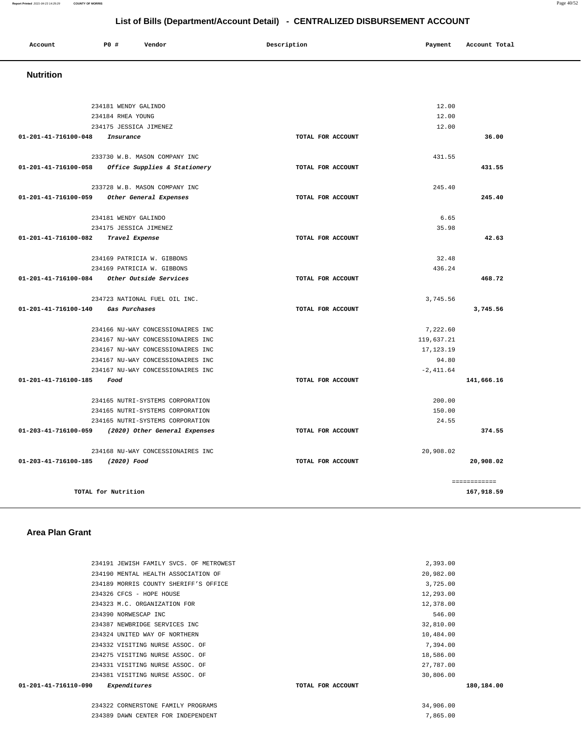| LIST OF BIIIS (Department/Account Detail) - CENTRALIZED DISBURSEMENT ACCOUNT |                        |                                                    |                   |              |               |  |
|------------------------------------------------------------------------------|------------------------|----------------------------------------------------|-------------------|--------------|---------------|--|
| Account                                                                      | P0 #                   | Vendor                                             | Description       | Payment      | Account Total |  |
| <b>Nutrition</b>                                                             |                        |                                                    |                   |              |               |  |
|                                                                              |                        |                                                    |                   |              |               |  |
|                                                                              | 234181 WENDY GALINDO   |                                                    |                   | 12.00        |               |  |
|                                                                              | 234184 RHEA YOUNG      |                                                    |                   | 12.00        |               |  |
|                                                                              | 234175 JESSICA JIMENEZ |                                                    |                   | 12.00        |               |  |
| $01 - 201 - 41 - 716100 - 048$                                               | Insurance              |                                                    | TOTAL FOR ACCOUNT |              | 36.00         |  |
|                                                                              |                        | 233730 W.B. MASON COMPANY INC                      |                   | 431.55       |               |  |
| 01-201-41-716100-058                                                         |                        | Office Supplies & Stationery                       | TOTAL FOR ACCOUNT |              | 431.55        |  |
|                                                                              |                        | 233728 W.B. MASON COMPANY INC                      |                   | 245.40       |               |  |
| 01-201-41-716100-059 Other General Expenses                                  |                        |                                                    | TOTAL FOR ACCOUNT |              | 245.40        |  |
|                                                                              |                        |                                                    |                   |              |               |  |
|                                                                              | 234181 WENDY GALINDO   |                                                    |                   | 6.65         |               |  |
|                                                                              | 234175 JESSICA JIMENEZ |                                                    |                   | 35.98        |               |  |
| 01-201-41-716100-082                                                         | Travel Expense         |                                                    | TOTAL FOR ACCOUNT |              | 42.63         |  |
|                                                                              |                        | 234169 PATRICIA W. GIBBONS                         |                   | 32.48        |               |  |
|                                                                              |                        | 234169 PATRICIA W. GIBBONS                         |                   | 436.24       |               |  |
| 01-201-41-716100-084                                                         |                        | Other Outside Services                             | TOTAL FOR ACCOUNT |              | 468.72        |  |
|                                                                              |                        | 234723 NATIONAL FUEL OIL INC.                      |                   | 3,745.56     |               |  |
| 01-201-41-716100-140                                                         | Gas Purchases          |                                                    | TOTAL FOR ACCOUNT |              | 3,745.56      |  |
|                                                                              |                        | 234166 NU-WAY CONCESSIONAIRES INC                  |                   | 7,222.60     |               |  |
|                                                                              |                        | 234167 NU-WAY CONCESSIONAIRES INC                  |                   | 119,637.21   |               |  |
|                                                                              |                        | 234167 NU-WAY CONCESSIONAIRES INC                  |                   | 17, 123. 19  |               |  |
|                                                                              |                        | 234167 NU-WAY CONCESSIONAIRES INC                  |                   | 94.80        |               |  |
|                                                                              |                        | 234167 NU-WAY CONCESSIONAIRES INC                  |                   | $-2, 411.64$ |               |  |
| 01-201-41-716100-185                                                         | Food                   |                                                    | TOTAL FOR ACCOUNT |              | 141,666.16    |  |
|                                                                              |                        | 234165 NUTRI-SYSTEMS CORPORATION                   |                   | 200.00       |               |  |
|                                                                              |                        | 234165 NUTRI-SYSTEMS CORPORATION                   |                   | 150.00       |               |  |
|                                                                              |                        | 234165 NUTRI-SYSTEMS CORPORATION                   |                   | 24.55        |               |  |
|                                                                              |                        | 01-203-41-716100-059 (2020) Other General Expenses | TOTAL FOR ACCOUNT |              | 374.55        |  |
|                                                                              |                        | 234168 NU-WAY CONCESSIONAIRES INC                  |                   | 20,908.02    |               |  |
| 01-203-41-716100-185                                                         | (2020) Food            |                                                    | TOTAL FOR ACCOUNT |              | 20,908.02     |  |
|                                                                              |                        |                                                    |                   |              | ============  |  |
|                                                                              | TOTAL for Nutrition    |                                                    |                   |              | 167,918.59    |  |
|                                                                              |                        |                                                    |                   |              |               |  |

#### **Area Plan Grant**

|                      |                                         | .                 |            |
|----------------------|-----------------------------------------|-------------------|------------|
| 01-201-41-716110-090 | Expenditures                            | TOTAL FOR ACCOUNT | 180,184.00 |
|                      | 234381 VISITING NURSE ASSOC. OF         | 30,806.00         |            |
|                      | 234331 VISITING NURSE ASSOC. OF         | 27,787.00         |            |
|                      | 234275 VISITING NURSE ASSOC. OF         | 18,586.00         |            |
|                      | 234332 VISITING NURSE ASSOC. OF         | 7,394.00          |            |
|                      | 234324 UNITED WAY OF NORTHERN           | 10,484.00         |            |
|                      | 234387 NEWBRIDGE SERVICES INC           | 32,810.00         |            |
|                      | 234390 NORWESCAP INC                    | 546.00            |            |
|                      | 234323 M.C. ORGANIZATION FOR            | 12,378.00         |            |
|                      | 234326 CFCS - HOPE HOUSE                | 12,293.00         |            |
|                      | 234189 MORRIS COUNTY SHERIFF'S OFFICE   | 3,725.00          |            |
|                      | 234190 MENTAL HEALTH ASSOCIATION OF     | 20,982.00         |            |
|                      | 234191 JEWISH FAMILY SVCS. OF METROWEST | 2,393.00          |            |
|                      |                                         |                   |            |

 234322 CORNERSTONE FAMILY PROGRAMS [34,906.00](https://34,906.00) 234389 DAWN CENTER FOR INDEPENDENT [7,865.00](https://7,865.00)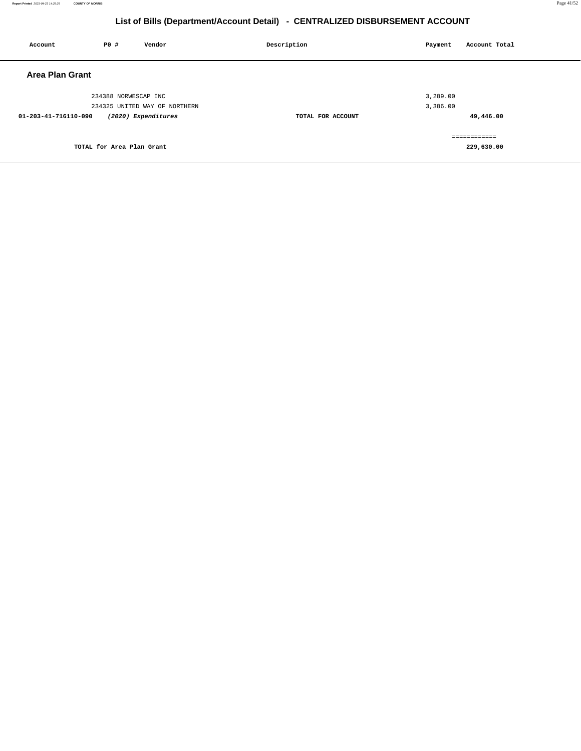| Account                | P0 #                      | Vendor                        | Description       | Payment  | Account Total |
|------------------------|---------------------------|-------------------------------|-------------------|----------|---------------|
| <b>Area Plan Grant</b> |                           |                               |                   |          |               |
|                        | 234388 NORWESCAP INC      |                               |                   | 3,289.00 |               |
|                        |                           | 234325 UNITED WAY OF NORTHERN |                   | 3,386.00 |               |
| 01-203-41-716110-090   |                           | (2020) Expenditures           | TOTAL FOR ACCOUNT |          | 49,446.00     |
|                        |                           |                               |                   |          | ============  |
|                        | TOTAL for Area Plan Grant |                               |                   |          | 229,630.00    |
|                        |                           |                               |                   |          |               |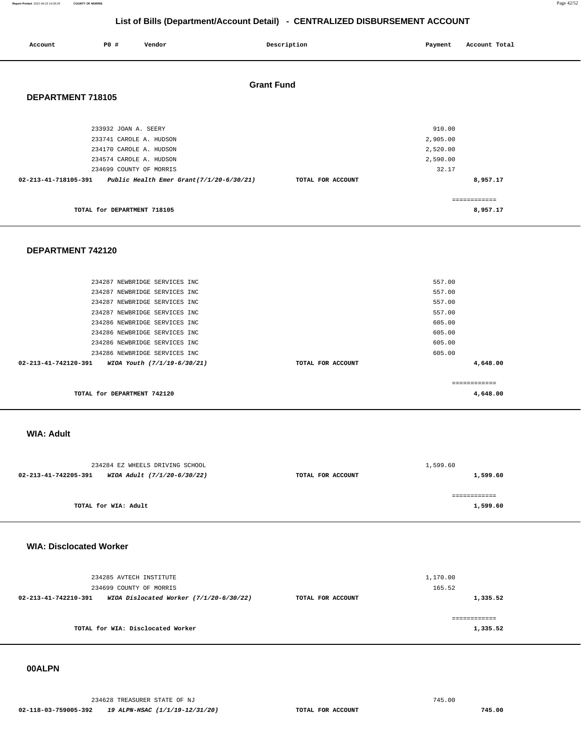| Account              | <b>PO #</b>                                                                                                                      | Vendor                                      |                   | Description       | Payment                                             | Account Total            |  |
|----------------------|----------------------------------------------------------------------------------------------------------------------------------|---------------------------------------------|-------------------|-------------------|-----------------------------------------------------|--------------------------|--|
| DEPARTMENT 718105    |                                                                                                                                  |                                             | <b>Grant Fund</b> |                   |                                                     |                          |  |
| 02-213-41-718105-391 | 233932 JOAN A. SEERY<br>233741 CAROLE A. HUDSON<br>234170 CAROLE A. HUDSON<br>234574 CAROLE A. HUDSON<br>234699 COUNTY OF MORRIS | Public Health Emer Grant $(7/1/20-6/30/21)$ |                   | TOTAL FOR ACCOUNT | 910.00<br>2,905.00<br>2,520.00<br>2,590.00<br>32.17 | 8,957.17                 |  |
|                      | TOTAL for DEPARTMENT 718105                                                                                                      |                                             |                   |                   |                                                     | ============<br>8,957.17 |  |

#### **DEPARTMENT 742120**

|                                | TOTAL for DEPARTMENT 742120   |                   | ------------<br>4,648.00 |  |
|--------------------------------|-------------------------------|-------------------|--------------------------|--|
| $02 - 213 - 41 - 742120 - 391$ | WIOA Youth (7/1/19-6/30/21)   | TOTAL FOR ACCOUNT | 4,648.00                 |  |
|                                | 234286 NEWBRIDGE SERVICES INC |                   | 605.00                   |  |
|                                | 234286 NEWBRIDGE SERVICES INC |                   | 605.00                   |  |
|                                | 234286 NEWBRIDGE SERVICES INC |                   | 605.00                   |  |
|                                | 234286 NEWBRIDGE SERVICES INC |                   | 605.00                   |  |
|                                | 234287 NEWBRIDGE SERVICES INC |                   | 557.00                   |  |
|                                | 234287 NEWBRIDGE SERVICES INC |                   | 557.00                   |  |
|                                | 234287 NEWBRIDGE SERVICES INC |                   | 557.00                   |  |
|                                | 234287 NEWBRIDGE SERVICES INC |                   | 557.00                   |  |
|                                |                               |                   |                          |  |

 **WIA: Adult** 

| 234284 EZ WHEELS DRIVING SCHOOL                     |                   | 1,599.60 |  |  |
|-----------------------------------------------------|-------------------|----------|--|--|
| 02-213-41-742205-391<br>WIOA Adult (7/1/20-6/30/22) | TOTAL FOR ACCOUNT | 1,599.60 |  |  |
|                                                     |                   |          |  |  |
|                                                     |                   |          |  |  |
| TOTAL for WIA: Adult                                |                   | 1,599.60 |  |  |
|                                                     |                   |          |  |  |

#### **WIA: Disclocated Worker**

| 234285 AVTECH INSTITUTE<br>234699 COUNTY OF MORRIS                |                   | 1,170.00<br>165.52 |
|-------------------------------------------------------------------|-------------------|--------------------|
| WIOA Dislocated Worker $(7/1/20-6/30/22)$<br>02-213-41-742210-391 | TOTAL FOR ACCOUNT | 1,335.52           |
| TOTAL for WIA: Disclocated Worker                                 |                   | 1,335.52           |

#### **00ALPN**

234628 TREASURER STATE OF NJ 745.00  **02-118-03-759005-392 19 ALPN-HSAC (1/1/19-12/31/20) TOTAL FOR ACCOUNT 745.00**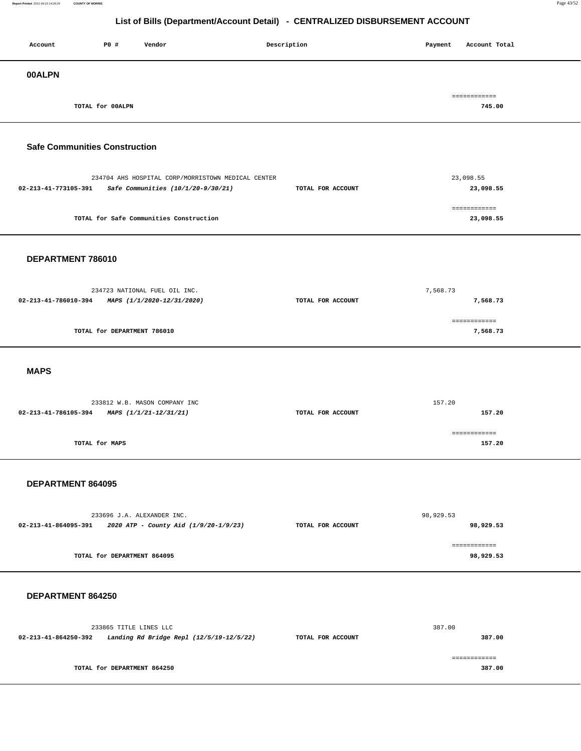**23,098.55**

# **List of Bills (Department/Account Detail) - CENTRALIZED DISBURSEMENT ACCOUNT**

| Account                              | P0 #             | Vendor                                             | Description | Payment | Account Total          |
|--------------------------------------|------------------|----------------------------------------------------|-------------|---------|------------------------|
| <b>00ALPN</b>                        |                  |                                                    |             |         |                        |
|                                      | TOTAL for 00ALPN |                                                    |             |         | ============<br>745.00 |
| <b>Safe Communities Construction</b> |                  |                                                    |             |         |                        |
|                                      |                  | 234704 AHS HOSPITAL CORP/MORRISTOWN MEDICAL CENTER |             |         | 23,098.55              |

|                                         | ============ |
|-----------------------------------------|--------------|
| TOTAL for Safe Communities Construction | 23,098.55    |

**02-213-41-773105-391 Safe Communities (10/1/20-9/30/21) TOTAL FOR ACCOUNT** 

#### **DEPARTMENT 786010**

|                      | 234723 NATIONAL FUEL OIL INC. | 7,568.73          |              |  |
|----------------------|-------------------------------|-------------------|--------------|--|
| 02-213-41-786010-394 | MAPS (1/1/2020-12/31/2020)    | TOTAL FOR ACCOUNT | 7,568.73     |  |
|                      |                               |                   | ============ |  |
|                      | TOTAL for DEPARTMENT 786010   |                   | 7,568.73     |  |
|                      |                               |                   |              |  |

#### **MAPS**

| 233812 W.B. MASON COMPANY INC               |                   | 157.20 |
|---------------------------------------------|-------------------|--------|
| 02-213-41-786105-394 MAPS (1/1/21-12/31/21) | TOTAL FOR ACCOUNT | 157.20 |
|                                             |                   |        |
|                                             |                   |        |
| TOTAL for MAPS                              |                   | 157.20 |
|                                             |                   |        |

#### **DEPARTMENT 864095**

|                      | 233696 J.A. ALEXANDER INC.            |                   | 98,929.53    |
|----------------------|---------------------------------------|-------------------|--------------|
| 02-213-41-864095-391 | 2020 ATP - County Aid (1/9/20-1/9/23) | TOTAL FOR ACCOUNT | 98,929.53    |
|                      |                                       |                   | ============ |
|                      | TOTAL for DEPARTMENT 864095           |                   | 98,929.53    |

#### **DEPARTMENT 864250**

|                      | 233865 TITLE LINES LLC                   |                   | 387.00 |
|----------------------|------------------------------------------|-------------------|--------|
| 02-213-41-864250-392 | Landing Rd Bridge Repl (12/5/19-12/5/22) | TOTAL FOR ACCOUNT | 387.00 |
|                      |                                          |                   |        |
|                      |                                          |                   |        |
|                      | TOTAL for DEPARTMENT 864250              |                   | 387.00 |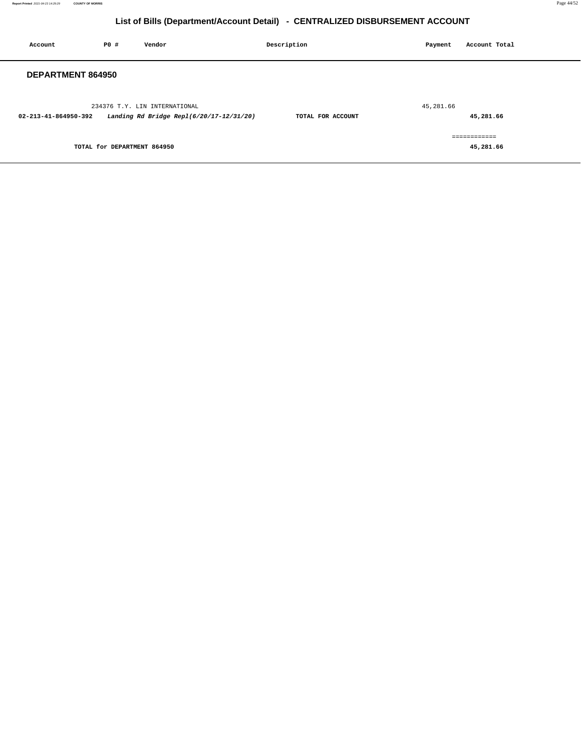| Account                  | P0 #                        | Vendor                                                                    | Description       | Payment   | Account Total             |
|--------------------------|-----------------------------|---------------------------------------------------------------------------|-------------------|-----------|---------------------------|
| <b>DEPARTMENT 864950</b> |                             |                                                                           |                   |           |                           |
| 02-213-41-864950-392     |                             | 234376 T.Y. LIN INTERNATIONAL<br>Landing Rd Bridge Repl(6/20/17-12/31/20) | TOTAL FOR ACCOUNT | 45,281.66 | 45,281.66                 |
|                          | TOTAL for DEPARTMENT 864950 |                                                                           |                   |           | ============<br>45,281.66 |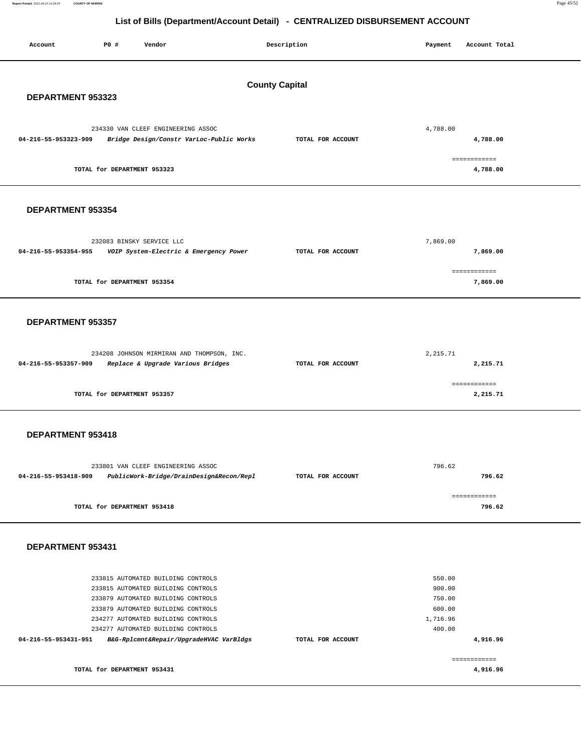| Account                  | P0 #                        | Vendor                                                                          | Description           | Payment   |                  | Account Total            |
|--------------------------|-----------------------------|---------------------------------------------------------------------------------|-----------------------|-----------|------------------|--------------------------|
|                          |                             |                                                                                 |                       |           |                  |                          |
| <b>DEPARTMENT 953323</b> |                             |                                                                                 | <b>County Capital</b> |           |                  |                          |
|                          |                             |                                                                                 |                       |           |                  |                          |
| 04-216-55-953323-909     |                             | 234330 VAN CLEEF ENGINEERING ASSOC<br>Bridge Design/Constr VarLoc-Public Works  | TOTAL FOR ACCOUNT     | 4,788.00  |                  | 4,788.00                 |
|                          |                             |                                                                                 |                       |           |                  | ============             |
|                          | TOTAL for DEPARTMENT 953323 |                                                                                 |                       |           |                  | 4,788.00                 |
|                          |                             |                                                                                 |                       |           |                  |                          |
| DEPARTMENT 953354        |                             |                                                                                 |                       |           |                  |                          |
|                          |                             | 232083 BINSKY SERVICE LLC                                                       |                       | 7,869.00  |                  |                          |
| 04-216-55-953354-955     |                             | VOIP System-Electric & Emergency Power                                          | TOTAL FOR ACCOUNT     |           |                  | 7,869.00                 |
|                          | TOTAL for DEPARTMENT 953354 |                                                                                 |                       |           |                  | ============<br>7,869.00 |
|                          |                             |                                                                                 |                       |           |                  |                          |
| DEPARTMENT 953357        |                             |                                                                                 |                       |           |                  |                          |
|                          |                             |                                                                                 |                       |           |                  |                          |
| 04-216-55-953357-909     |                             | 234208 JOHNSON MIRMIRAN AND THOMPSON, INC.<br>Replace & Upgrade Various Bridges | TOTAL FOR ACCOUNT     | 2, 215.71 |                  | 2,215.71                 |
|                          |                             |                                                                                 |                       |           |                  | ------------             |
|                          | TOTAL for DEPARTMENT 953357 |                                                                                 |                       |           |                  | 2,215.71                 |
|                          |                             |                                                                                 |                       |           |                  |                          |
| DEPARTMENT 953418        |                             |                                                                                 |                       |           |                  |                          |
|                          |                             | 233801 VAN CLEEF ENGINEERING ASSOC                                              |                       |           | 796.62           |                          |
| 04-216-55-953418-909     |                             | PublicWork-Bridge/DrainDesign&Recon/Repl                                        | TOTAL FOR ACCOUNT     |           |                  | 796.62                   |
|                          | TOTAL for DEPARTMENT 953418 |                                                                                 |                       |           |                  | ============             |
|                          |                             |                                                                                 |                       |           |                  | 796.62                   |
| DEPARTMENT 953431        |                             |                                                                                 |                       |           |                  |                          |
|                          |                             |                                                                                 |                       |           |                  |                          |
|                          |                             | 233815 AUTOMATED BUILDING CONTROLS                                              |                       |           | 550.00           |                          |
|                          |                             | 233815 AUTOMATED BUILDING CONTROLS<br>233879 AUTOMATED BUILDING CONTROLS        |                       |           | 900.00<br>750.00 |                          |
|                          |                             | 233879 AUTOMATED BUILDING CONTROLS                                              |                       |           | 600.00           |                          |
|                          |                             | 234277 AUTOMATED BUILDING CONTROLS                                              |                       | 1,716.96  |                  |                          |
|                          |                             | 234277 AUTOMATED BUILDING CONTROLS                                              |                       |           | 400.00           |                          |
| 04-216-55-953431-951     |                             | B&G-Rplcmnt&Repair/UpgradeHVAC VarBldgs                                         | TOTAL FOR ACCOUNT     |           |                  | 4,916.96                 |
|                          | TOTAL for DEPARTMENT 953431 |                                                                                 |                       |           |                  | ------------<br>4,916.96 |
|                          |                             |                                                                                 |                       |           |                  |                          |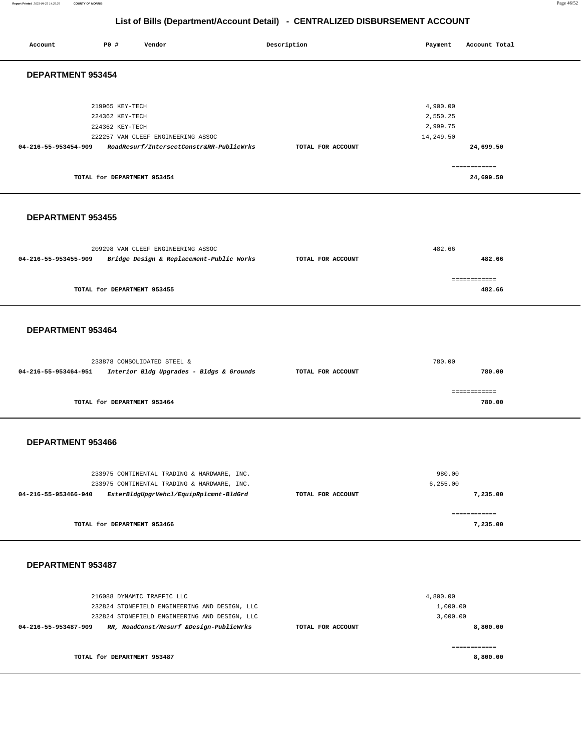#### **Report Printed** 2021-04-23 14:29:29 **COUNTY OF MORRIS** Page 46/52

| Account                  | <b>PO #</b>                        | Vendor                                        | Description       | Payment              | Account Total |  |
|--------------------------|------------------------------------|-----------------------------------------------|-------------------|----------------------|---------------|--|
|                          |                                    |                                               |                   |                      |               |  |
| DEPARTMENT 953454        |                                    |                                               |                   |                      |               |  |
|                          |                                    |                                               |                   |                      |               |  |
|                          |                                    |                                               |                   |                      |               |  |
|                          | 219965 KEY-TECH                    |                                               |                   | 4,900.00             |               |  |
|                          | 224362 KEY-TECH<br>224362 KEY-TECH |                                               |                   | 2,550.25<br>2,999.75 |               |  |
|                          |                                    | 222257 VAN CLEEF ENGINEERING ASSOC            |                   | 14,249.50            |               |  |
| 04-216-55-953454-909     |                                    | RoadResurf/IntersectConstr&RR-PublicWrks      | TOTAL FOR ACCOUNT |                      | 24,699.50     |  |
|                          |                                    |                                               |                   |                      |               |  |
|                          |                                    |                                               |                   |                      | ------------  |  |
|                          | TOTAL for DEPARTMENT 953454        |                                               |                   |                      | 24,699.50     |  |
|                          |                                    |                                               |                   |                      |               |  |
|                          |                                    |                                               |                   |                      |               |  |
| <b>DEPARTMENT 953455</b> |                                    |                                               |                   |                      |               |  |
|                          |                                    |                                               |                   |                      |               |  |
|                          |                                    |                                               |                   |                      |               |  |
|                          |                                    | 209298 VAN CLEEF ENGINEERING ASSOC            |                   | 482.66               |               |  |
| 04-216-55-953455-909     |                                    | Bridge Design & Replacement-Public Works      | TOTAL FOR ACCOUNT |                      | 482.66        |  |
|                          |                                    |                                               |                   |                      | ------------  |  |
|                          | TOTAL for DEPARTMENT 953455        |                                               |                   |                      | 482.66        |  |
|                          |                                    |                                               |                   |                      |               |  |
|                          |                                    |                                               |                   |                      |               |  |
| DEPARTMENT 953464        |                                    |                                               |                   |                      |               |  |
|                          |                                    |                                               |                   |                      |               |  |
|                          |                                    |                                               |                   |                      |               |  |
|                          |                                    | 233878 CONSOLIDATED STEEL &                   |                   | 780.00               |               |  |
| 04-216-55-953464-951     |                                    | Interior Bldg Upgrades - Bldgs & Grounds      | TOTAL FOR ACCOUNT |                      | 780.00        |  |
|                          |                                    |                                               |                   |                      |               |  |
|                          |                                    |                                               |                   |                      | ============  |  |
|                          | TOTAL for DEPARTMENT 953464        |                                               |                   |                      | 780.00        |  |
|                          |                                    |                                               |                   |                      |               |  |
|                          |                                    |                                               |                   |                      |               |  |
| DEPARTMENT 953466        |                                    |                                               |                   |                      |               |  |
|                          |                                    |                                               |                   |                      |               |  |
|                          |                                    | 233975 CONTINENTAL TRADING & HARDWARE, INC.   |                   | 980.00               |               |  |
|                          |                                    | 233975 CONTINENTAL TRADING & HARDWARE, INC.   |                   | 6, 255.00            |               |  |
| 04-216-55-953466-940     |                                    | ExterBldgUpgrVehcl/EquipRplcmnt-BldGrd        | TOTAL FOR ACCOUNT |                      | 7,235.00      |  |
|                          |                                    |                                               |                   |                      |               |  |
|                          |                                    |                                               |                   |                      | ------------  |  |
|                          | TOTAL for DEPARTMENT 953466        |                                               |                   |                      | 7,235.00      |  |
|                          |                                    |                                               |                   |                      |               |  |
|                          |                                    |                                               |                   |                      |               |  |
| DEPARTMENT 953487        |                                    |                                               |                   |                      |               |  |
|                          |                                    |                                               |                   |                      |               |  |
|                          |                                    | 216088 DYNAMIC TRAFFIC LLC                    |                   | 4,800.00             |               |  |
|                          |                                    | 232824 STONEFIELD ENGINEERING AND DESIGN, LLC |                   | 1,000.00             |               |  |
|                          |                                    | 232824 STONEFIELD ENGINEERING AND DESIGN, LLC |                   | 3,000.00             |               |  |
| 04-216-55-953487-909     |                                    | RR, RoadConst/Resurf &Design-PublicWrks       | TOTAL FOR ACCOUNT |                      | 8,800.00      |  |
|                          |                                    |                                               |                   |                      |               |  |
|                          |                                    |                                               |                   |                      | ============  |  |
|                          | TOTAL for DEPARTMENT 953487        |                                               |                   |                      | 8,800.00      |  |
|                          |                                    |                                               |                   |                      |               |  |
|                          |                                    |                                               |                   |                      |               |  |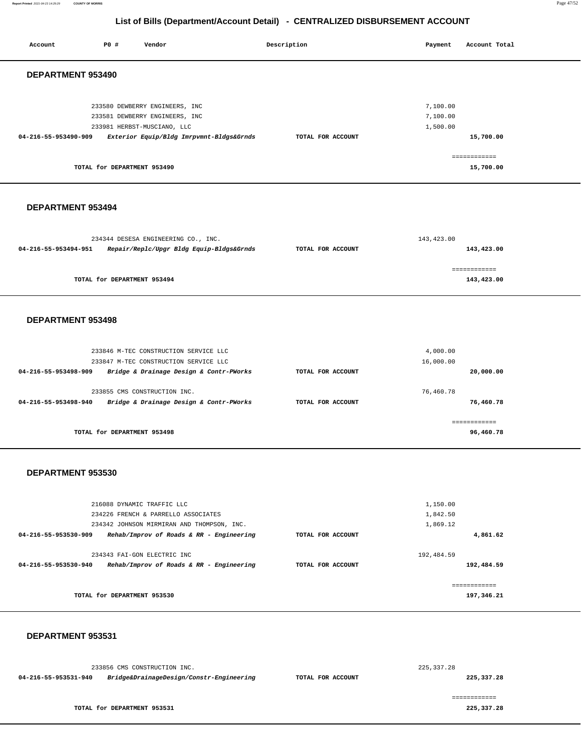**Account** 20 **P P**  $\uparrow$  **Payment** Payment Account Total

| DEPARTMENT 953490                                                                                        |                   |                          |  |
|----------------------------------------------------------------------------------------------------------|-------------------|--------------------------|--|
|                                                                                                          |                   |                          |  |
| 233580 DEWBERRY ENGINEERS, INC                                                                           |                   | 7,100.00                 |  |
| 233581 DEWBERRY ENGINEERS, INC                                                                           |                   | 7,100.00                 |  |
| 233981 HERBST-MUSCIANO, LLC                                                                              |                   | 1,500.00                 |  |
| 04-216-55-953490-909<br>Exterior Equip/Bldg Imrpvmnt-Bldgs&Grnds                                         | TOTAL FOR ACCOUNT | 15,700.00                |  |
|                                                                                                          |                   |                          |  |
|                                                                                                          |                   | ============             |  |
| TOTAL for DEPARTMENT 953490                                                                              |                   | 15,700.00                |  |
|                                                                                                          |                   |                          |  |
| DEPARTMENT 953494                                                                                        |                   |                          |  |
|                                                                                                          |                   |                          |  |
| 234344 DESESA ENGINEERING CO., INC.<br>04-216-55-953494-951<br>Repair/Replc/Upgr Bldg Equip-Bldgs&Grnds  | TOTAL FOR ACCOUNT | 143,423.00<br>143,423.00 |  |
|                                                                                                          |                   |                          |  |
|                                                                                                          |                   | ============             |  |
| TOTAL for DEPARTMENT 953494                                                                              |                   | 143,423.00               |  |
|                                                                                                          |                   |                          |  |
| DEPARTMENT 953498                                                                                        |                   |                          |  |
|                                                                                                          |                   |                          |  |
|                                                                                                          |                   |                          |  |
| 233846 M-TEC CONSTRUCTION SERVICE LLC                                                                    |                   | 4,000.00                 |  |
| 233847 M-TEC CONSTRUCTION SERVICE LLC<br>04-216-55-953498-909<br>Bridge & Drainage Design & Contr-PWorks | TOTAL FOR ACCOUNT | 16,000.00<br>20,000.00   |  |
|                                                                                                          |                   |                          |  |
| 233855 CMS CONSTRUCTION INC.                                                                             |                   | 76,460.78                |  |
| 04-216-55-953498-940<br>Bridge & Drainage Design & Contr-PWorks                                          | TOTAL FOR ACCOUNT | 76,460.78                |  |
|                                                                                                          |                   | ============             |  |
| TOTAL for DEPARTMENT 953498                                                                              |                   | 96,460.78                |  |
|                                                                                                          |                   |                          |  |
|                                                                                                          |                   |                          |  |
| DEPARTMENT 953530                                                                                        |                   |                          |  |
|                                                                                                          |                   |                          |  |
|                                                                                                          |                   |                          |  |
| 216088 DYNAMIC TRAFFIC LLC                                                                               |                   | 1,150.00                 |  |
| 234226 FRENCH & PARRELLO ASSOCIATES<br>234342 JOHNSON MIRMIRAN AND THOMPSON, INC.                        |                   | 1,842.50<br>1,869.12     |  |
| 04-216-55-953530-909<br>Rehab/Improv of Roads & RR - Engineering                                         | TOTAL FOR ACCOUNT | 4,861.62                 |  |
|                                                                                                          |                   |                          |  |
| 234343 FAI-GON ELECTRIC INC                                                                              |                   | 192,484.59               |  |
| 04-216-55-953530-940<br>Rehab/Improv of Roads & RR - Engineering                                         | TOTAL FOR ACCOUNT | 192,484.59               |  |
|                                                                                                          |                   | ============             |  |
| TOTAL for DEPARTMENT 953530                                                                              |                   | 197,346.21               |  |
|                                                                                                          |                   |                          |  |

 **DEPARTMENT 953531** 

233856 CMS CONSTRUCTION INC. **04-216-55-953531-940 Bridge&DrainageDesign/Constr-Engineering TOTAL FOR ACCOUNT**  225,337.28 **225,337.28** ============

**TOTAL for DEPARTMENT 953531** 

**225,337.28** 

**Report Printed** 2021-04-23 14:29:29 **COUNTY OF MORRIS** Page 47/52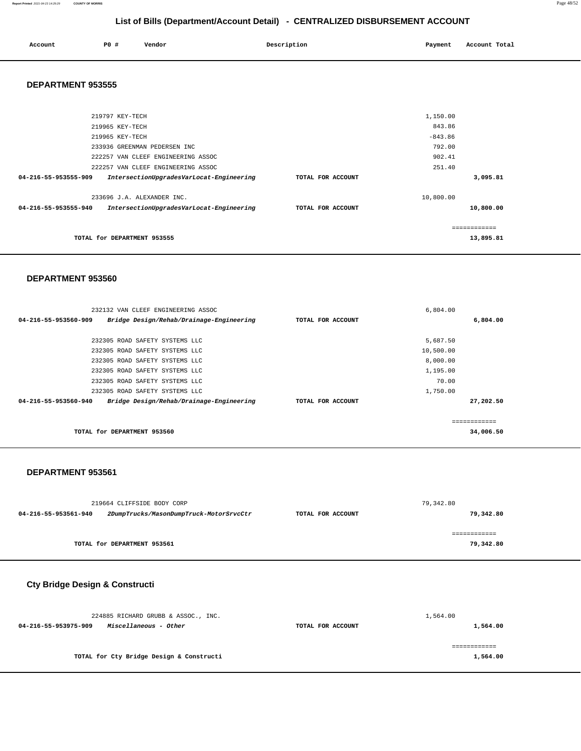#### **Report Printed** 2021-04-23 14:29:29 **COUNTY OF MORRIS** Page 48/52

### **List of Bills (Department/Account Detail) - CENTRALIZED DISBURSEMENT ACCOUNT**

| Account | P0 | Vendor | $\sim$ $\sim$<br>Description | Payment | Account Total |
|---------|----|--------|------------------------------|---------|---------------|
|         |    |        |                              |         |               |

#### **DEPARTMENT 953555**

|                      | 219797 KEY-TECH                          |                   | 1,150.00  |           |
|----------------------|------------------------------------------|-------------------|-----------|-----------|
|                      | 219965 KEY-TECH                          |                   | 843.86    |           |
|                      | 219965 KEY-TECH                          |                   | $-843.86$ |           |
|                      | 233936 GREENMAN PEDERSEN INC             |                   | 792.00    |           |
|                      | 222257 VAN CLEEF ENGINEERING ASSOC       |                   | 902.41    |           |
|                      | 222257 VAN CLEEF ENGINEERING ASSOC       |                   | 251.40    |           |
| 04-216-55-953555-909 | IntersectionUpgradesVarLocat-Engineering | TOTAL FOR ACCOUNT |           | 3,095.81  |
|                      | 233696 J.A. ALEXANDER INC.               |                   | 10,800.00 |           |
| 04-216-55-953555-940 | IntersectionUpgradesVarLocat-Engineering | TOTAL FOR ACCOUNT |           | 10,800.00 |
|                      |                                          |                   |           |           |
|                      | TOTAL for DEPARTMENT 953555              |                   |           | 13,895.81 |
|                      |                                          |                   |           |           |

#### **DEPARTMENT 953560**

|                      |                                | 232132 VAN CLEEF ENGINEERING ASSOC       |                   | 6,804.00  |           |
|----------------------|--------------------------------|------------------------------------------|-------------------|-----------|-----------|
| 04-216-55-953560-909 |                                | Bridge Design/Rehab/Drainage-Engineering | TOTAL FOR ACCOUNT |           | 6,804.00  |
|                      |                                |                                          |                   |           |           |
|                      | 232305 ROAD SAFETY SYSTEMS LLC |                                          |                   | 5,687.50  |           |
|                      | 232305 ROAD SAFETY SYSTEMS LLC |                                          |                   | 10,500.00 |           |
|                      | 232305 ROAD SAFETY SYSTEMS LLC |                                          |                   | 8,000.00  |           |
|                      | 232305 ROAD SAFETY SYSTEMS LLC |                                          |                   | 1,195,00  |           |
|                      | 232305 ROAD SAFETY SYSTEMS LLC |                                          |                   | 70.00     |           |
|                      | 232305 ROAD SAFETY SYSTEMS LLC |                                          |                   | 1,750.00  |           |
| 04-216-55-953560-940 |                                | Bridge Design/Rehab/Drainage-Engineering | TOTAL FOR ACCOUNT |           | 27,202.50 |
|                      |                                |                                          |                   |           |           |
|                      |                                |                                          |                   |           |           |
|                      | TOTAL for DEPARTMENT 953560    |                                          |                   |           | 34,006.50 |

#### **DEPARTMENT 953561**

|                      | 219664 CLIFFSIDE BODY CORP              |                   | 79,342.80 |
|----------------------|-----------------------------------------|-------------------|-----------|
| 04-216-55-953561-940 | 2DumpTrucks/MasonDumpTruck-MotorSrvcCtr | TOTAL FOR ACCOUNT | 79,342.80 |
|                      |                                         |                   |           |
|                      |                                         |                   |           |
|                      | TOTAL for DEPARTMENT 953561             |                   | 79,342.80 |

### **Cty Bridge Design & Constructi**

| 224885 RICHARD GRUBB & ASSOC., INC.           |                   | 1,564.00 |
|-----------------------------------------------|-------------------|----------|
| 04-216-55-953975-909<br>Miscellaneous - Other | TOTAL FOR ACCOUNT | 1,564.00 |
|                                               |                   |          |
| TOTAL for Cty Bridge Design & Constructi      |                   | 1,564.00 |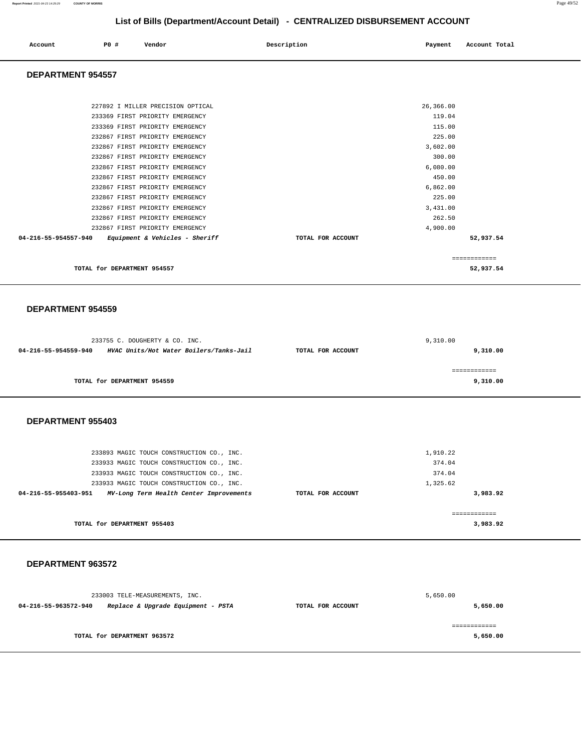| Account | PO# | vendor | Description | Payment | Account Total |
|---------|-----|--------|-------------|---------|---------------|
|         |     |        |             |         |               |

#### **DEPARTMENT 954557**

| TOTAL for DEPARTMENT 954557                                       |                   | 52,937.54    |
|-------------------------------------------------------------------|-------------------|--------------|
|                                                                   |                   | ============ |
| 04-216-55-954557-940<br><i>Equipment &amp; Vehicles - Sheriff</i> | TOTAL FOR ACCOUNT | 52,937.54    |
| 232867 FIRST PRIORITY EMERGENCY                                   |                   | 4,900.00     |
| 232867 FIRST PRIORITY EMERGENCY                                   |                   | 262.50       |
| 232867 FIRST PRIORITY EMERGENCY                                   |                   | 3,431.00     |
| 232867 FIRST PRIORITY EMERGENCY                                   |                   | 225.00       |
| 232867 FIRST PRIORITY EMERGENCY                                   |                   | 6,862.00     |
| 232867 FIRST PRIORITY EMERGENCY                                   |                   | 450.00       |
| 232867 FIRST PRIORITY EMERGENCY                                   |                   | 6,080.00     |
| 232867 FIRST PRIORITY EMERGENCY                                   |                   | 300.00       |
| 232867 FIRST PRIORITY EMERGENCY                                   |                   | 3,602.00     |
| 232867 FIRST PRIORITY EMERGENCY                                   |                   | 225.00       |
| 233369 FIRST PRIORITY EMERGENCY                                   |                   | 115.00       |
| 233369 FIRST PRIORITY EMERGENCY                                   |                   | 119.04       |
| 227892 I MILLER PRECISION OPTICAL                                 |                   | 26,366.00    |
|                                                                   |                   |              |

#### **DEPARTMENT 954559**

|                      | 233755 C. DOUGHERTY & CO. INC.          |                   | 9.310.00 |
|----------------------|-----------------------------------------|-------------------|----------|
| 04-216-55-954559-940 | HVAC Units/Hot Water Boilers/Tanks-Jail | TOTAL FOR ACCOUNT | 9,310.00 |
|                      |                                         |                   |          |
|                      |                                         |                   |          |
|                      | TOTAL for DEPARTMENT 954559             |                   | 9,310.00 |

#### **DEPARTMENT 955403**

| 233893 MAGIC TOUCH CONSTRUCTION CO., INC.                       | 1,910.22                      |
|-----------------------------------------------------------------|-------------------------------|
| 233933 MAGIC TOUCH CONSTRUCTION CO., INC.                       | 374.04                        |
| 233933 MAGIC TOUCH CONSTRUCTION CO., INC.                       | 374.04                        |
| 233933 MAGIC TOUCH CONSTRUCTION CO., INC.                       | 1,325.62                      |
| MV-Long Term Health Center Improvements<br>04-216-55-955403-951 | 3,983.92<br>TOTAL FOR ACCOUNT |
|                                                                 |                               |
|                                                                 |                               |
| TOTAL for DEPARTMENT 955403                                     | 3,983.92                      |
|                                                                 |                               |

#### **DEPARTMENT 963572**

|                      | 233003 TELE-MEASUREMENTS, INC.     |                   | 5,650.00 |
|----------------------|------------------------------------|-------------------|----------|
| 04-216-55-963572-940 | Replace & Upgrade Equipment - PSTA | TOTAL FOR ACCOUNT | 5,650.00 |
|                      |                                    |                   |          |
|                      |                                    |                   |          |
|                      | TOTAL for DEPARTMENT 963572        |                   | 5,650.00 |
|                      |                                    |                   |          |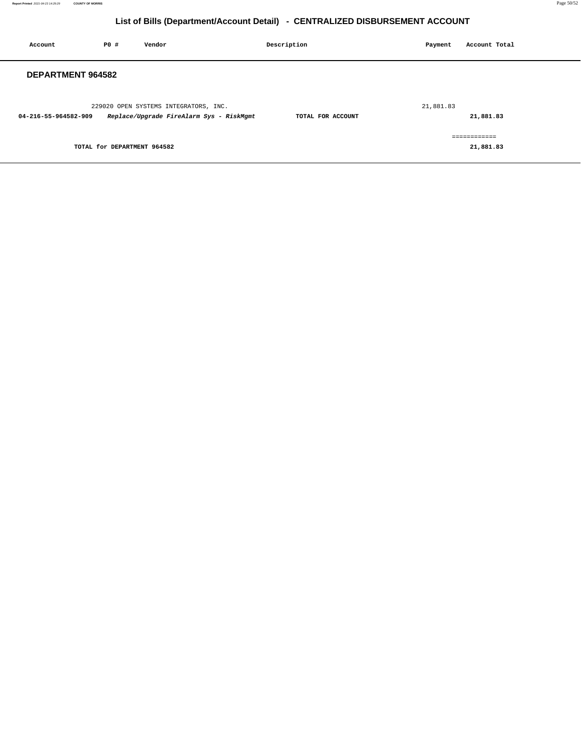| Account              | PO#                         | Vendor                                                                            | Description       | Payment   | Account Total             |
|----------------------|-----------------------------|-----------------------------------------------------------------------------------|-------------------|-----------|---------------------------|
| DEPARTMENT 964582    |                             |                                                                                   |                   |           |                           |
| 04-216-55-964582-909 |                             | 229020 OPEN SYSTEMS INTEGRATORS, INC.<br>Replace/Upgrade FireAlarm Sys - RiskMgmt | TOTAL FOR ACCOUNT | 21,881.83 | 21,881.83                 |
|                      | TOTAL for DEPARTMENT 964582 |                                                                                   |                   |           | ------------<br>21,881.83 |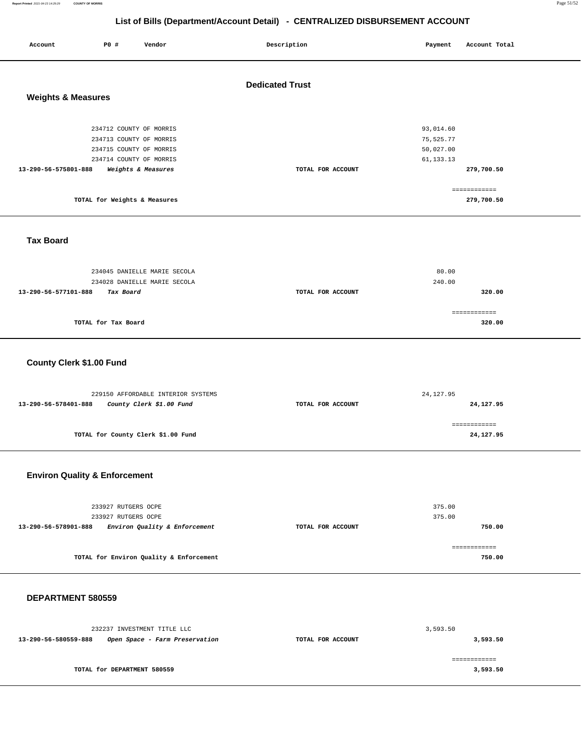| Account                       | P0 # | Vendor                                                                                                   | Description            | Payment                                            | Account Total              |
|-------------------------------|------|----------------------------------------------------------------------------------------------------------|------------------------|----------------------------------------------------|----------------------------|
| <b>Weights &amp; Measures</b> |      |                                                                                                          | <b>Dedicated Trust</b> |                                                    |                            |
|                               |      | 234712 COUNTY OF MORRIS<br>234713 COUNTY OF MORRIS<br>234715 COUNTY OF MORRIS<br>234714 COUNTY OF MORRIS |                        | 93,014.60<br>75,525.77<br>50,027.00<br>61, 133. 13 |                            |
| 13-290-56-575801-888          |      | Weights & Measures                                                                                       | TOTAL FOR ACCOUNT      |                                                    | 279,700.50                 |
|                               |      | TOTAL for Weights & Measures                                                                             |                        |                                                    | ============<br>279,700.50 |
|                               |      |                                                                                                          |                        |                                                    |                            |

#### **Tax Board**

| 234045 DANIELLE MARIE SECOLA      |                   | 80.00  |
|-----------------------------------|-------------------|--------|
| 234028 DANIELLE MARIE SECOLA      |                   | 240.00 |
| 13-290-56-577101-888<br>Tax Board | TOTAL FOR ACCOUNT | 320.00 |
|                                   |                   |        |
|                                   |                   |        |
| TOTAL for Tax Board               |                   | 320.00 |
|                                   |                   |        |

#### **County Clerk \$1.00 Fund**

| 229150 AFFORDABLE INTERIOR SYSTEMS               | 24,127.95         |           |
|--------------------------------------------------|-------------------|-----------|
| County Clerk \$1.00 Fund<br>13-290-56-578401-888 | TOTAL FOR ACCOUNT | 24,127.95 |
|                                                  |                   |           |
|                                                  |                   |           |
| TOTAL for County Clerk \$1.00 Fund               |                   | 24,127.95 |

#### **Environ Quality & Enforcement**

| 233927 RUTGERS OCPE<br>233927 RUTGERS OCPE            |                   | 375.00<br>375.00 |
|-------------------------------------------------------|-------------------|------------------|
| Environ Quality & Enforcement<br>13-290-56-578901-888 | TOTAL FOR ACCOUNT | 750.00           |
|                                                       |                   |                  |
| TOTAL for Environ Quality & Enforcement               |                   | 750.00           |

#### **DEPARTMENT 580559**

|                      | 232237 INVESTMENT TITLE LLC    |                   | 3,593.50 |
|----------------------|--------------------------------|-------------------|----------|
| 13-290-56-580559-888 | Open Space - Farm Preservation | TOTAL FOR ACCOUNT | 3,593.50 |
|                      | TOTAL for DEPARTMENT 580559    |                   | 3,593.50 |